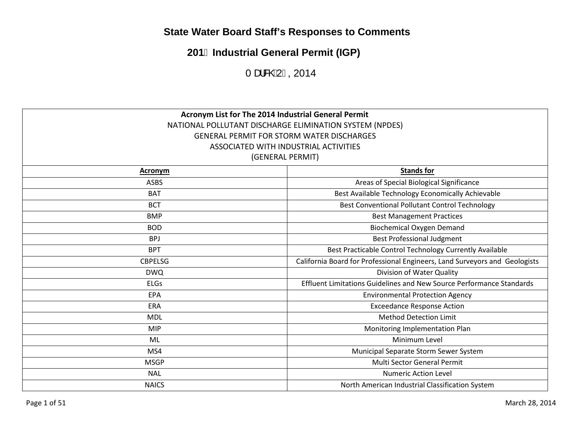## **State Water Board Staff's Responses to Comments**

## **201 Industrial General Permit (IGP)**

T a 38021, 2014

| Acronym List for The 2014 Industrial General Permit<br>NATIONAL POLLUTANT DISCHARGE ELIMINATION SYSTEM (NPDES) |                                                                            |  |
|----------------------------------------------------------------------------------------------------------------|----------------------------------------------------------------------------|--|
|                                                                                                                | <b>GENERAL PERMIT FOR STORM WATER DISCHARGES</b>                           |  |
|                                                                                                                | ASSOCIATED WITH INDUSTRIAL ACTIVITIES                                      |  |
|                                                                                                                | (GENERAL PERMIT)                                                           |  |
| Acronym                                                                                                        | <b>Stands for</b>                                                          |  |
| <b>ASBS</b>                                                                                                    | Areas of Special Biological Significance                                   |  |
| <b>BAT</b>                                                                                                     | Best Available Technology Economically Achievable                          |  |
| <b>BCT</b>                                                                                                     | Best Conventional Pollutant Control Technology                             |  |
| <b>BMP</b>                                                                                                     | <b>Best Management Practices</b>                                           |  |
| <b>BOD</b>                                                                                                     | <b>Biochemical Oxygen Demand</b>                                           |  |
| <b>BPJ</b>                                                                                                     | <b>Best Professional Judgment</b>                                          |  |
| <b>BPT</b>                                                                                                     | Best Practicable Control Technology Currently Available                    |  |
| <b>CBPELSG</b>                                                                                                 | California Board for Professional Engineers, Land Surveyors and Geologists |  |
| <b>DWQ</b>                                                                                                     | Division of Water Quality                                                  |  |
| <b>ELGs</b>                                                                                                    | Effluent Limitations Guidelines and New Source Performance Standards       |  |
| EPA                                                                                                            | <b>Environmental Protection Agency</b>                                     |  |
| <b>ERA</b>                                                                                                     | <b>Exceedance Response Action</b>                                          |  |
| <b>MDL</b>                                                                                                     | <b>Method Detection Limit</b>                                              |  |
| <b>MIP</b>                                                                                                     | Monitoring Implementation Plan                                             |  |
| ML                                                                                                             | Minimum Level                                                              |  |
| MS4                                                                                                            | Municipal Separate Storm Sewer System                                      |  |
| <b>MSGP</b>                                                                                                    | Multi Sector General Permit                                                |  |
| <b>NAL</b>                                                                                                     | <b>Numeric Action Level</b>                                                |  |
| <b>NAICS</b>                                                                                                   | North American Industrial Classification System                            |  |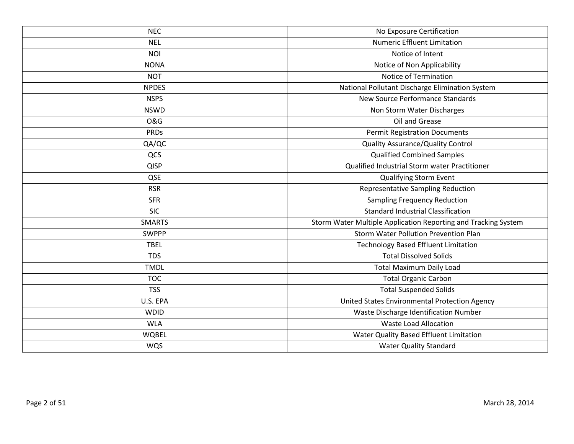| <b>NEC</b>     | No Exposure Certification                                      |
|----------------|----------------------------------------------------------------|
| <b>NEL</b>     | <b>Numeric Effluent Limitation</b>                             |
| <b>NOI</b>     | Notice of Intent                                               |
| <b>NONA</b>    | Notice of Non Applicability                                    |
| <b>NOT</b>     | Notice of Termination                                          |
| <b>NPDES</b>   | National Pollutant Discharge Elimination System                |
| <b>NSPS</b>    | New Source Performance Standards                               |
| <b>NSWD</b>    | Non Storm Water Discharges                                     |
| <b>O&amp;G</b> | Oil and Grease                                                 |
| <b>PRDs</b>    | <b>Permit Registration Documents</b>                           |
| QA/QC          | <b>Quality Assurance/Quality Control</b>                       |
| QCS            | <b>Qualified Combined Samples</b>                              |
| <b>QISP</b>    | Qualified Industrial Storm water Practitioner                  |
| QSE            | <b>Qualifying Storm Event</b>                                  |
| <b>RSR</b>     | <b>Representative Sampling Reduction</b>                       |
| <b>SFR</b>     | <b>Sampling Frequency Reduction</b>                            |
| <b>SIC</b>     | <b>Standard Industrial Classification</b>                      |
| <b>SMARTS</b>  | Storm Water Multiple Application Reporting and Tracking System |
| <b>SWPPP</b>   | <b>Storm Water Pollution Prevention Plan</b>                   |
| <b>TBEL</b>    | <b>Technology Based Effluent Limitation</b>                    |
| <b>TDS</b>     | <b>Total Dissolved Solids</b>                                  |
| <b>TMDL</b>    | <b>Total Maximum Daily Load</b>                                |
| <b>TOC</b>     | <b>Total Organic Carbon</b>                                    |
| <b>TSS</b>     | <b>Total Suspended Solids</b>                                  |
| U.S. EPA       | United States Environmental Protection Agency                  |
| <b>WDID</b>    | Waste Discharge Identification Number                          |
| <b>WLA</b>     | <b>Waste Load Allocation</b>                                   |
| <b>WQBEL</b>   | Water Quality Based Effluent Limitation                        |
| <b>WQS</b>     | <b>Water Quality Standard</b>                                  |
|                |                                                                |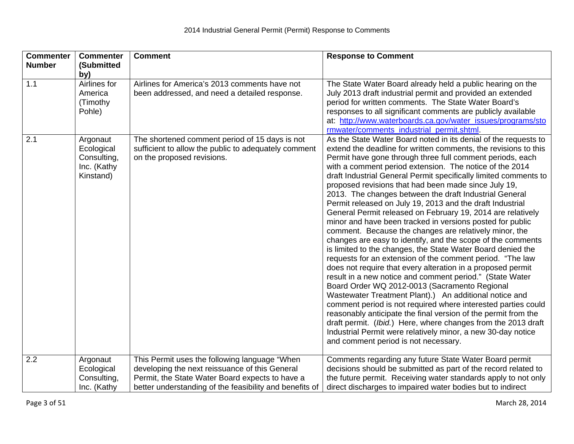| <b>Commenter</b> | <b>Commenter</b>                                                  | <b>Comment</b>                                                                                                                       | <b>Response to Comment</b>                                                                                                                                                                                                                                                                                                                                                                                                                                                                                                                                                                                                                                                                                                                                                                                                                                                                                                                                                                                                                                                                                                                                                                                                                                                                                                                                                                                                                       |
|------------------|-------------------------------------------------------------------|--------------------------------------------------------------------------------------------------------------------------------------|--------------------------------------------------------------------------------------------------------------------------------------------------------------------------------------------------------------------------------------------------------------------------------------------------------------------------------------------------------------------------------------------------------------------------------------------------------------------------------------------------------------------------------------------------------------------------------------------------------------------------------------------------------------------------------------------------------------------------------------------------------------------------------------------------------------------------------------------------------------------------------------------------------------------------------------------------------------------------------------------------------------------------------------------------------------------------------------------------------------------------------------------------------------------------------------------------------------------------------------------------------------------------------------------------------------------------------------------------------------------------------------------------------------------------------------------------|
| <b>Number</b>    | (Submitted                                                        |                                                                                                                                      |                                                                                                                                                                                                                                                                                                                                                                                                                                                                                                                                                                                                                                                                                                                                                                                                                                                                                                                                                                                                                                                                                                                                                                                                                                                                                                                                                                                                                                                  |
|                  | by)                                                               |                                                                                                                                      |                                                                                                                                                                                                                                                                                                                                                                                                                                                                                                                                                                                                                                                                                                                                                                                                                                                                                                                                                                                                                                                                                                                                                                                                                                                                                                                                                                                                                                                  |
| 1.1              | Airlines for<br>America<br>(Timothy<br>Pohle)                     | Airlines for America's 2013 comments have not<br>been addressed, and need a detailed response.                                       | The State Water Board already held a public hearing on the<br>July 2013 draft industrial permit and provided an extended<br>period for written comments. The State Water Board's<br>responses to all significant comments are publicly available<br>at: http://www.waterboards.ca.gov/water_issues/programs/sto<br>rmwater/comments_industrial_permit.shtml                                                                                                                                                                                                                                                                                                                                                                                                                                                                                                                                                                                                                                                                                                                                                                                                                                                                                                                                                                                                                                                                                      |
| $\overline{2.1}$ | Argonaut<br>Ecological<br>Consulting,<br>Inc. (Kathy<br>Kinstand) | The shortened comment period of 15 days is not<br>sufficient to allow the public to adequately comment<br>on the proposed revisions. | As the State Water Board noted in its denial of the requests to<br>extend the deadline for written comments, the revisions to this<br>Permit have gone through three full comment periods, each<br>with a comment period extension. The notice of the 2014<br>draft Industrial General Permit specifically limited comments to<br>proposed revisions that had been made since July 19,<br>2013. The changes between the draft Industrial General<br>Permit released on July 19, 2013 and the draft Industrial<br>General Permit released on February 19, 2014 are relatively<br>minor and have been tracked in versions posted for public<br>comment. Because the changes are relatively minor, the<br>changes are easy to identify, and the scope of the comments<br>is limited to the changes, the State Water Board denied the<br>requests for an extension of the comment period. "The law<br>does not require that every alteration in a proposed permit<br>result in a new notice and comment period." (State Water<br>Board Order WQ 2012-0013 (Sacramento Regional<br>Wastewater Treatment Plant).) An additional notice and<br>comment period is not required where interested parties could<br>reasonably anticipate the final version of the permit from the<br>draft permit. (Ibid.) Here, where changes from the 2013 draft<br>Industrial Permit were relatively minor, a new 30-day notice<br>and comment period is not necessary. |
| 2.2              | Argonaut                                                          | This Permit uses the following language "When                                                                                        | Comments regarding any future State Water Board permit                                                                                                                                                                                                                                                                                                                                                                                                                                                                                                                                                                                                                                                                                                                                                                                                                                                                                                                                                                                                                                                                                                                                                                                                                                                                                                                                                                                           |
|                  | Ecological                                                        | developing the next reissuance of this General                                                                                       | decisions should be submitted as part of the record related to                                                                                                                                                                                                                                                                                                                                                                                                                                                                                                                                                                                                                                                                                                                                                                                                                                                                                                                                                                                                                                                                                                                                                                                                                                                                                                                                                                                   |
|                  | Consulting,                                                       | Permit, the State Water Board expects to have a                                                                                      | the future permit. Receiving water standards apply to not only                                                                                                                                                                                                                                                                                                                                                                                                                                                                                                                                                                                                                                                                                                                                                                                                                                                                                                                                                                                                                                                                                                                                                                                                                                                                                                                                                                                   |
|                  | Inc. (Kathy                                                       | better understanding of the feasibility and benefits of                                                                              | direct discharges to impaired water bodies but to indirect                                                                                                                                                                                                                                                                                                                                                                                                                                                                                                                                                                                                                                                                                                                                                                                                                                                                                                                                                                                                                                                                                                                                                                                                                                                                                                                                                                                       |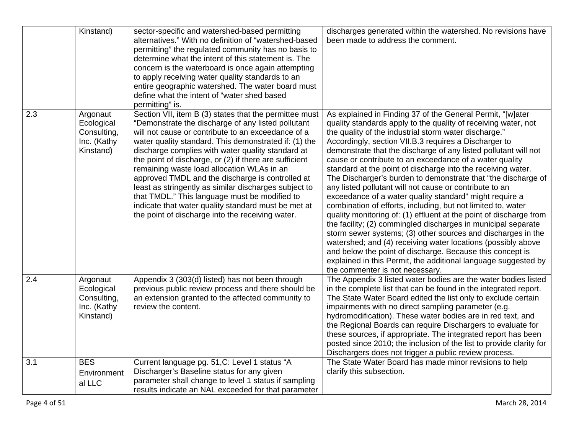|     | Kinstand)   | sector-specific and watershed-based permitting         | discharges generated within the watershed. No revisions have        |
|-----|-------------|--------------------------------------------------------|---------------------------------------------------------------------|
|     |             | alternatives." With no definition of "watershed-based  | been made to address the comment.                                   |
|     |             | permitting" the regulated community has no basis to    |                                                                     |
|     |             | determine what the intent of this statement is. The    |                                                                     |
|     |             | concern is the waterboard is once again attempting     |                                                                     |
|     |             | to apply receiving water quality standards to an       |                                                                     |
|     |             | entire geographic watershed. The water board must      |                                                                     |
|     |             | define what the intent of "water shed based            |                                                                     |
|     |             | permitting" is.                                        |                                                                     |
| 2.3 | Argonaut    | Section VII, item B (3) states that the permittee must | As explained in Finding 37 of the General Permit, "[w]ater          |
|     | Ecological  | "Demonstrate the discharge of any listed pollutant     | quality standards apply to the quality of receiving water, not      |
|     | Consulting, | will not cause or contribute to an exceedance of a     | the quality of the industrial storm water discharge."               |
|     | Inc. (Kathy | water quality standard. This demonstrated if: (1) the  | Accordingly, section VII.B.3 requires a Discharger to               |
|     | Kinstand)   | discharge complies with water quality standard at      | demonstrate that the discharge of any listed pollutant will not     |
|     |             | the point of discharge, or (2) if there are sufficient | cause or contribute to an exceedance of a water quality             |
|     |             | remaining waste load allocation WLAs in an             | standard at the point of discharge into the receiving water.        |
|     |             | approved TMDL and the discharge is controlled at       | The Discharger's burden to demonstrate that "the discharge of       |
|     |             | least as stringently as similar discharges subject to  | any listed pollutant will not cause or contribute to an             |
|     |             | that TMDL." This language must be modified to          | exceedance of a water quality standard" might require a             |
|     |             | indicate that water quality standard must be met at    | combination of efforts, including, but not limited to, water        |
|     |             | the point of discharge into the receiving water.       | quality monitoring of: (1) effluent at the point of discharge from  |
|     |             |                                                        | the facility; (2) commingled discharges in municipal separate       |
|     |             |                                                        | storm sewer systems; (3) other sources and discharges in the        |
|     |             |                                                        | watershed; and (4) receiving water locations (possibly above        |
|     |             |                                                        | and below the point of discharge. Because this concept is           |
|     |             |                                                        | explained in this Permit, the additional language suggested by      |
|     |             |                                                        | the commenter is not necessary.                                     |
| 2.4 | Argonaut    | Appendix 3 (303(d) listed) has not been through        | The Appendix 3 listed water bodies are the water bodies listed      |
|     | Ecological  | previous public review process and there should be     | in the complete list that can be found in the integrated report.    |
|     | Consulting, | an extension granted to the affected community to      | The State Water Board edited the list only to exclude certain       |
|     | Inc. (Kathy | review the content.                                    | impairments with no direct sampling parameter (e.g.                 |
|     | Kinstand)   |                                                        | hydromodification). These water bodies are in red text, and         |
|     |             |                                                        | the Regional Boards can require Dischargers to evaluate for         |
|     |             |                                                        | these sources, if appropriate. The integrated report has been       |
|     |             |                                                        | posted since 2010; the inclusion of the list to provide clarity for |
|     |             |                                                        | Dischargers does not trigger a public review process.               |
| 3.1 | <b>BES</b>  | Current language pg. 51, C: Level 1 status "A          | The State Water Board has made minor revisions to help              |
|     | Environment | Discharger's Baseline status for any given             | clarify this subsection.                                            |
|     | al LLC      | parameter shall change to level 1 status if sampling   |                                                                     |
|     |             | results indicate an NAL exceeded for that parameter    |                                                                     |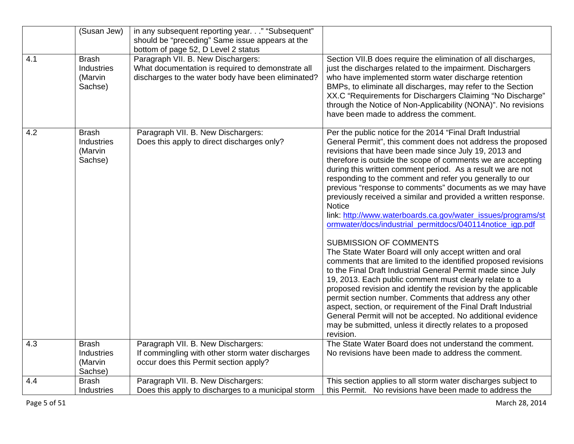|     | (Susan Jew)                                      | in any subsequent reporting year." "Subsequent"                                                                                               |                                                                                                                                                                                                                                                                                                                                                                                                                                                                                                                                                                                                                                                                                                                                                                                                                                                                                                                                                                                                                                                                                                                                                                                                                                                                                      |
|-----|--------------------------------------------------|-----------------------------------------------------------------------------------------------------------------------------------------------|--------------------------------------------------------------------------------------------------------------------------------------------------------------------------------------------------------------------------------------------------------------------------------------------------------------------------------------------------------------------------------------------------------------------------------------------------------------------------------------------------------------------------------------------------------------------------------------------------------------------------------------------------------------------------------------------------------------------------------------------------------------------------------------------------------------------------------------------------------------------------------------------------------------------------------------------------------------------------------------------------------------------------------------------------------------------------------------------------------------------------------------------------------------------------------------------------------------------------------------------------------------------------------------|
|     |                                                  | should be "preceding" Same issue appears at the                                                                                               |                                                                                                                                                                                                                                                                                                                                                                                                                                                                                                                                                                                                                                                                                                                                                                                                                                                                                                                                                                                                                                                                                                                                                                                                                                                                                      |
|     |                                                  | bottom of page 52, D Level 2 status                                                                                                           |                                                                                                                                                                                                                                                                                                                                                                                                                                                                                                                                                                                                                                                                                                                                                                                                                                                                                                                                                                                                                                                                                                                                                                                                                                                                                      |
| 4.1 | <b>Brash</b><br>Industries<br>(Marvin<br>Sachse) | Paragraph VII. B. New Dischargers:<br>What documentation is required to demonstrate all<br>discharges to the water body have been eliminated? | Section VII.B does require the elimination of all discharges,<br>just the discharges related to the impairment. Dischargers<br>who have implemented storm water discharge retention<br>BMPs, to eliminate all discharges, may refer to the Section<br>XX.C "Requirements for Dischargers Claiming "No Discharge"<br>through the Notice of Non-Applicability (NONA)". No revisions<br>have been made to address the comment.                                                                                                                                                                                                                                                                                                                                                                                                                                                                                                                                                                                                                                                                                                                                                                                                                                                          |
| 4.2 | Brash<br>Industries<br>(Marvin<br>Sachse)        | Paragraph VII. B. New Dischargers:<br>Does this apply to direct discharges only?                                                              | Per the public notice for the 2014 "Final Draft Industrial<br>General Permit", this comment does not address the proposed<br>revisions that have been made since July 19, 2013 and<br>therefore is outside the scope of comments we are accepting<br>during this written comment period. As a result we are not<br>responding to the comment and refer you generally to our<br>previous "response to comments" documents as we may have<br>previously received a similar and provided a written response.<br><b>Notice</b><br>link: http://www.waterboards.ca.gov/water_issues/programs/st<br>ormwater/docs/industrial permitdocs/040114notice igp.pdf<br><b>SUBMISSION OF COMMENTS</b><br>The State Water Board will only accept written and oral<br>comments that are limited to the identified proposed revisions<br>to the Final Draft Industrial General Permit made since July<br>19, 2013. Each public comment must clearly relate to a<br>proposed revision and identify the revision by the applicable<br>permit section number. Comments that address any other<br>aspect, section, or requirement of the Final Draft Industrial<br>General Permit will not be accepted. No additional evidence<br>may be submitted, unless it directly relates to a proposed<br>revision. |
| 4.3 | <b>Brash</b><br>Industries<br>(Marvin<br>Sachse) | Paragraph VII. B. New Dischargers:<br>If commingling with other storm water discharges<br>occur does this Permit section apply?               | The State Water Board does not understand the comment.<br>No revisions have been made to address the comment.                                                                                                                                                                                                                                                                                                                                                                                                                                                                                                                                                                                                                                                                                                                                                                                                                                                                                                                                                                                                                                                                                                                                                                        |
| 4.4 | <b>Brash</b><br>Industries                       | Paragraph VII. B. New Dischargers:<br>Does this apply to discharges to a municipal storm                                                      | This section applies to all storm water discharges subject to<br>this Permit. No revisions have been made to address the                                                                                                                                                                                                                                                                                                                                                                                                                                                                                                                                                                                                                                                                                                                                                                                                                                                                                                                                                                                                                                                                                                                                                             |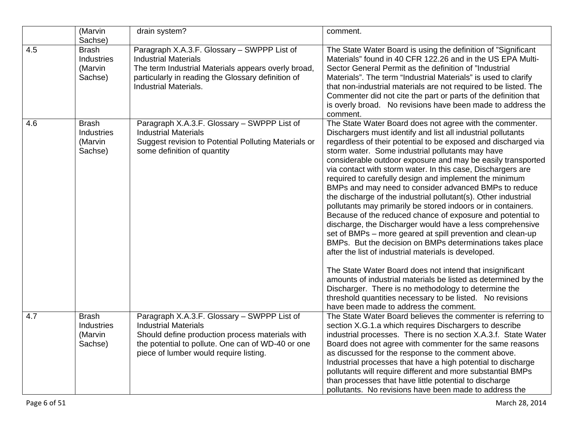|     | (Marvin<br>Sachse)                               | drain system?                                                                                                                                                                                                                | comment.                                                                                                                                                                                                                                                                                                                                                                                                                                                                                                                                                                                                                                                                                                                                                                                                                                                                                                                                        |
|-----|--------------------------------------------------|------------------------------------------------------------------------------------------------------------------------------------------------------------------------------------------------------------------------------|-------------------------------------------------------------------------------------------------------------------------------------------------------------------------------------------------------------------------------------------------------------------------------------------------------------------------------------------------------------------------------------------------------------------------------------------------------------------------------------------------------------------------------------------------------------------------------------------------------------------------------------------------------------------------------------------------------------------------------------------------------------------------------------------------------------------------------------------------------------------------------------------------------------------------------------------------|
| 4.5 | <b>Brash</b><br>Industries<br>(Marvin<br>Sachse) | Paragraph X.A.3.F. Glossary - SWPPP List of<br><b>Industrial Materials</b><br>The term Industrial Materials appears overly broad,<br>particularly in reading the Glossary definition of<br>Industrial Materials.             | The State Water Board is using the definition of "Significant<br>Materials" found in 40 CFR 122.26 and in the US EPA Multi-<br>Sector General Permit as the definition of "Industrial<br>Materials". The term "Industrial Materials" is used to clarify<br>that non-industrial materials are not required to be listed. The<br>Commenter did not cite the part or parts of the definition that<br>is overly broad. No revisions have been made to address the<br>comment.                                                                                                                                                                                                                                                                                                                                                                                                                                                                       |
| 4.6 | <b>Brash</b><br>Industries<br>(Marvin<br>Sachse) | Paragraph X.A.3.F. Glossary - SWPPP List of<br><b>Industrial Materials</b><br>Suggest revision to Potential Polluting Materials or<br>some definition of quantity                                                            | The State Water Board does not agree with the commenter.<br>Dischargers must identify and list all industrial pollutants<br>regardless of their potential to be exposed and discharged via<br>storm water. Some industrial pollutants may have<br>considerable outdoor exposure and may be easily transported<br>via contact with storm water. In this case, Dischargers are<br>required to carefully design and implement the minimum<br>BMPs and may need to consider advanced BMPs to reduce<br>the discharge of the industrial pollutant(s). Other industrial<br>pollutants may primarily be stored indoors or in containers.<br>Because of the reduced chance of exposure and potential to<br>discharge, the Discharger would have a less comprehensive<br>set of BMPs - more geared at spill prevention and clean-up<br>BMPs. But the decision on BMPs determinations takes place<br>after the list of industrial materials is developed. |
|     |                                                  |                                                                                                                                                                                                                              | The State Water Board does not intend that insignificant<br>amounts of industrial materials be listed as determined by the<br>Discharger. There is no methodology to determine the<br>threshold quantities necessary to be listed. No revisions<br>have been made to address the comment.                                                                                                                                                                                                                                                                                                                                                                                                                                                                                                                                                                                                                                                       |
| 4.7 | <b>Brash</b><br>Industries<br>(Marvin<br>Sachse) | Paragraph X.A.3.F. Glossary - SWPPP List of<br><b>Industrial Materials</b><br>Should define production process materials with<br>the potential to pollute. One can of WD-40 or one<br>piece of lumber would require listing. | The State Water Board believes the commenter is referring to<br>section X.G.1.a which requires Dischargers to describe<br>industrial processes. There is no section X.A.3.f. State Water<br>Board does not agree with commenter for the same reasons<br>as discussed for the response to the comment above.<br>Industrial processes that have a high potential to discharge<br>pollutants will require different and more substantial BMPs<br>than processes that have little potential to discharge<br>pollutants. No revisions have been made to address the                                                                                                                                                                                                                                                                                                                                                                                  |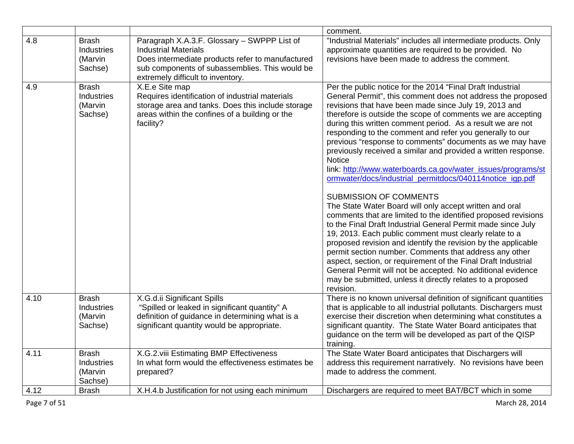|      |                                                  |                                                                                                                                                                                                                       | comment.                                                                                                                                                                                                                                                                                                                                                                                                                                                                                                                                                                                                                                                                                                                                                                                                                                                                                                                                                                                                                                                                                                                                                                                                                                                                             |
|------|--------------------------------------------------|-----------------------------------------------------------------------------------------------------------------------------------------------------------------------------------------------------------------------|--------------------------------------------------------------------------------------------------------------------------------------------------------------------------------------------------------------------------------------------------------------------------------------------------------------------------------------------------------------------------------------------------------------------------------------------------------------------------------------------------------------------------------------------------------------------------------------------------------------------------------------------------------------------------------------------------------------------------------------------------------------------------------------------------------------------------------------------------------------------------------------------------------------------------------------------------------------------------------------------------------------------------------------------------------------------------------------------------------------------------------------------------------------------------------------------------------------------------------------------------------------------------------------|
| 4.8  | <b>Brash</b><br>Industries<br>(Marvin<br>Sachse) | Paragraph X.A.3.F. Glossary - SWPPP List of<br><b>Industrial Materials</b><br>Does intermediate products refer to manufactured<br>sub components of subassemblies. This would be<br>extremely difficult to inventory. | "Industrial Materials" includes all intermediate products. Only<br>approximate quantities are required to be provided. No<br>revisions have been made to address the comment.                                                                                                                                                                                                                                                                                                                                                                                                                                                                                                                                                                                                                                                                                                                                                                                                                                                                                                                                                                                                                                                                                                        |
| 4.9  | <b>Brash</b><br>Industries<br>(Marvin<br>Sachse) | X.E.e Site map<br>Requires identification of industrial materials<br>storage area and tanks. Does this include storage<br>areas within the confines of a building or the<br>facility?                                 | Per the public notice for the 2014 "Final Draft Industrial<br>General Permit", this comment does not address the proposed<br>revisions that have been made since July 19, 2013 and<br>therefore is outside the scope of comments we are accepting<br>during this written comment period. As a result we are not<br>responding to the comment and refer you generally to our<br>previous "response to comments" documents as we may have<br>previously received a similar and provided a written response.<br><b>Notice</b><br>link: http://www.waterboards.ca.gov/water_issues/programs/st<br>ormwater/docs/industrial permitdocs/040114notice igp.pdf<br><b>SUBMISSION OF COMMENTS</b><br>The State Water Board will only accept written and oral<br>comments that are limited to the identified proposed revisions<br>to the Final Draft Industrial General Permit made since July<br>19, 2013. Each public comment must clearly relate to a<br>proposed revision and identify the revision by the applicable<br>permit section number. Comments that address any other<br>aspect, section, or requirement of the Final Draft Industrial<br>General Permit will not be accepted. No additional evidence<br>may be submitted, unless it directly relates to a proposed<br>revision. |
| 4.10 | <b>Brash</b><br>Industries<br>(Marvin<br>Sachse) | X.G.d.ii Significant Spills<br>"Spilled or leaked in significant quantity" A<br>definition of guidance in determining what is a<br>significant quantity would be appropriate.                                         | There is no known universal definition of significant quantities<br>that is applicable to all industrial pollutants. Dischargers must<br>exercise their discretion when determining what constitutes a<br>significant quantity. The State Water Board anticipates that<br>guidance on the term will be developed as part of the QISP<br>training.                                                                                                                                                                                                                                                                                                                                                                                                                                                                                                                                                                                                                                                                                                                                                                                                                                                                                                                                    |
| 4.11 | <b>Brash</b><br>Industries<br>(Marvin<br>Sachse) | X.G.2.viii Estimating BMP Effectiveness<br>In what form would the effectiveness estimates be<br>prepared?                                                                                                             | The State Water Board anticipates that Dischargers will<br>address this requirement narratively. No revisions have been<br>made to address the comment.                                                                                                                                                                                                                                                                                                                                                                                                                                                                                                                                                                                                                                                                                                                                                                                                                                                                                                                                                                                                                                                                                                                              |
| 4.12 | <b>Brash</b>                                     | X.H.4.b Justification for not using each minimum                                                                                                                                                                      | Dischargers are required to meet BAT/BCT which in some                                                                                                                                                                                                                                                                                                                                                                                                                                                                                                                                                                                                                                                                                                                                                                                                                                                                                                                                                                                                                                                                                                                                                                                                                               |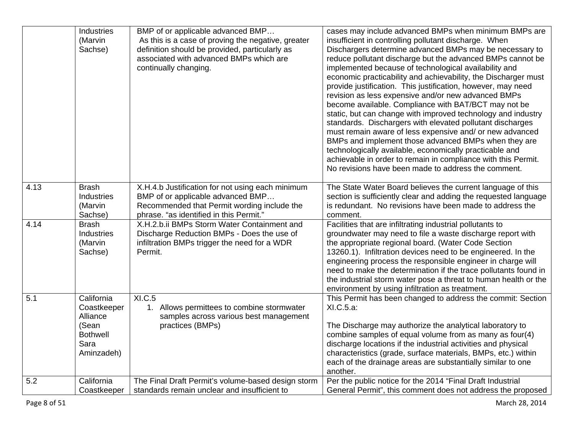|      | Industries<br>(Marvin<br>Sachse)                                                        | BMP of or applicable advanced BMP<br>As this is a case of proving the negative, greater<br>definition should be provided, particularly as<br>associated with advanced BMPs which are<br>continually changing. | cases may include advanced BMPs when minimum BMPs are<br>insufficient in controlling pollutant discharge. When<br>Dischargers determine advanced BMPs may be necessary to<br>reduce pollutant discharge but the advanced BMPs cannot be<br>implemented because of technological availability and<br>economic practicability and achievability, the Discharger must<br>provide justification. This justification, however, may need<br>revision as less expensive and/or new advanced BMPs<br>become available. Compliance with BAT/BCT may not be<br>static, but can change with improved technology and industry<br>standards. Dischargers with elevated pollutant discharges<br>must remain aware of less expensive and/ or new advanced<br>BMPs and implement those advanced BMPs when they are<br>technologically available, economically practicable and<br>achievable in order to remain in compliance with this Permit.<br>No revisions have been made to address the comment. |
|------|-----------------------------------------------------------------------------------------|---------------------------------------------------------------------------------------------------------------------------------------------------------------------------------------------------------------|---------------------------------------------------------------------------------------------------------------------------------------------------------------------------------------------------------------------------------------------------------------------------------------------------------------------------------------------------------------------------------------------------------------------------------------------------------------------------------------------------------------------------------------------------------------------------------------------------------------------------------------------------------------------------------------------------------------------------------------------------------------------------------------------------------------------------------------------------------------------------------------------------------------------------------------------------------------------------------------|
| 4.13 | <b>Brash</b><br>Industries<br>(Marvin<br>Sachse)                                        | X.H.4.b Justification for not using each minimum<br>BMP of or applicable advanced BMP<br>Recommended that Permit wording include the<br>phrase. "as identified in this Permit."                               | The State Water Board believes the current language of this<br>section is sufficiently clear and adding the requested language<br>is redundant. No revisions have been made to address the<br>comment.                                                                                                                                                                                                                                                                                                                                                                                                                                                                                                                                                                                                                                                                                                                                                                                |
| 4.14 | <b>Brash</b><br><b>Industries</b><br>(Marvin<br>Sachse)                                 | X.H.2.b.ii BMPs Storm Water Containment and<br>Discharge Reduction BMPs - Does the use of<br>infiltration BMPs trigger the need for a WDR<br>Permit.                                                          | Facilities that are infiltrating industrial pollutants to<br>groundwater may need to file a waste discharge report with<br>the appropriate regional board. (Water Code Section<br>13260.1). Infiltration devices need to be engineered. In the<br>engineering process the responsible engineer in charge will<br>need to make the determination if the trace pollutants found in<br>the industrial storm water pose a threat to human health or the<br>environment by using infiltration as treatment.                                                                                                                                                                                                                                                                                                                                                                                                                                                                                |
| 5.1  | California<br>Coastkeeper<br>Alliance<br>(Sean<br><b>Bothwell</b><br>Sara<br>Aminzadeh) | XI.C.5<br>1. Allows permittees to combine stormwater<br>samples across various best management<br>practices (BMPs)                                                                                            | This Permit has been changed to address the commit: Section<br>XI.C.5.a:<br>The Discharge may authorize the analytical laboratory to<br>combine samples of equal volume from as many as four(4)<br>discharge locations if the industrial activities and physical<br>characteristics (grade, surface materials, BMPs, etc.) within<br>each of the drainage areas are substantially similar to one<br>another.                                                                                                                                                                                                                                                                                                                                                                                                                                                                                                                                                                          |
| 5.2  | California<br>Coastkeeper                                                               | The Final Draft Permit's volume-based design storm<br>standards remain unclear and insufficient to                                                                                                            | Per the public notice for the 2014 "Final Draft Industrial<br>General Permit", this comment does not address the proposed                                                                                                                                                                                                                                                                                                                                                                                                                                                                                                                                                                                                                                                                                                                                                                                                                                                             |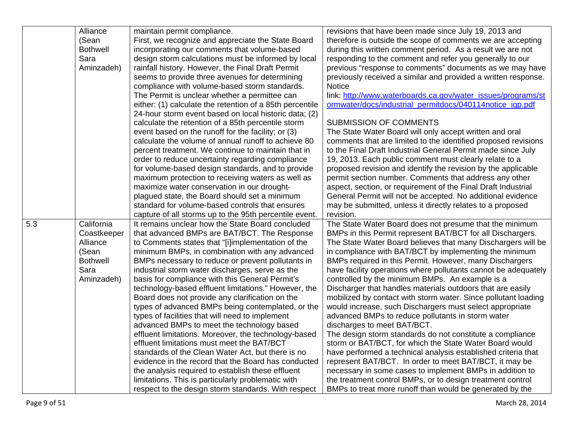|     | Alliance        | maintain permit compliance.                              | revisions that have been made since July 19, 2013 and          |
|-----|-----------------|----------------------------------------------------------|----------------------------------------------------------------|
|     | (Sean           | First, we recognize and appreciate the State Board       | therefore is outside the scope of comments we are accepting    |
|     | <b>Bothwell</b> | incorporating our comments that volume-based             | during this written comment period. As a result we are not     |
|     | Sara            | design storm calculations must be informed by local      | responding to the comment and refer you generally to our       |
|     | Aminzadeh)      | rainfall history. However, the Final Draft Permit        | previous "response to comments" documents as we may have       |
|     |                 | seems to provide three avenues for determining           | previously received a similar and provided a written response. |
|     |                 | compliance with volume-based storm standards.            | <b>Notice</b>                                                  |
|     |                 | The Permit is unclear whether a permittee can            | link: http://www.waterboards.ca.gov/water_issues/programs/st   |
|     |                 | either: (1) calculate the retention of a 85th percentile | ormwater/docs/industrial_permitdocs/040114notice_igp.pdf       |
|     |                 | 24-hour storm event based on local historic data; (2)    |                                                                |
|     |                 | calculate the retention of a 85th percentile storm       | <b>SUBMISSION OF COMMENTS</b>                                  |
|     |                 | event based on the runoff for the facility; or (3)       | The State Water Board will only accept written and oral        |
|     |                 | calculate the volume of annual runoff to achieve 80      | comments that are limited to the identified proposed revisions |
|     |                 | percent treatment. We continue to maintain that in       | to the Final Draft Industrial General Permit made since July   |
|     |                 | order to reduce uncertainty regarding compliance         | 19, 2013. Each public comment must clearly relate to a         |
|     |                 | for volume-based design standards, and to provide        | proposed revision and identify the revision by the applicable  |
|     |                 | maximum protection to receiving waters as well as        | permit section number. Comments that address any other         |
|     |                 | maximize water conservation in our drought-              | aspect, section, or requirement of the Final Draft Industrial  |
|     |                 | plagued state, the Board should set a minimum            | General Permit will not be accepted. No additional evidence    |
|     |                 | standard for volume-based controls that ensures          | may be submitted, unless it directly relates to a proposed     |
|     |                 | capture of all storms up to the 95th percentile event.   | revision.                                                      |
| 5.3 | California      | It remains unclear how the State Board concluded         | The State Water Board does not presume that the minimum        |
|     | Coastkeeper     | that advanced BMPs are BAT/BCT. The Response             | BMPs in this Permit represent BAT/BCT for all Dischargers.     |
|     | Alliance        | to Comments states that "[i]implementation of the        | The State Water Board believes that many Dischargers will be   |
|     | (Sean           | minimum BMPs, in combination with any advanced           | in compliance with BAT/BCT by implementing the minimum         |
|     | <b>Bothwell</b> | BMPs necessary to reduce or prevent pollutants in        | BMPs required in this Permit. However, many Dischargers        |
|     | Sara            | industrial storm water discharges, serve as the          | have facility operations where pollutants cannot be adequately |
|     | Aminzadeh)      | basis for compliance with this General Permit's          | controlled by the minimum BMPs. An example is a                |
|     |                 | technology-based effluent limitations." However, the     | Discharger that handles materials outdoors that are easily     |
|     |                 | Board does not provide any clarification on the          | mobilized by contact with storm water. Since pollutant loading |
|     |                 | types of advanced BMPs being contemplated, or the        | would increase, such Dischargers must select appropriate       |
|     |                 | types of facilities that will need to implement          | advanced BMPs to reduce pollutants in storm water              |
|     |                 | advanced BMPs to meet the technology based               | discharges to meet BAT/BCT.                                    |
|     |                 | effluent limitations. Moreover, the technology-based     | The design storm standards do not constitute a compliance      |
|     |                 | effluent limitations must meet the BAT/BCT               | storm or BAT/BCT, for which the State Water Board would        |
|     |                 | standards of the Clean Water Act, but there is no        | have performed a technical analysis established criteria that  |
|     |                 | evidence in the record that the Board has conducted      | represent BAT/BCT. In order to meet BAT/BCT, it may be         |
|     |                 | the analysis required to establish these effluent        | necessary in some cases to implement BMPs in addition to       |
|     |                 | limitations. This is particularly problematic with       | the treatment control BMPs, or to design treatment control     |
|     |                 | respect to the design storm standards. With respect      | BMPs to treat more runoff than would be generated by the       |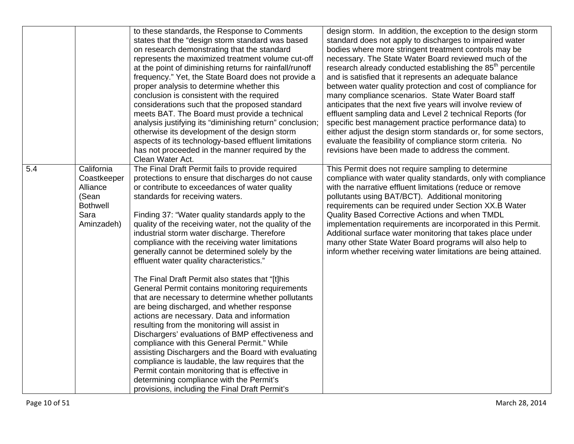|     |                 | to these standards, the Response to Comments             | design storm. In addition, the exception to the design storm            |
|-----|-----------------|----------------------------------------------------------|-------------------------------------------------------------------------|
|     |                 | states that the "design storm standard was based         | standard does not apply to discharges to impaired water                 |
|     |                 | on research demonstrating that the standard              | bodies where more stringent treatment controls may be                   |
|     |                 | represents the maximized treatment volume cut-off        | necessary. The State Water Board reviewed much of the                   |
|     |                 | at the point of diminishing returns for rainfall/runoff  | research already conducted establishing the 85 <sup>th</sup> percentile |
|     |                 | frequency." Yet, the State Board does not provide a      | and is satisfied that it represents an adequate balance                 |
|     |                 | proper analysis to determine whether this                | between water quality protection and cost of compliance for             |
|     |                 | conclusion is consistent with the required               | many compliance scenarios. State Water Board staff                      |
|     |                 | considerations such that the proposed standard           | anticipates that the next five years will involve review of             |
|     |                 | meets BAT. The Board must provide a technical            | effluent sampling data and Level 2 technical Reports (for               |
|     |                 | analysis justifying its "diminishing return" conclusion; | specific best management practice performance data) to                  |
|     |                 | otherwise its development of the design storm            | either adjust the design storm standards or, for some sectors,          |
|     |                 | aspects of its technology-based effluent limitations     | evaluate the feasibility of compliance storm criteria. No               |
|     |                 | has not proceeded in the manner required by the          | revisions have been made to address the comment.                        |
|     |                 | Clean Water Act.                                         |                                                                         |
| 5.4 | California      | The Final Draft Permit fails to provide required         | This Permit does not require sampling to determine                      |
|     | Coastkeeper     | protections to ensure that discharges do not cause       | compliance with water quality standards, only with compliance           |
|     | Alliance        | or contribute to exceedances of water quality            | with the narrative effluent limitations (reduce or remove               |
|     | (Sean           | standards for receiving waters.                          | pollutants using BAT/BCT). Additional monitoring                        |
|     | <b>Bothwell</b> |                                                          | requirements can be required under Section XX.B Water                   |
|     | Sara            | Finding 37: "Water quality standards apply to the        | Quality Based Corrective Actions and when TMDL                          |
|     | Aminzadeh)      | quality of the receiving water, not the quality of the   | implementation requirements are incorporated in this Permit.            |
|     |                 | industrial storm water discharge. Therefore              | Additional surface water monitoring that takes place under              |
|     |                 | compliance with the receiving water limitations          | many other State Water Board programs will also help to                 |
|     |                 | generally cannot be determined solely by the             | inform whether receiving water limitations are being attained.          |
|     |                 | effluent water quality characteristics."                 |                                                                         |
|     |                 | The Final Draft Permit also states that "[t]his          |                                                                         |
|     |                 | General Permit contains monitoring requirements          |                                                                         |
|     |                 | that are necessary to determine whether pollutants       |                                                                         |
|     |                 | are being discharged, and whether response               |                                                                         |
|     |                 | actions are necessary. Data and information              |                                                                         |
|     |                 | resulting from the monitoring will assist in             |                                                                         |
|     |                 | Dischargers' evaluations of BMP effectiveness and        |                                                                         |
|     |                 | compliance with this General Permit." While              |                                                                         |
|     |                 | assisting Dischargers and the Board with evaluating      |                                                                         |
|     |                 | compliance is laudable, the law requires that the        |                                                                         |
|     |                 | Permit contain monitoring that is effective in           |                                                                         |
|     |                 | determining compliance with the Permit's                 |                                                                         |
|     |                 | provisions, including the Final Draft Permit's           |                                                                         |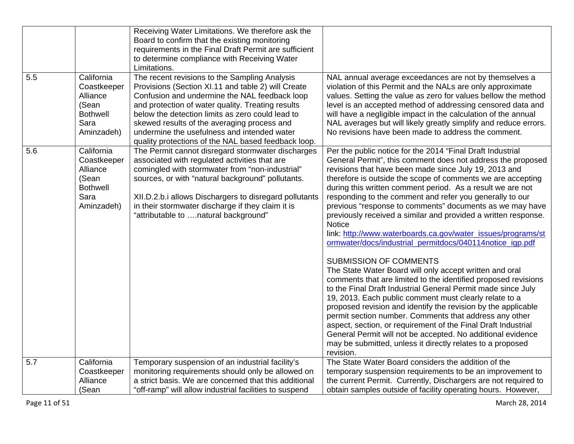|     |                                                                                         | Receiving Water Limitations. We therefore ask the                                                                                                                                                                                                                                                                                                                                                                  |                                                                                                                                                                                                                                                                                                                                                                                                                                                                                                                                                                                                                                                        |
|-----|-----------------------------------------------------------------------------------------|--------------------------------------------------------------------------------------------------------------------------------------------------------------------------------------------------------------------------------------------------------------------------------------------------------------------------------------------------------------------------------------------------------------------|--------------------------------------------------------------------------------------------------------------------------------------------------------------------------------------------------------------------------------------------------------------------------------------------------------------------------------------------------------------------------------------------------------------------------------------------------------------------------------------------------------------------------------------------------------------------------------------------------------------------------------------------------------|
|     |                                                                                         | Board to confirm that the existing monitoring                                                                                                                                                                                                                                                                                                                                                                      |                                                                                                                                                                                                                                                                                                                                                                                                                                                                                                                                                                                                                                                        |
|     |                                                                                         | requirements in the Final Draft Permit are sufficient                                                                                                                                                                                                                                                                                                                                                              |                                                                                                                                                                                                                                                                                                                                                                                                                                                                                                                                                                                                                                                        |
|     |                                                                                         | to determine compliance with Receiving Water                                                                                                                                                                                                                                                                                                                                                                       |                                                                                                                                                                                                                                                                                                                                                                                                                                                                                                                                                                                                                                                        |
|     |                                                                                         | Limitations.                                                                                                                                                                                                                                                                                                                                                                                                       |                                                                                                                                                                                                                                                                                                                                                                                                                                                                                                                                                                                                                                                        |
| 5.5 | California<br>Coastkeeper<br>Alliance<br>(Sean<br><b>Bothwell</b><br>Sara<br>Aminzadeh) | The recent revisions to the Sampling Analysis<br>Provisions (Section XI.11 and table 2) will Create<br>Confusion and undermine the NAL feedback loop<br>and protection of water quality. Treating results<br>below the detection limits as zero could lead to<br>skewed results of the averaging process and<br>undermine the usefulness and intended water<br>quality protections of the NAL based feedback loop. | NAL annual average exceedances are not by themselves a<br>violation of this Permit and the NALs are only approximate<br>values. Setting the value as zero for values bellow the method<br>level is an accepted method of addressing censored data and<br>will have a negligible impact in the calculation of the annual<br>NAL averages but will likely greatly simplify and reduce errors.<br>No revisions have been made to address the comment.                                                                                                                                                                                                     |
| 5.6 | California<br>Coastkeeper<br>Alliance<br>(Sean<br><b>Bothwell</b><br>Sara<br>Aminzadeh) | The Permit cannot disregard stormwater discharges<br>associated with regulated activities that are<br>comingled with stormwater from "non-industrial"<br>sources, or with "natural background" pollutants.<br>XII.D.2.b.i allows Dischargers to disregard pollutants<br>in their stormwater discharge if they claim it is<br>"attributable to natural background"                                                  | Per the public notice for the 2014 "Final Draft Industrial<br>General Permit", this comment does not address the proposed<br>revisions that have been made since July 19, 2013 and<br>therefore is outside the scope of comments we are accepting<br>during this written comment period. As a result we are not<br>responding to the comment and refer you generally to our<br>previous "response to comments" documents as we may have<br>previously received a similar and provided a written response.<br><b>Notice</b><br>link: http://www.waterboards.ca.gov/water_issues/programs/st<br>ormwater/docs/industrial_permitdocs/040114notice_igp.pdf |
|     |                                                                                         |                                                                                                                                                                                                                                                                                                                                                                                                                    | <b>SUBMISSION OF COMMENTS</b><br>The State Water Board will only accept written and oral<br>comments that are limited to the identified proposed revisions<br>to the Final Draft Industrial General Permit made since July<br>19, 2013. Each public comment must clearly relate to a<br>proposed revision and identify the revision by the applicable<br>permit section number. Comments that address any other                                                                                                                                                                                                                                        |
|     |                                                                                         |                                                                                                                                                                                                                                                                                                                                                                                                                    | aspect, section, or requirement of the Final Draft Industrial<br>General Permit will not be accepted. No additional evidence<br>may be submitted, unless it directly relates to a proposed<br>revision.                                                                                                                                                                                                                                                                                                                                                                                                                                                |
| 5.7 | California                                                                              | Temporary suspension of an industrial facility's                                                                                                                                                                                                                                                                                                                                                                   | The State Water Board considers the addition of the                                                                                                                                                                                                                                                                                                                                                                                                                                                                                                                                                                                                    |
|     | Coastkeeper                                                                             | monitoring requirements should only be allowed on                                                                                                                                                                                                                                                                                                                                                                  | temporary suspension requirements to be an improvement to                                                                                                                                                                                                                                                                                                                                                                                                                                                                                                                                                                                              |
|     | Alliance                                                                                | a strict basis. We are concerned that this additional                                                                                                                                                                                                                                                                                                                                                              | the current Permit. Currently, Dischargers are not required to                                                                                                                                                                                                                                                                                                                                                                                                                                                                                                                                                                                         |
|     | (Sean                                                                                   | "off-ramp" will allow industrial facilities to suspend                                                                                                                                                                                                                                                                                                                                                             | obtain samples outside of facility operating hours. However,                                                                                                                                                                                                                                                                                                                                                                                                                                                                                                                                                                                           |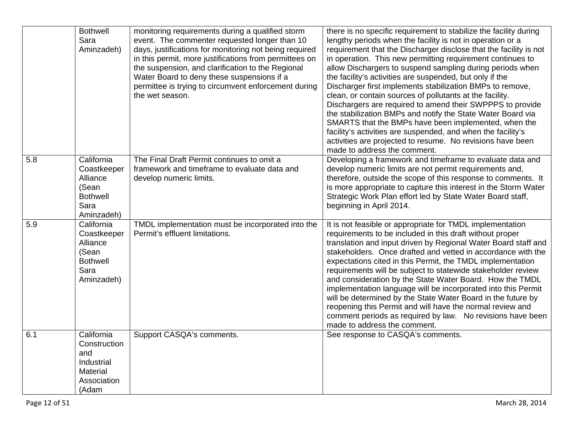|     | <b>Bothwell</b><br>Sara<br>Aminzadeh)                                                   | monitoring requirements during a qualified storm<br>event. The commenter requested longer than 10<br>days, justifications for monitoring not being required<br>in this permit, more justifications from permittees on<br>the suspension, and clarification to the Regional<br>Water Board to deny these suspensions if a<br>permittee is trying to circumvent enforcement during<br>the wet season. | there is no specific requirement to stabilize the facility during<br>lengthy periods when the facility is not in operation or a<br>requirement that the Discharger disclose that the facility is not<br>in operation. This new permitting requirement continues to<br>allow Dischargers to suspend sampling during periods when<br>the facility's activities are suspended, but only if the<br>Discharger first implements stabilization BMPs to remove,<br>clean, or contain sources of pollutants at the facility.<br>Dischargers are required to amend their SWPPPS to provide<br>the stabilization BMPs and notify the State Water Board via<br>SMARTS that the BMPs have been implemented, when the<br>facility's activities are suspended, and when the facility's<br>activities are projected to resume. No revisions have been<br>made to address the comment. |
|-----|-----------------------------------------------------------------------------------------|-----------------------------------------------------------------------------------------------------------------------------------------------------------------------------------------------------------------------------------------------------------------------------------------------------------------------------------------------------------------------------------------------------|------------------------------------------------------------------------------------------------------------------------------------------------------------------------------------------------------------------------------------------------------------------------------------------------------------------------------------------------------------------------------------------------------------------------------------------------------------------------------------------------------------------------------------------------------------------------------------------------------------------------------------------------------------------------------------------------------------------------------------------------------------------------------------------------------------------------------------------------------------------------|
| 5.8 | California<br>Coastkeeper<br>Alliance<br>(Sean<br><b>Bothwell</b><br>Sara<br>Aminzadeh) | The Final Draft Permit continues to omit a<br>framework and timeframe to evaluate data and<br>develop numeric limits.                                                                                                                                                                                                                                                                               | Developing a framework and timeframe to evaluate data and<br>develop numeric limits are not permit requirements and,<br>therefore, outside the scope of this response to comments. It<br>is more appropriate to capture this interest in the Storm Water<br>Strategic Work Plan effort led by State Water Board staff,<br>beginning in April 2014.                                                                                                                                                                                                                                                                                                                                                                                                                                                                                                                     |
| 5.9 | California<br>Coastkeeper<br>Alliance<br>(Sean<br><b>Bothwell</b><br>Sara<br>Aminzadeh) | TMDL implementation must be incorporated into the<br>Permit's effluent limitations.                                                                                                                                                                                                                                                                                                                 | It is not feasible or appropriate for TMDL implementation<br>requirements to be included in this draft without proper<br>translation and input driven by Regional Water Board staff and<br>stakeholders. Once drafted and vetted in accordance with the<br>expectations cited in this Permit, the TMDL implementation<br>requirements will be subject to statewide stakeholder review<br>and consideration by the State Water Board. How the TMDL<br>implementation language will be incorporated into this Permit<br>will be determined by the State Water Board in the future by<br>reopening this Permit and will have the normal review and<br>comment periods as required by law. No revisions have been<br>made to address the comment.                                                                                                                          |
| 6.1 | California<br>Construction<br>and<br>Industrial<br>Material<br>Association<br>(Adam     | Support CASQA's comments.                                                                                                                                                                                                                                                                                                                                                                           | See response to CASQA's comments.                                                                                                                                                                                                                                                                                                                                                                                                                                                                                                                                                                                                                                                                                                                                                                                                                                      |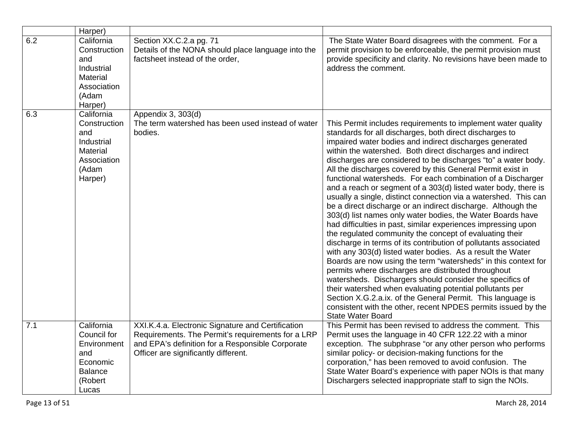|     | Harper)                                                                                           |                                                                                                                                                                                                    |                                                                                                                                                                                                                                                                                                                                                                                                                                                                                                                                                                                                                                                                                                                                                                                                                                                                                                                                                                                                                                                                                                                                                                                                                                                                                                                                                                                            |
|-----|---------------------------------------------------------------------------------------------------|----------------------------------------------------------------------------------------------------------------------------------------------------------------------------------------------------|--------------------------------------------------------------------------------------------------------------------------------------------------------------------------------------------------------------------------------------------------------------------------------------------------------------------------------------------------------------------------------------------------------------------------------------------------------------------------------------------------------------------------------------------------------------------------------------------------------------------------------------------------------------------------------------------------------------------------------------------------------------------------------------------------------------------------------------------------------------------------------------------------------------------------------------------------------------------------------------------------------------------------------------------------------------------------------------------------------------------------------------------------------------------------------------------------------------------------------------------------------------------------------------------------------------------------------------------------------------------------------------------|
| 6.2 | California<br>Construction<br>and<br>Industrial<br>Material<br>Association<br>(Adam<br>Harper)    | Section XX.C.2.a pg. 71<br>Details of the NONA should place language into the<br>factsheet instead of the order,                                                                                   | The State Water Board disagrees with the comment. For a<br>permit provision to be enforceable, the permit provision must<br>provide specificity and clarity. No revisions have been made to<br>address the comment.                                                                                                                                                                                                                                                                                                                                                                                                                                                                                                                                                                                                                                                                                                                                                                                                                                                                                                                                                                                                                                                                                                                                                                        |
| 6.3 | California<br>Construction<br>and<br>Industrial<br>Material<br>Association<br>(Adam<br>Harper)    | Appendix 3, 303(d)<br>The term watershed has been used instead of water<br>bodies.                                                                                                                 | This Permit includes requirements to implement water quality<br>standards for all discharges, both direct discharges to<br>impaired water bodies and indirect discharges generated<br>within the watershed. Both direct discharges and indirect<br>discharges are considered to be discharges "to" a water body.<br>All the discharges covered by this General Permit exist in<br>functional watersheds. For each combination of a Discharger<br>and a reach or segment of a 303(d) listed water body, there is<br>usually a single, distinct connection via a watershed. This can<br>be a direct discharge or an indirect discharge. Although the<br>303(d) list names only water bodies, the Water Boards have<br>had difficulties in past, similar experiences impressing upon<br>the regulated community the concept of evaluating their<br>discharge in terms of its contribution of pollutants associated<br>with any 303(d) listed water bodies. As a result the Water<br>Boards are now using the term "watersheds" in this context for<br>permits where discharges are distributed throughout<br>watersheds. Dischargers should consider the specifics of<br>their watershed when evaluating potential pollutants per<br>Section X.G.2.a.ix. of the General Permit. This language is<br>consistent with the other, recent NPDES permits issued by the<br><b>State Water Board</b> |
| 7.1 | California<br>Council for<br>Environment<br>and<br>Economic<br><b>Balance</b><br>(Robert<br>Lucas | XXI.K.4.a. Electronic Signature and Certification<br>Requirements. The Permit's requirements for a LRP<br>and EPA's definition for a Responsible Corporate<br>Officer are significantly different. | This Permit has been revised to address the comment. This<br>Permit uses the language in 40 CFR 122.22 with a minor<br>exception. The subphrase "or any other person who performs<br>similar policy- or decision-making functions for the<br>corporation," has been removed to avoid confusion. The<br>State Water Board's experience with paper NOIs is that many<br>Dischargers selected inappropriate staff to sign the NOIs.                                                                                                                                                                                                                                                                                                                                                                                                                                                                                                                                                                                                                                                                                                                                                                                                                                                                                                                                                           |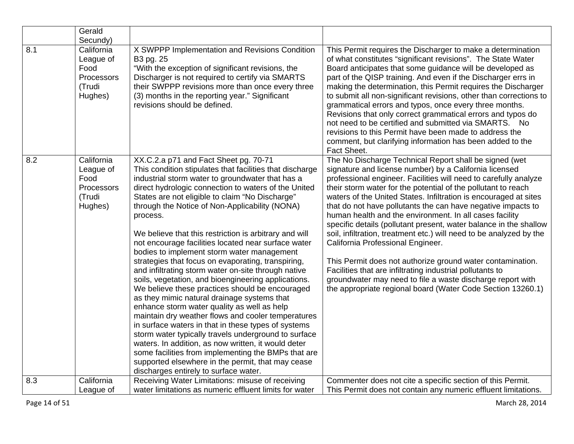|     | Gerald                                                             |                                                                                                                                                                                                                                                                                                                                                                                                                                                                                                                                                                                                                                                                                                                                                                                                                                                                                                                                                                                                                                                                                                                                                                                                     |                                                                                                                                                                                                                                                                                                                                                                                                                                                                                                                                                                                                                                                                                                                                                                                                                                                                                               |
|-----|--------------------------------------------------------------------|-----------------------------------------------------------------------------------------------------------------------------------------------------------------------------------------------------------------------------------------------------------------------------------------------------------------------------------------------------------------------------------------------------------------------------------------------------------------------------------------------------------------------------------------------------------------------------------------------------------------------------------------------------------------------------------------------------------------------------------------------------------------------------------------------------------------------------------------------------------------------------------------------------------------------------------------------------------------------------------------------------------------------------------------------------------------------------------------------------------------------------------------------------------------------------------------------------|-----------------------------------------------------------------------------------------------------------------------------------------------------------------------------------------------------------------------------------------------------------------------------------------------------------------------------------------------------------------------------------------------------------------------------------------------------------------------------------------------------------------------------------------------------------------------------------------------------------------------------------------------------------------------------------------------------------------------------------------------------------------------------------------------------------------------------------------------------------------------------------------------|
|     | Secundy)                                                           |                                                                                                                                                                                                                                                                                                                                                                                                                                                                                                                                                                                                                                                                                                                                                                                                                                                                                                                                                                                                                                                                                                                                                                                                     |                                                                                                                                                                                                                                                                                                                                                                                                                                                                                                                                                                                                                                                                                                                                                                                                                                                                                               |
| 8.1 | California<br>League of<br>Food<br>Processors<br>(Trudi<br>Hughes) | X SWPPP Implementation and Revisions Condition<br>B3 pg. 25<br>"With the exception of significant revisions, the<br>Discharger is not required to certify via SMARTS<br>their SWPPP revisions more than once every three<br>(3) months in the reporting year." Significant<br>revisions should be defined.                                                                                                                                                                                                                                                                                                                                                                                                                                                                                                                                                                                                                                                                                                                                                                                                                                                                                          | This Permit requires the Discharger to make a determination<br>of what constitutes "significant revisions". The State Water<br>Board anticipates that some guidance will be developed as<br>part of the QISP training. And even if the Discharger errs in<br>making the determination, this Permit requires the Discharger<br>to submit all non-significant revisions, other than corrections to<br>grammatical errors and typos, once every three months.<br>Revisions that only correct grammatical errors and typos do<br>not need to be certified and submitted via SMARTS. No<br>revisions to this Permit have been made to address the<br>comment, but clarifying information has been added to the<br>Fact Sheet.                                                                                                                                                                      |
| 8.2 | California<br>League of<br>Food<br>Processors<br>(Trudi<br>Hughes) | XX.C.2.a p71 and Fact Sheet pg. 70-71<br>This condition stipulates that facilities that discharge<br>industrial storm water to groundwater that has a<br>direct hydrologic connection to waters of the United<br>States are not eligible to claim "No Discharge"<br>through the Notice of Non-Applicability (NONA)<br>process.<br>We believe that this restriction is arbitrary and will<br>not encourage facilities located near surface water<br>bodies to implement storm water management<br>strategies that focus on evaporating, transpiring,<br>and infiltrating storm water on-site through native<br>soils, vegetation, and bioengineering applications.<br>We believe these practices should be encouraged<br>as they mimic natural drainage systems that<br>enhance storm water quality as well as help<br>maintain dry weather flows and cooler temperatures<br>in surface waters in that in these types of systems<br>storm water typically travels underground to surface<br>waters. In addition, as now written, it would deter<br>some facilities from implementing the BMPs that are<br>supported elsewhere in the permit, that may cease<br>discharges entirely to surface water. | The No Discharge Technical Report shall be signed (wet<br>signature and license number) by a California licensed<br>professional engineer. Facilities will need to carefully analyze<br>their storm water for the potential of the pollutant to reach<br>waters of the United States. Infiltration is encouraged at sites<br>that do not have pollutants the can have negative impacts to<br>human health and the environment. In all cases facility<br>specific details (pollutant present, water balance in the shallow<br>soil, infiltration, treatment etc.) will need to be analyzed by the<br>California Professional Engineer.<br>This Permit does not authorize ground water contamination.<br>Facilities that are infiltrating industrial pollutants to<br>groundwater may need to file a waste discharge report with<br>the appropriate regional board (Water Code Section 13260.1) |
| 8.3 | California                                                         | Receiving Water Limitations: misuse of receiving                                                                                                                                                                                                                                                                                                                                                                                                                                                                                                                                                                                                                                                                                                                                                                                                                                                                                                                                                                                                                                                                                                                                                    | Commenter does not cite a specific section of this Permit.                                                                                                                                                                                                                                                                                                                                                                                                                                                                                                                                                                                                                                                                                                                                                                                                                                    |
|     | League of                                                          | water limitations as numeric effluent limits for water                                                                                                                                                                                                                                                                                                                                                                                                                                                                                                                                                                                                                                                                                                                                                                                                                                                                                                                                                                                                                                                                                                                                              | This Permit does not contain any numeric effluent limitations.                                                                                                                                                                                                                                                                                                                                                                                                                                                                                                                                                                                                                                                                                                                                                                                                                                |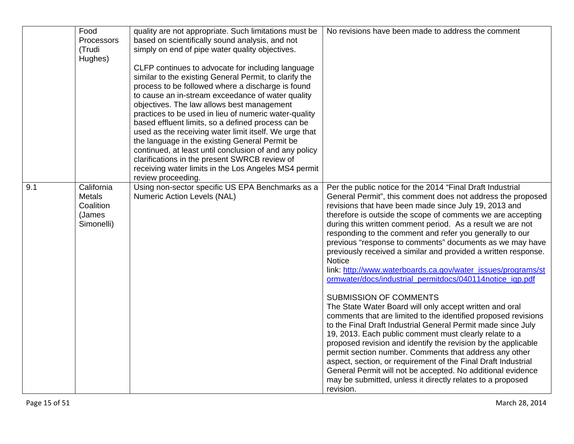|     | Food<br>Processors<br>(Trudi<br>Hughes)                          | quality are not appropriate. Such limitations must be<br>based on scientifically sound analysis, and not<br>simply on end of pipe water quality objectives.<br>CLFP continues to advocate for including language<br>similar to the existing General Permit, to clarify the<br>process to be followed where a discharge is found<br>to cause an in-stream exceedance of water quality<br>objectives. The law allows best management<br>practices to be used in lieu of numeric water-quality<br>based effluent limits, so a defined process can be<br>used as the receiving water limit itself. We urge that<br>the language in the existing General Permit be<br>continued, at least until conclusion of and any policy<br>clarifications in the present SWRCB review of<br>receiving water limits in the Los Angeles MS4 permit<br>review proceeding. | No revisions have been made to address the comment                                                                                                                                                                                                                                                                                                                                                                                                                                                                                                                                                                                                                                                                                                                                                                                                                                                                                                                                                                                                                                                                                                                                                                                                                                   |
|-----|------------------------------------------------------------------|--------------------------------------------------------------------------------------------------------------------------------------------------------------------------------------------------------------------------------------------------------------------------------------------------------------------------------------------------------------------------------------------------------------------------------------------------------------------------------------------------------------------------------------------------------------------------------------------------------------------------------------------------------------------------------------------------------------------------------------------------------------------------------------------------------------------------------------------------------|--------------------------------------------------------------------------------------------------------------------------------------------------------------------------------------------------------------------------------------------------------------------------------------------------------------------------------------------------------------------------------------------------------------------------------------------------------------------------------------------------------------------------------------------------------------------------------------------------------------------------------------------------------------------------------------------------------------------------------------------------------------------------------------------------------------------------------------------------------------------------------------------------------------------------------------------------------------------------------------------------------------------------------------------------------------------------------------------------------------------------------------------------------------------------------------------------------------------------------------------------------------------------------------|
| 9.1 | California<br><b>Metals</b><br>Coalition<br>(James<br>Simonelli) | Using non-sector specific US EPA Benchmarks as a<br><b>Numeric Action Levels (NAL)</b>                                                                                                                                                                                                                                                                                                                                                                                                                                                                                                                                                                                                                                                                                                                                                                 | Per the public notice for the 2014 "Final Draft Industrial<br>General Permit", this comment does not address the proposed<br>revisions that have been made since July 19, 2013 and<br>therefore is outside the scope of comments we are accepting<br>during this written comment period. As a result we are not<br>responding to the comment and refer you generally to our<br>previous "response to comments" documents as we may have<br>previously received a similar and provided a written response.<br><b>Notice</b><br>link: http://www.waterboards.ca.gov/water_issues/programs/st<br>ormwater/docs/industrial permitdocs/040114notice igp.pdf<br><b>SUBMISSION OF COMMENTS</b><br>The State Water Board will only accept written and oral<br>comments that are limited to the identified proposed revisions<br>to the Final Draft Industrial General Permit made since July<br>19, 2013. Each public comment must clearly relate to a<br>proposed revision and identify the revision by the applicable<br>permit section number. Comments that address any other<br>aspect, section, or requirement of the Final Draft Industrial<br>General Permit will not be accepted. No additional evidence<br>may be submitted, unless it directly relates to a proposed<br>revision. |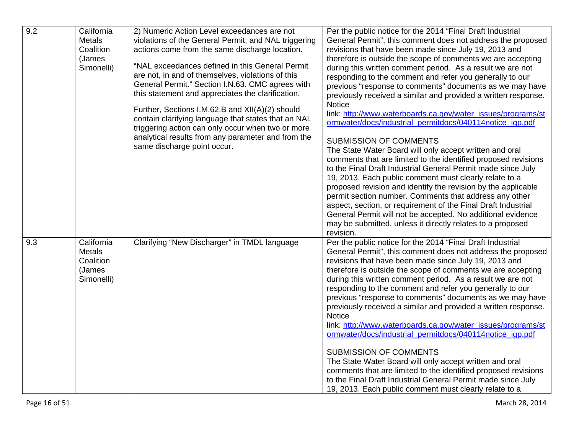| 9.2 | California<br><b>Metals</b><br>Coalition<br>(James<br>Simonelli) | 2) Numeric Action Level exceedances are not<br>violations of the General Permit; and NAL triggering<br>actions come from the same discharge location.<br>"NAL exceedances defined in this General Permit<br>are not, in and of themselves, violations of this<br>General Permit." Section I.N.63. CMC agrees with<br>this statement and appreciates the clarification.<br>Further, Sections I.M.62.B and XII(A)(2) should<br>contain clarifying language that states that an NAL<br>triggering action can only occur when two or more<br>analytical results from any parameter and from the<br>same discharge point occur. | Per the public notice for the 2014 "Final Draft Industrial<br>General Permit", this comment does not address the proposed<br>revisions that have been made since July 19, 2013 and<br>therefore is outside the scope of comments we are accepting<br>during this written comment period. As a result we are not<br>responding to the comment and refer you generally to our<br>previous "response to comments" documents as we may have<br>previously received a similar and provided a written response.<br><b>Notice</b><br>link: http://www.waterboards.ca.gov/water_issues/programs/st<br>ormwater/docs/industrial permitdocs/040114notice igp.pdf<br><b>SUBMISSION OF COMMENTS</b><br>The State Water Board will only accept written and oral<br>comments that are limited to the identified proposed revisions<br>to the Final Draft Industrial General Permit made since July<br>19, 2013. Each public comment must clearly relate to a<br>proposed revision and identify the revision by the applicable<br>permit section number. Comments that address any other<br>aspect, section, or requirement of the Final Draft Industrial<br>General Permit will not be accepted. No additional evidence<br>may be submitted, unless it directly relates to a proposed |
|-----|------------------------------------------------------------------|----------------------------------------------------------------------------------------------------------------------------------------------------------------------------------------------------------------------------------------------------------------------------------------------------------------------------------------------------------------------------------------------------------------------------------------------------------------------------------------------------------------------------------------------------------------------------------------------------------------------------|-------------------------------------------------------------------------------------------------------------------------------------------------------------------------------------------------------------------------------------------------------------------------------------------------------------------------------------------------------------------------------------------------------------------------------------------------------------------------------------------------------------------------------------------------------------------------------------------------------------------------------------------------------------------------------------------------------------------------------------------------------------------------------------------------------------------------------------------------------------------------------------------------------------------------------------------------------------------------------------------------------------------------------------------------------------------------------------------------------------------------------------------------------------------------------------------------------------------------------------------------------------------------|
| 9.3 | California<br><b>Metals</b><br>Coalition<br>(James<br>Simonelli) | Clarifying "New Discharger" in TMDL language                                                                                                                                                                                                                                                                                                                                                                                                                                                                                                                                                                               | revision.<br>Per the public notice for the 2014 "Final Draft Industrial<br>General Permit", this comment does not address the proposed<br>revisions that have been made since July 19, 2013 and<br>therefore is outside the scope of comments we are accepting<br>during this written comment period. As a result we are not<br>responding to the comment and refer you generally to our<br>previous "response to comments" documents as we may have<br>previously received a similar and provided a written response.<br><b>Notice</b><br>link: http://www.waterboards.ca.gov/water_issues/programs/st<br>ormwater/docs/industrial permitdocs/040114notice igp.pdf<br><b>SUBMISSION OF COMMENTS</b><br>The State Water Board will only accept written and oral<br>comments that are limited to the identified proposed revisions<br>to the Final Draft Industrial General Permit made since July<br>19, 2013. Each public comment must clearly relate to a                                                                                                                                                                                                                                                                                                             |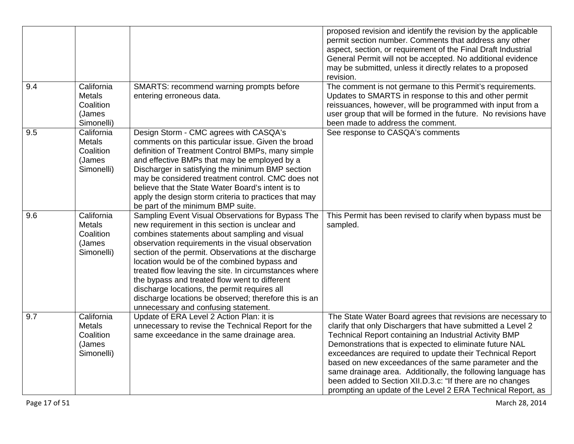| 9.4 | California                                                       | SMARTS: recommend warning prompts before                                                                                                                                                                                                                                                                                                                                                                                                                                                                                                                                      | proposed revision and identify the revision by the applicable<br>permit section number. Comments that address any other<br>aspect, section, or requirement of the Final Draft Industrial<br>General Permit will not be accepted. No additional evidence<br>may be submitted, unless it directly relates to a proposed<br>revision.<br>The comment is not germane to this Permit's requirements.                                                                                                                                                                     |
|-----|------------------------------------------------------------------|-------------------------------------------------------------------------------------------------------------------------------------------------------------------------------------------------------------------------------------------------------------------------------------------------------------------------------------------------------------------------------------------------------------------------------------------------------------------------------------------------------------------------------------------------------------------------------|---------------------------------------------------------------------------------------------------------------------------------------------------------------------------------------------------------------------------------------------------------------------------------------------------------------------------------------------------------------------------------------------------------------------------------------------------------------------------------------------------------------------------------------------------------------------|
|     | <b>Metals</b><br>Coalition<br>(James<br>Simonelli)               | entering erroneous data.                                                                                                                                                                                                                                                                                                                                                                                                                                                                                                                                                      | Updates to SMARTS in response to this and other permit<br>reissuances, however, will be programmed with input from a<br>user group that will be formed in the future. No revisions have<br>been made to address the comment.                                                                                                                                                                                                                                                                                                                                        |
| 9.5 | California<br><b>Metals</b><br>Coalition<br>(James<br>Simonelli) | Design Storm - CMC agrees with CASQA's<br>comments on this particular issue. Given the broad<br>definition of Treatment Control BMPs, many simple<br>and effective BMPs that may be employed by a<br>Discharger in satisfying the minimum BMP section<br>may be considered treatment control. CMC does not<br>believe that the State Water Board's intent is to<br>apply the design storm criteria to practices that may<br>be part of the minimum BMP suite.                                                                                                                 | See response to CASQA's comments                                                                                                                                                                                                                                                                                                                                                                                                                                                                                                                                    |
| 9.6 | California<br><b>Metals</b><br>Coalition<br>(James<br>Simonelli) | Sampling Event Visual Observations for Bypass The<br>new requirement in this section is unclear and<br>combines statements about sampling and visual<br>observation requirements in the visual observation<br>section of the permit. Observations at the discharge<br>location would be of the combined bypass and<br>treated flow leaving the site. In circumstances where<br>the bypass and treated flow went to different<br>discharge locations, the permit requires all<br>discharge locations be observed; therefore this is an<br>unnecessary and confusing statement. | This Permit has been revised to clarify when bypass must be<br>sampled.                                                                                                                                                                                                                                                                                                                                                                                                                                                                                             |
| 9.7 | California<br><b>Metals</b><br>Coalition<br>(James<br>Simonelli) | Update of ERA Level 2 Action Plan: it is<br>unnecessary to revise the Technical Report for the<br>same exceedance in the same drainage area.                                                                                                                                                                                                                                                                                                                                                                                                                                  | The State Water Board agrees that revisions are necessary to<br>clarify that only Dischargers that have submitted a Level 2<br>Technical Report containing an Industrial Activity BMP<br>Demonstrations that is expected to eliminate future NAL<br>exceedances are required to update their Technical Report<br>based on new exceedances of the same parameter and the<br>same drainage area. Additionally, the following language has<br>been added to Section XII.D.3.c: "If there are no changes<br>prompting an update of the Level 2 ERA Technical Report, as |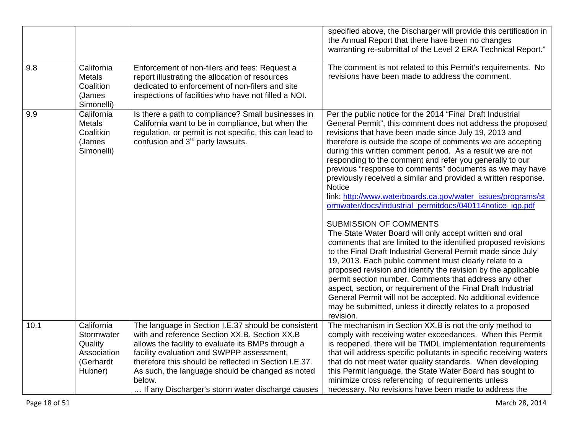|      |                                                                            |                                                                                                                                                                                                                                                                                                                                                                                    | specified above, the Discharger will provide this certification in<br>the Annual Report that there have been no changes<br>warranting re-submittal of the Level 2 ERA Technical Report."                                                                                                                                                                                                                                                                                                                                                                                                                                                                                                                                                                                                                                                                                                                                                                                                                                                                                                                                                                                                                  |
|------|----------------------------------------------------------------------------|------------------------------------------------------------------------------------------------------------------------------------------------------------------------------------------------------------------------------------------------------------------------------------------------------------------------------------------------------------------------------------|-----------------------------------------------------------------------------------------------------------------------------------------------------------------------------------------------------------------------------------------------------------------------------------------------------------------------------------------------------------------------------------------------------------------------------------------------------------------------------------------------------------------------------------------------------------------------------------------------------------------------------------------------------------------------------------------------------------------------------------------------------------------------------------------------------------------------------------------------------------------------------------------------------------------------------------------------------------------------------------------------------------------------------------------------------------------------------------------------------------------------------------------------------------------------------------------------------------|
| 9.8  | California<br>Metals<br>Coalition<br>(James<br>Simonelli)                  | Enforcement of non-filers and fees: Request a<br>report illustrating the allocation of resources<br>dedicated to enforcement of non-filers and site<br>inspections of facilities who have not filled a NOI.                                                                                                                                                                        | The comment is not related to this Permit's requirements. No<br>revisions have been made to address the comment.                                                                                                                                                                                                                                                                                                                                                                                                                                                                                                                                                                                                                                                                                                                                                                                                                                                                                                                                                                                                                                                                                          |
| 9.9  | California<br><b>Metals</b><br>Coalition<br>(James<br>Simonelli)           | Is there a path to compliance? Small businesses in<br>California want to be in compliance, but when the<br>regulation, or permit is not specific, this can lead to<br>confusion and 3 <sup>rd</sup> party lawsuits.                                                                                                                                                                | Per the public notice for the 2014 "Final Draft Industrial<br>General Permit", this comment does not address the proposed<br>revisions that have been made since July 19, 2013 and<br>therefore is outside the scope of comments we are accepting<br>during this written comment period. As a result we are not<br>responding to the comment and refer you generally to our<br>previous "response to comments" documents as we may have<br>previously received a similar and provided a written response.<br><b>Notice</b><br>link: http://www.waterboards.ca.gov/water_issues/programs/st<br>ormwater/docs/industrial_permitdocs/040114notice_igp.pdf<br><b>SUBMISSION OF COMMENTS</b><br>The State Water Board will only accept written and oral<br>comments that are limited to the identified proposed revisions<br>to the Final Draft Industrial General Permit made since July<br>19, 2013. Each public comment must clearly relate to a<br>proposed revision and identify the revision by the applicable<br>permit section number. Comments that address any other<br>aspect, section, or requirement of the Final Draft Industrial<br>General Permit will not be accepted. No additional evidence |
|      |                                                                            |                                                                                                                                                                                                                                                                                                                                                                                    | may be submitted, unless it directly relates to a proposed<br>revision.                                                                                                                                                                                                                                                                                                                                                                                                                                                                                                                                                                                                                                                                                                                                                                                                                                                                                                                                                                                                                                                                                                                                   |
| 10.1 | California<br>Stormwater<br>Quality<br>Association<br>(Gerhardt<br>Hubner) | The language in Section I.E.37 should be consistent<br>with and reference Section XX.B. Section XX.B<br>allows the facility to evaluate its BMPs through a<br>facility evaluation and SWPPP assessment,<br>therefore this should be reflected in Section I.E.37.<br>As such, the language should be changed as noted<br>below.<br>If any Discharger's storm water discharge causes | The mechanism in Section XX.B is not the only method to<br>comply with receiving water exceedances. When this Permit<br>is reopened, there will be TMDL implementation requirements<br>that will address specific pollutants in specific receiving waters<br>that do not meet water quality standards. When developing<br>this Permit language, the State Water Board has sought to<br>minimize cross referencing of requirements unless<br>necessary. No revisions have been made to address the                                                                                                                                                                                                                                                                                                                                                                                                                                                                                                                                                                                                                                                                                                         |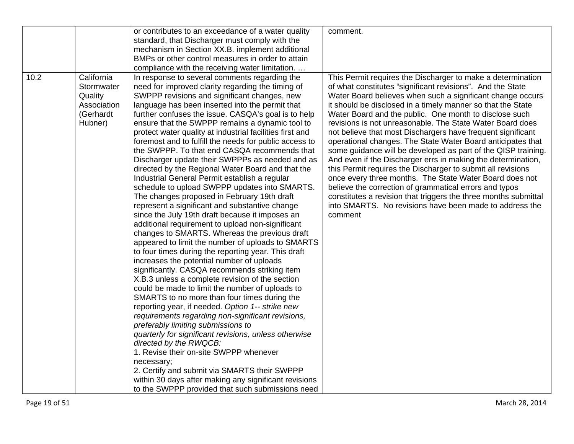|      |                                                                            | or contributes to an exceedance of a water quality                                                                                                                                                                                                                                                                                                                                                                                                                                                                                                                                                                                                                                                                                                                                                                                                                                                                                                                                                                                                                                                                                                                                                                                  | comment.                                                                                                                                                                                                                                                                                                                                                                                                                                                                                                                                                                                                                                     |
|------|----------------------------------------------------------------------------|-------------------------------------------------------------------------------------------------------------------------------------------------------------------------------------------------------------------------------------------------------------------------------------------------------------------------------------------------------------------------------------------------------------------------------------------------------------------------------------------------------------------------------------------------------------------------------------------------------------------------------------------------------------------------------------------------------------------------------------------------------------------------------------------------------------------------------------------------------------------------------------------------------------------------------------------------------------------------------------------------------------------------------------------------------------------------------------------------------------------------------------------------------------------------------------------------------------------------------------|----------------------------------------------------------------------------------------------------------------------------------------------------------------------------------------------------------------------------------------------------------------------------------------------------------------------------------------------------------------------------------------------------------------------------------------------------------------------------------------------------------------------------------------------------------------------------------------------------------------------------------------------|
|      |                                                                            | standard, that Discharger must comply with the                                                                                                                                                                                                                                                                                                                                                                                                                                                                                                                                                                                                                                                                                                                                                                                                                                                                                                                                                                                                                                                                                                                                                                                      |                                                                                                                                                                                                                                                                                                                                                                                                                                                                                                                                                                                                                                              |
|      |                                                                            | mechanism in Section XX.B. implement additional                                                                                                                                                                                                                                                                                                                                                                                                                                                                                                                                                                                                                                                                                                                                                                                                                                                                                                                                                                                                                                                                                                                                                                                     |                                                                                                                                                                                                                                                                                                                                                                                                                                                                                                                                                                                                                                              |
|      |                                                                            | BMPs or other control measures in order to attain                                                                                                                                                                                                                                                                                                                                                                                                                                                                                                                                                                                                                                                                                                                                                                                                                                                                                                                                                                                                                                                                                                                                                                                   |                                                                                                                                                                                                                                                                                                                                                                                                                                                                                                                                                                                                                                              |
|      |                                                                            | compliance with the receiving water limitation.                                                                                                                                                                                                                                                                                                                                                                                                                                                                                                                                                                                                                                                                                                                                                                                                                                                                                                                                                                                                                                                                                                                                                                                     |                                                                                                                                                                                                                                                                                                                                                                                                                                                                                                                                                                                                                                              |
| 10.2 | California<br>Stormwater<br>Quality<br>Association<br>(Gerhardt<br>Hubner) | In response to several comments regarding the<br>need for improved clarity regarding the timing of<br>SWPPP revisions and significant changes, new<br>language has been inserted into the permit that<br>further confuses the issue. CASQA's goal is to help<br>ensure that the SWPPP remains a dynamic tool to<br>protect water quality at industrial facilities first and<br>foremost and to fulfill the needs for public access to<br>the SWPPP. To that end CASQA recommends that<br>Discharger update their SWPPPs as needed and as                                                                                                                                                                                                                                                                                                                                                                                                                                                                                                                                                                                                                                                                                            | This Permit requires the Discharger to make a determination<br>of what constitutes "significant revisions". And the State<br>Water Board believes when such a significant change occurs<br>it should be disclosed in a timely manner so that the State<br>Water Board and the public. One month to disclose such<br>revisions is not unreasonable. The State Water Board does<br>not believe that most Dischargers have frequent significant<br>operational changes. The State Water Board anticipates that<br>some guidance will be developed as part of the QISP training.<br>And even if the Discharger errs in making the determination, |
|      |                                                                            | directed by the Regional Water Board and that the<br>Industrial General Permit establish a regular<br>schedule to upload SWPPP updates into SMARTS.<br>The changes proposed in February 19th draft<br>represent a significant and substantive change<br>since the July 19th draft because it imposes an<br>additional requirement to upload non-significant<br>changes to SMARTS. Whereas the previous draft<br>appeared to limit the number of uploads to SMARTS<br>to four times during the reporting year. This draft<br>increases the potential number of uploads<br>significantly. CASQA recommends striking item<br>X.B.3 unless a complete revision of the section<br>could be made to limit the number of uploads to<br>SMARTS to no more than four times during the<br>reporting year, if needed. Option 1-- strike new<br>requirements regarding non-significant revisions,<br>preferably limiting submissions to<br>quarterly for significant revisions, unless otherwise<br>directed by the RWQCB:<br>1. Revise their on-site SWPPP whenever<br>necessary;<br>2. Certify and submit via SMARTS their SWPPP<br>within 30 days after making any significant revisions<br>to the SWPPP provided that such submissions need | this Permit requires the Discharger to submit all revisions<br>once every three months. The State Water Board does not<br>believe the correction of grammatical errors and typos<br>constitutes a revision that triggers the three months submittal<br>into SMARTS. No revisions have been made to address the<br>comment                                                                                                                                                                                                                                                                                                                    |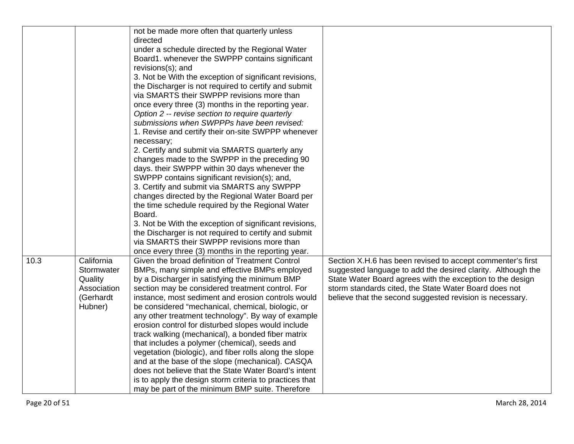|      |             | not be made more often that quarterly unless                                                             |                                                             |
|------|-------------|----------------------------------------------------------------------------------------------------------|-------------------------------------------------------------|
|      |             | directed                                                                                                 |                                                             |
|      |             | under a schedule directed by the Regional Water                                                          |                                                             |
|      |             | Board1. whenever the SWPPP contains significant                                                          |                                                             |
|      |             | revisions(s); and                                                                                        |                                                             |
|      |             | 3. Not be With the exception of significant revisions,                                                   |                                                             |
|      |             | the Discharger is not required to certify and submit                                                     |                                                             |
|      |             | via SMARTS their SWPPP revisions more than                                                               |                                                             |
|      |             | once every three (3) months in the reporting year.                                                       |                                                             |
|      |             | Option 2 -- revise section to require quarterly                                                          |                                                             |
|      |             | submissions when SWPPPs have been revised:                                                               |                                                             |
|      |             | 1. Revise and certify their on-site SWPPP whenever                                                       |                                                             |
|      |             | necessary;                                                                                               |                                                             |
|      |             | 2. Certify and submit via SMARTS quarterly any                                                           |                                                             |
|      |             | changes made to the SWPPP in the preceding 90                                                            |                                                             |
|      |             | days. their SWPPP within 30 days whenever the                                                            |                                                             |
|      |             | SWPPP contains significant revision(s); and,                                                             |                                                             |
|      |             | 3. Certify and submit via SMARTS any SWPPP                                                               |                                                             |
|      |             | changes directed by the Regional Water Board per                                                         |                                                             |
|      |             | the time schedule required by the Regional Water                                                         |                                                             |
|      |             | Board.                                                                                                   |                                                             |
|      |             | 3. Not be With the exception of significant revisions,                                                   |                                                             |
|      |             | the Discharger is not required to certify and submit                                                     |                                                             |
|      |             | via SMARTS their SWPPP revisions more than                                                               |                                                             |
|      |             | once every three (3) months in the reporting year.                                                       |                                                             |
| 10.3 | California  | Given the broad definition of Treatment Control                                                          | Section X.H.6 has been revised to accept commenter's first  |
|      | Stormwater  | BMPs, many simple and effective BMPs employed                                                            | suggested language to add the desired clarity. Although the |
|      | Quality     | by a Discharger in satisfying the minimum BMP                                                            | State Water Board agrees with the exception to the design   |
|      | Association | section may be considered treatment control. For                                                         | storm standards cited, the State Water Board does not       |
|      | (Gerhardt   | instance, most sediment and erosion controls would                                                       | believe that the second suggested revision is necessary.    |
|      | Hubner)     | be considered "mechanical, chemical, biologic, or                                                        |                                                             |
|      |             | any other treatment technology". By way of example<br>erosion control for disturbed slopes would include |                                                             |
|      |             |                                                                                                          |                                                             |
|      |             | track walking (mechanical), a bonded fiber matrix<br>that includes a polymer (chemical), seeds and       |                                                             |
|      |             | vegetation (biologic), and fiber rolls along the slope                                                   |                                                             |
|      |             | and at the base of the slope (mechanical). CASQA                                                         |                                                             |
|      |             | does not believe that the State Water Board's intent                                                     |                                                             |
|      |             | is to apply the design storm criteria to practices that                                                  |                                                             |
|      |             |                                                                                                          |                                                             |
|      |             | may be part of the minimum BMP suite. Therefore                                                          |                                                             |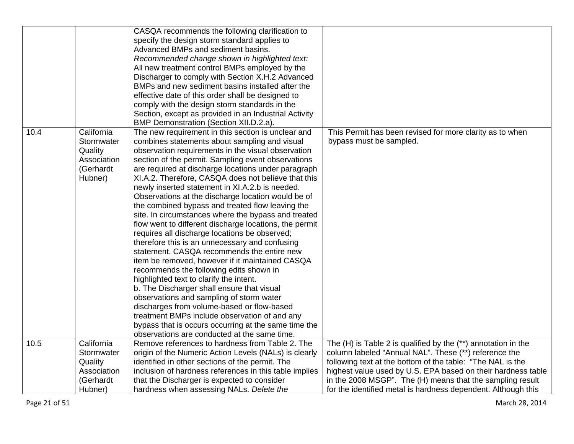| 10.4 | California               | CASQA recommends the following clarification to<br>specify the design storm standard applies to<br>Advanced BMPs and sediment basins.<br>Recommended change shown in highlighted text:<br>All new treatment control BMPs employed by the<br>Discharger to comply with Section X.H.2 Advanced<br>BMPs and new sediment basins installed after the<br>effective date of this order shall be designed to<br>comply with the design storm standards in the<br>Section, except as provided in an Industrial Activity<br>BMP Demonstration (Section XII.D.2.a).<br>The new requirement in this section is unclear and | This Permit has been revised for more clarity as to when          |
|------|--------------------------|-----------------------------------------------------------------------------------------------------------------------------------------------------------------------------------------------------------------------------------------------------------------------------------------------------------------------------------------------------------------------------------------------------------------------------------------------------------------------------------------------------------------------------------------------------------------------------------------------------------------|-------------------------------------------------------------------|
|      | Stormwater<br>Quality    | combines statements about sampling and visual<br>observation requirements in the visual observation                                                                                                                                                                                                                                                                                                                                                                                                                                                                                                             | bypass must be sampled.                                           |
|      | Association<br>(Gerhardt | section of the permit. Sampling event observations                                                                                                                                                                                                                                                                                                                                                                                                                                                                                                                                                              |                                                                   |
|      | Hubner)                  | are required at discharge locations under paragraph<br>XI.A.2. Therefore, CASQA does not believe that this                                                                                                                                                                                                                                                                                                                                                                                                                                                                                                      |                                                                   |
|      |                          | newly inserted statement in XI.A.2.b is needed.                                                                                                                                                                                                                                                                                                                                                                                                                                                                                                                                                                 |                                                                   |
|      |                          | Observations at the discharge location would be of                                                                                                                                                                                                                                                                                                                                                                                                                                                                                                                                                              |                                                                   |
|      |                          | the combined bypass and treated flow leaving the                                                                                                                                                                                                                                                                                                                                                                                                                                                                                                                                                                |                                                                   |
|      |                          | site. In circumstances where the bypass and treated                                                                                                                                                                                                                                                                                                                                                                                                                                                                                                                                                             |                                                                   |
|      |                          | flow went to different discharge locations, the permit                                                                                                                                                                                                                                                                                                                                                                                                                                                                                                                                                          |                                                                   |
|      |                          | requires all discharge locations be observed;                                                                                                                                                                                                                                                                                                                                                                                                                                                                                                                                                                   |                                                                   |
|      |                          | therefore this is an unnecessary and confusing                                                                                                                                                                                                                                                                                                                                                                                                                                                                                                                                                                  |                                                                   |
|      |                          | statement. CASQA recommends the entire new                                                                                                                                                                                                                                                                                                                                                                                                                                                                                                                                                                      |                                                                   |
|      |                          | item be removed, however if it maintained CASQA                                                                                                                                                                                                                                                                                                                                                                                                                                                                                                                                                                 |                                                                   |
|      |                          | recommends the following edits shown in                                                                                                                                                                                                                                                                                                                                                                                                                                                                                                                                                                         |                                                                   |
|      |                          | highlighted text to clarify the intent.                                                                                                                                                                                                                                                                                                                                                                                                                                                                                                                                                                         |                                                                   |
|      |                          | b. The Discharger shall ensure that visual                                                                                                                                                                                                                                                                                                                                                                                                                                                                                                                                                                      |                                                                   |
|      |                          | observations and sampling of storm water                                                                                                                                                                                                                                                                                                                                                                                                                                                                                                                                                                        |                                                                   |
|      |                          | discharges from volume-based or flow-based                                                                                                                                                                                                                                                                                                                                                                                                                                                                                                                                                                      |                                                                   |
|      |                          | treatment BMPs include observation of and any                                                                                                                                                                                                                                                                                                                                                                                                                                                                                                                                                                   |                                                                   |
|      |                          | bypass that is occurs occurring at the same time the                                                                                                                                                                                                                                                                                                                                                                                                                                                                                                                                                            |                                                                   |
|      |                          | observations are conducted at the same time.                                                                                                                                                                                                                                                                                                                                                                                                                                                                                                                                                                    |                                                                   |
| 10.5 | California               | Remove references to hardness from Table 2. The                                                                                                                                                                                                                                                                                                                                                                                                                                                                                                                                                                 | The $(H)$ is Table 2 is qualified by the $(**)$ annotation in the |
|      | Stormwater               | origin of the Numeric Action Levels (NALs) is clearly                                                                                                                                                                                                                                                                                                                                                                                                                                                                                                                                                           | column labeled "Annual NAL". These (**) reference the             |
|      | Quality                  | identified in other sections of the permit. The                                                                                                                                                                                                                                                                                                                                                                                                                                                                                                                                                                 | following text at the bottom of the table: "The NAL is the        |
|      | Association              | inclusion of hardness references in this table implies                                                                                                                                                                                                                                                                                                                                                                                                                                                                                                                                                          | highest value used by U.S. EPA based on their hardness table      |
|      | (Gerhardt                | that the Discharger is expected to consider                                                                                                                                                                                                                                                                                                                                                                                                                                                                                                                                                                     | in the 2008 MSGP". The (H) means that the sampling result         |
|      | Hubner)                  | hardness when assessing NALs. Delete the                                                                                                                                                                                                                                                                                                                                                                                                                                                                                                                                                                        | for the identified metal is hardness dependent. Although this     |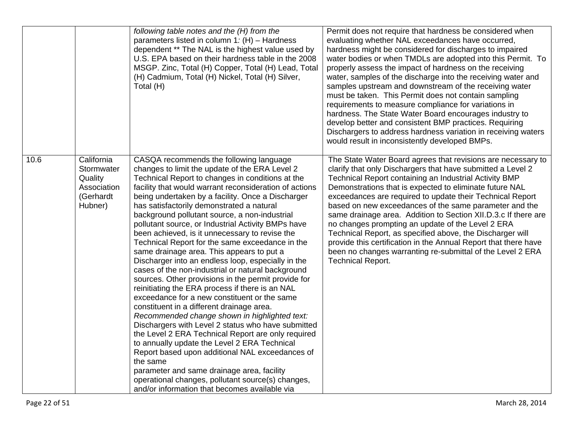|      |                                                                            | following table notes and the (H) from the<br>parameters listed in column $1$ : (H) - Hardness<br>dependent ** The NAL is the highest value used by<br>U.S. EPA based on their hardness table in the 2008<br>MSGP. Zinc, Total (H) Copper, Total (H) Lead, Total<br>(H) Cadmium, Total (H) Nickel, Total (H) Silver,<br>Total (H)                                                                                                                                                                                                                                                                                                                                                                                                                                                                                                                                                                                                                                                                                                                                                                                                                                                                                                                                                                                    | Permit does not require that hardness be considered when<br>evaluating whether NAL exceedances have occurred,<br>hardness might be considered for discharges to impaired<br>water bodies or when TMDLs are adopted into this Permit. To<br>properly assess the impact of hardness on the receiving<br>water, samples of the discharge into the receiving water and<br>samples upstream and downstream of the receiving water<br>must be taken. This Permit does not contain sampling<br>requirements to measure compliance for variations in<br>hardness. The State Water Board encourages industry to<br>develop better and consistent BMP practices. Requiring<br>Dischargers to address hardness variation in receiving waters<br>would result in inconsistently developed BMPs. |
|------|----------------------------------------------------------------------------|----------------------------------------------------------------------------------------------------------------------------------------------------------------------------------------------------------------------------------------------------------------------------------------------------------------------------------------------------------------------------------------------------------------------------------------------------------------------------------------------------------------------------------------------------------------------------------------------------------------------------------------------------------------------------------------------------------------------------------------------------------------------------------------------------------------------------------------------------------------------------------------------------------------------------------------------------------------------------------------------------------------------------------------------------------------------------------------------------------------------------------------------------------------------------------------------------------------------------------------------------------------------------------------------------------------------|-------------------------------------------------------------------------------------------------------------------------------------------------------------------------------------------------------------------------------------------------------------------------------------------------------------------------------------------------------------------------------------------------------------------------------------------------------------------------------------------------------------------------------------------------------------------------------------------------------------------------------------------------------------------------------------------------------------------------------------------------------------------------------------|
| 10.6 | California<br>Stormwater<br>Quality<br>Association<br>(Gerhardt<br>Hubner) | CASQA recommends the following language<br>changes to limit the update of the ERA Level 2<br>Technical Report to changes in conditions at the<br>facility that would warrant reconsideration of actions<br>being undertaken by a facility. Once a Discharger<br>has satisfactorily demonstrated a natural<br>background pollutant source, a non-industrial<br>pollutant source, or Industrial Activity BMPs have<br>been achieved, is it unnecessary to revise the<br>Technical Report for the same exceedance in the<br>same drainage area. This appears to put a<br>Discharger into an endless loop, especially in the<br>cases of the non-industrial or natural background<br>sources. Other provisions in the permit provide for<br>reinitiating the ERA process if there is an NAL<br>exceedance for a new constituent or the same<br>constituent in a different drainage area.<br>Recommended change shown in highlighted text:<br>Dischargers with Level 2 status who have submitted<br>the Level 2 ERA Technical Report are only required<br>to annually update the Level 2 ERA Technical<br>Report based upon additional NAL exceedances of<br>the same<br>parameter and same drainage area, facility<br>operational changes, pollutant source(s) changes,<br>and/or information that becomes available via | The State Water Board agrees that revisions are necessary to<br>clarify that only Dischargers that have submitted a Level 2<br>Technical Report containing an Industrial Activity BMP<br>Demonstrations that is expected to eliminate future NAL<br>exceedances are required to update their Technical Report<br>based on new exceedances of the same parameter and the<br>same drainage area. Addition to Section XII.D.3.c If there are<br>no changes prompting an update of the Level 2 ERA<br>Technical Report, as specified above, the Discharger will<br>provide this certification in the Annual Report that there have<br>been no changes warranting re-submittal of the Level 2 ERA<br><b>Technical Report.</b>                                                            |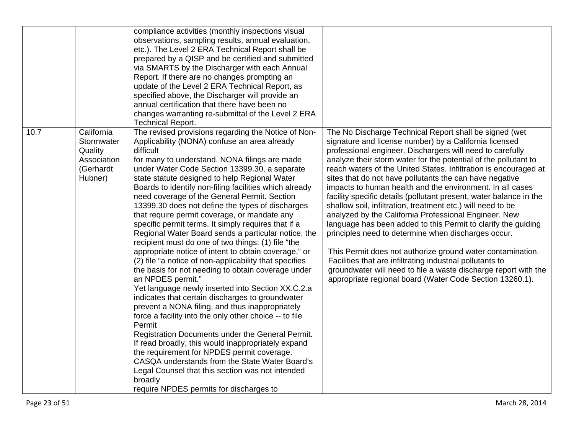|      |                                                                            | compliance activities (monthly inspections visual<br>observations, sampling results, annual evaluation,<br>etc.). The Level 2 ERA Technical Report shall be<br>prepared by a QISP and be certified and submitted<br>via SMARTS by the Discharger with each Annual<br>Report. If there are no changes prompting an<br>update of the Level 2 ERA Technical Report, as<br>specified above, the Discharger will provide an<br>annual certification that there have been no<br>changes warranting re-submittal of the Level 2 ERA<br><b>Technical Report.</b>                                                                                                                                                                                                                                                                                                                                                                                                                                                                                                                                                                                                                                                                                                                                                                                                                                               |                                                                                                                                                                                                                                                                                                                                                                                                                                                                                                                                                                                                                                                                                                                                                                                                                                                                                                                                                                                                                              |
|------|----------------------------------------------------------------------------|--------------------------------------------------------------------------------------------------------------------------------------------------------------------------------------------------------------------------------------------------------------------------------------------------------------------------------------------------------------------------------------------------------------------------------------------------------------------------------------------------------------------------------------------------------------------------------------------------------------------------------------------------------------------------------------------------------------------------------------------------------------------------------------------------------------------------------------------------------------------------------------------------------------------------------------------------------------------------------------------------------------------------------------------------------------------------------------------------------------------------------------------------------------------------------------------------------------------------------------------------------------------------------------------------------------------------------------------------------------------------------------------------------|------------------------------------------------------------------------------------------------------------------------------------------------------------------------------------------------------------------------------------------------------------------------------------------------------------------------------------------------------------------------------------------------------------------------------------------------------------------------------------------------------------------------------------------------------------------------------------------------------------------------------------------------------------------------------------------------------------------------------------------------------------------------------------------------------------------------------------------------------------------------------------------------------------------------------------------------------------------------------------------------------------------------------|
| 10.7 | California<br>Stormwater<br>Quality<br>Association<br>(Gerhardt<br>Hubner) | The revised provisions regarding the Notice of Non-<br>Applicability (NONA) confuse an area already<br>difficult<br>for many to understand. NONA filings are made<br>under Water Code Section 13399.30, a separate<br>state statute designed to help Regional Water<br>Boards to identify non-filing facilities which already<br>need coverage of the General Permit. Section<br>13399.30 does not define the types of discharges<br>that require permit coverage, or mandate any<br>specific permit terms. It simply requires that if a<br>Regional Water Board sends a particular notice, the<br>recipient must do one of two things: (1) file "the<br>appropriate notice of intent to obtain coverage," or<br>(2) file "a notice of non-applicability that specifies<br>the basis for not needing to obtain coverage under<br>an NPDES permit."<br>Yet language newly inserted into Section XX.C.2.a<br>indicates that certain discharges to groundwater<br>prevent a NONA filing, and thus inappropriately<br>force a facility into the only other choice -- to file<br>Permit<br>Registration Documents under the General Permit.<br>If read broadly, this would inappropriately expand<br>the requirement for NPDES permit coverage.<br>CASQA understands from the State Water Board's<br>Legal Counsel that this section was not intended<br>broadly<br>require NPDES permits for discharges to | The No Discharge Technical Report shall be signed (wet<br>signature and license number) by a California licensed<br>professional engineer. Dischargers will need to carefully<br>analyze their storm water for the potential of the pollutant to<br>reach waters of the United States. Infiltration is encouraged at<br>sites that do not have pollutants the can have negative<br>impacts to human health and the environment. In all cases<br>facility specific details (pollutant present, water balance in the<br>shallow soil, infiltration, treatment etc.) will need to be<br>analyzed by the California Professional Engineer. New<br>language has been added to this Permit to clarify the guiding<br>principles need to determine when discharges occur.<br>This Permit does not authorize ground water contamination.<br>Facilities that are infiltrating industrial pollutants to<br>groundwater will need to file a waste discharge report with the<br>appropriate regional board (Water Code Section 13260.1). |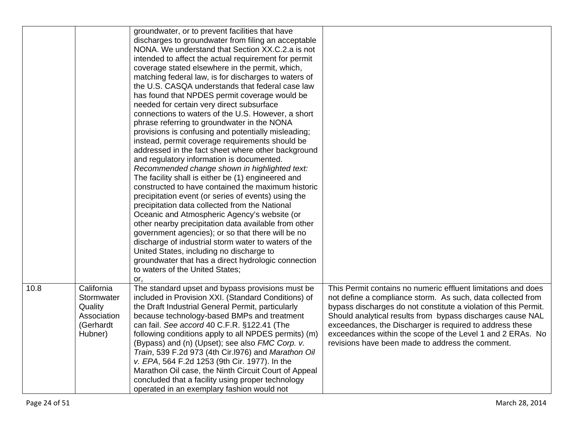|      |                                                              | groundwater, or to prevent facilities that have<br>discharges to groundwater from filing an acceptable<br>NONA. We understand that Section XX.C.2.a is not<br>intended to affect the actual requirement for permit<br>coverage stated elsewhere in the permit, which,<br>matching federal law, is for discharges to waters of<br>the U.S. CASQA understands that federal case law<br>has found that NPDES permit coverage would be<br>needed for certain very direct subsurface<br>connections to waters of the U.S. However, a short<br>phrase referring to groundwater in the NONA<br>provisions is confusing and potentially misleading;<br>instead, permit coverage requirements should be<br>addressed in the fact sheet where other background<br>and regulatory information is documented.<br>Recommended change shown in highlighted text:<br>The facility shall is either be (1) engineered and<br>constructed to have contained the maximum historic<br>precipitation event (or series of events) using the<br>precipitation data collected from the National<br>Oceanic and Atmospheric Agency's website (or<br>other nearby precipitation data available from other<br>government agencies); or so that there will be no<br>discharge of industrial storm water to waters of the<br>United States, including no discharge to<br>groundwater that has a direct hydrologic connection<br>to waters of the United States; |                                                                                                                                                                                                                                                                                                                                                                            |
|------|--------------------------------------------------------------|------------------------------------------------------------------------------------------------------------------------------------------------------------------------------------------------------------------------------------------------------------------------------------------------------------------------------------------------------------------------------------------------------------------------------------------------------------------------------------------------------------------------------------------------------------------------------------------------------------------------------------------------------------------------------------------------------------------------------------------------------------------------------------------------------------------------------------------------------------------------------------------------------------------------------------------------------------------------------------------------------------------------------------------------------------------------------------------------------------------------------------------------------------------------------------------------------------------------------------------------------------------------------------------------------------------------------------------------------------------------------------------------------------------------------------|----------------------------------------------------------------------------------------------------------------------------------------------------------------------------------------------------------------------------------------------------------------------------------------------------------------------------------------------------------------------------|
| 10.8 | California                                                   | or,<br>The standard upset and bypass provisions must be                                                                                                                                                                                                                                                                                                                                                                                                                                                                                                                                                                                                                                                                                                                                                                                                                                                                                                                                                                                                                                                                                                                                                                                                                                                                                                                                                                            | This Permit contains no numeric effluent limitations and does                                                                                                                                                                                                                                                                                                              |
|      | Stormwater<br>Quality<br>Association<br>(Gerhardt<br>Hubner) | included in Provision XXI. (Standard Conditions) of<br>the Draft Industrial General Permit, particularly<br>because technology-based BMPs and treatment<br>can fail. See accord 40 C.F.R. §122.41 (The<br>following conditions apply to all NPDES permits) (m)<br>(Bypass) and (n) (Upset); see also FMC Corp. v.<br>Train, 539 F.2d 973 (4th Cir.1976) and Marathon Oil<br>v. EPA, 564 F.2d 1253 (9th Cir. 1977). In the<br>Marathon Oil case, the Ninth Circuit Court of Appeal<br>concluded that a facility using proper technology<br>operated in an exemplary fashion would not                                                                                                                                                                                                                                                                                                                                                                                                                                                                                                                                                                                                                                                                                                                                                                                                                                               | not define a compliance storm. As such, data collected from<br>bypass discharges do not constitute a violation of this Permit.<br>Should analytical results from bypass discharges cause NAL<br>exceedances, the Discharger is required to address these<br>exceedances within the scope of the Level 1 and 2 ERAs. No<br>revisions have been made to address the comment. |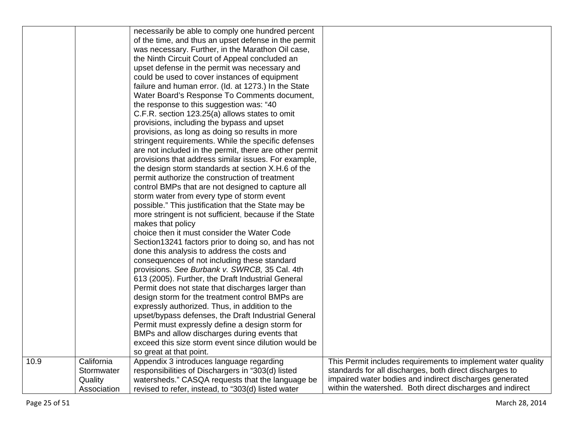|      |             | necessarily be able to comply one hundred percent      |                                                              |
|------|-------------|--------------------------------------------------------|--------------------------------------------------------------|
|      |             | of the time, and thus an upset defense in the permit   |                                                              |
|      |             | was necessary. Further, in the Marathon Oil case,      |                                                              |
|      |             | the Ninth Circuit Court of Appeal concluded an         |                                                              |
|      |             | upset defense in the permit was necessary and          |                                                              |
|      |             | could be used to cover instances of equipment          |                                                              |
|      |             | failure and human error. (Id. at 1273.) In the State   |                                                              |
|      |             | Water Board's Response To Comments document,           |                                                              |
|      |             | the response to this suggestion was: "40               |                                                              |
|      |             | C.F.R. section 123.25(a) allows states to omit         |                                                              |
|      |             | provisions, including the bypass and upset             |                                                              |
|      |             | provisions, as long as doing so results in more        |                                                              |
|      |             | stringent requirements. While the specific defenses    |                                                              |
|      |             | are not included in the permit, there are other permit |                                                              |
|      |             | provisions that address similar issues. For example,   |                                                              |
|      |             | the design storm standards at section X.H.6 of the     |                                                              |
|      |             | permit authorize the construction of treatment         |                                                              |
|      |             | control BMPs that are not designed to capture all      |                                                              |
|      |             | storm water from every type of storm event             |                                                              |
|      |             | possible." This justification that the State may be    |                                                              |
|      |             | more stringent is not sufficient, because if the State |                                                              |
|      |             | makes that policy                                      |                                                              |
|      |             | choice then it must consider the Water Code            |                                                              |
|      |             | Section13241 factors prior to doing so, and has not    |                                                              |
|      |             | done this analysis to address the costs and            |                                                              |
|      |             | consequences of not including these standard           |                                                              |
|      |             | provisions. See Burbank v. SWRCB, 35 Cal. 4th          |                                                              |
|      |             | 613 (2005). Further, the Draft Industrial General      |                                                              |
|      |             | Permit does not state that discharges larger than      |                                                              |
|      |             | design storm for the treatment control BMPs are        |                                                              |
|      |             | expressly authorized. Thus, in addition to the         |                                                              |
|      |             | upset/bypass defenses, the Draft Industrial General    |                                                              |
|      |             | Permit must expressly define a design storm for        |                                                              |
|      |             | BMPs and allow discharges during events that           |                                                              |
|      |             | exceed this size storm event since dilution would be   |                                                              |
|      |             | so great at that point.                                |                                                              |
| 10.9 | California  | Appendix 3 introduces language regarding               | This Permit includes requirements to implement water quality |
|      | Stormwater  | responsibilities of Dischargers in "303(d) listed      | standards for all discharges, both direct discharges to      |
|      | Quality     | watersheds." CASQA requests that the language be       | impaired water bodies and indirect discharges generated      |
|      | Association | revised to refer, instead, to "303(d) listed water     | within the watershed. Both direct discharges and indirect    |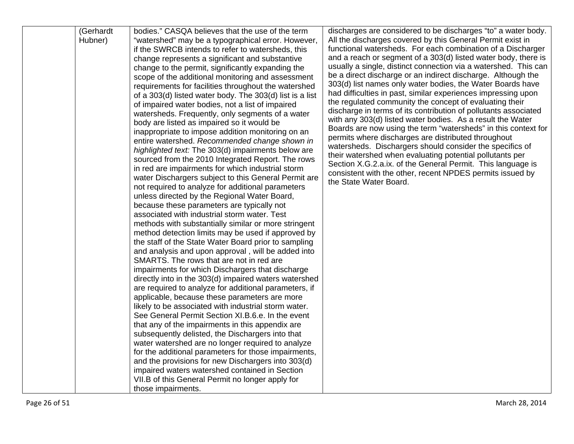| (Gerhardt | bodies." CASQA believes that the use of the term         | discharges are considered to be discharges "to" a water body.<br>All the discharges covered by this General Permit exist in |
|-----------|----------------------------------------------------------|-----------------------------------------------------------------------------------------------------------------------------|
| Hubner)   | "watershed" may be a typographical error. However,       | functional watersheds. For each combination of a Discharger                                                                 |
|           | if the SWRCB intends to refer to watersheds, this        | and a reach or segment of a 303(d) listed water body, there is                                                              |
|           | change represents a significant and substantive          | usually a single, distinct connection via a watershed. This can                                                             |
|           | change to the permit, significantly expanding the        | be a direct discharge or an indirect discharge. Although the                                                                |
|           | scope of the additional monitoring and assessment        |                                                                                                                             |
|           | requirements for facilities throughout the watershed     | 303(d) list names only water bodies, the Water Boards have<br>had difficulties in past, similar experiences impressing upon |
|           | of a 303(d) listed water body. The 303(d) list is a list | the regulated community the concept of evaluating their                                                                     |
|           | of impaired water bodies, not a list of impaired         | discharge in terms of its contribution of pollutants associated                                                             |
|           | watersheds. Frequently, only segments of a water         | with any 303(d) listed water bodies. As a result the Water                                                                  |
|           | body are listed as impaired so it would be               | Boards are now using the term "watersheds" in this context for                                                              |
|           | inappropriate to impose addition monitoring on an        | permits where discharges are distributed throughout                                                                         |
|           | entire watershed. Recommended change shown in            | watersheds. Dischargers should consider the specifics of                                                                    |
|           | highlighted text: The 303(d) impairments below are       | their watershed when evaluating potential pollutants per                                                                    |
|           | sourced from the 2010 Integrated Report. The rows        | Section X.G.2.a.ix. of the General Permit. This language is                                                                 |
|           | in red are impairments for which industrial storm        | consistent with the other, recent NPDES permits issued by                                                                   |
|           | water Dischargers subject to this General Permit are     | the State Water Board.                                                                                                      |
|           | not required to analyze for additional parameters        |                                                                                                                             |
|           | unless directed by the Regional Water Board,             |                                                                                                                             |
|           | because these parameters are typically not               |                                                                                                                             |
|           | associated with industrial storm water. Test             |                                                                                                                             |
|           | methods with substantially similar or more stringent     |                                                                                                                             |
|           | method detection limits may be used if approved by       |                                                                                                                             |
|           | the staff of the State Water Board prior to sampling     |                                                                                                                             |
|           | and analysis and upon approval, will be added into       |                                                                                                                             |
|           | SMARTS. The rows that are not in red are                 |                                                                                                                             |
|           | impairments for which Dischargers that discharge         |                                                                                                                             |
|           | directly into in the 303(d) impaired waters watershed    |                                                                                                                             |
|           | are required to analyze for additional parameters, if    |                                                                                                                             |
|           | applicable, because these parameters are more            |                                                                                                                             |
|           | likely to be associated with industrial storm water.     |                                                                                                                             |
|           | See General Permit Section XI.B.6.e. In the event        |                                                                                                                             |
|           | that any of the impairments in this appendix are         |                                                                                                                             |
|           | subsequently delisted, the Dischargers into that         |                                                                                                                             |
|           | water watershed are no longer required to analyze        |                                                                                                                             |
|           | for the additional parameters for those impairments,     |                                                                                                                             |
|           | and the provisions for new Dischargers into 303(d)       |                                                                                                                             |
|           | impaired waters watershed contained in Section           |                                                                                                                             |
|           | VII.B of this General Permit no longer apply for         |                                                                                                                             |
|           | those impairments.                                       |                                                                                                                             |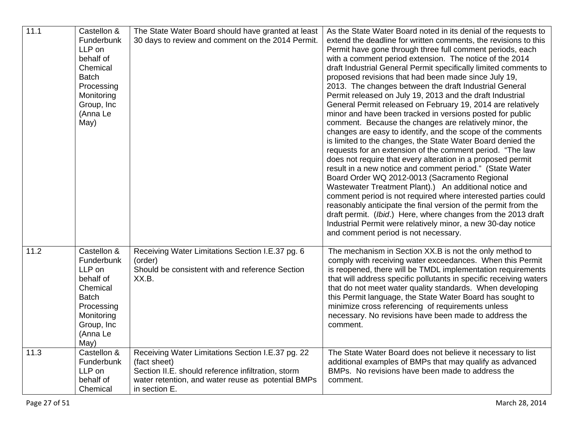| 11.1 | Castellon &<br>Funderbunk<br>LLP on<br>behalf of<br>Chemical<br><b>Batch</b><br>Processing<br>Monitoring<br>Group, Inc<br>(Anna Le<br>May) | The State Water Board should have granted at least<br>30 days to review and comment on the 2014 Permit.                                                                                        | As the State Water Board noted in its denial of the requests to<br>extend the deadline for written comments, the revisions to this<br>Permit have gone through three full comment periods, each<br>with a comment period extension. The notice of the 2014<br>draft Industrial General Permit specifically limited comments to<br>proposed revisions that had been made since July 19,<br>2013. The changes between the draft Industrial General<br>Permit released on July 19, 2013 and the draft Industrial<br>General Permit released on February 19, 2014 are relatively<br>minor and have been tracked in versions posted for public<br>comment. Because the changes are relatively minor, the<br>changes are easy to identify, and the scope of the comments<br>is limited to the changes, the State Water Board denied the<br>requests for an extension of the comment period. "The law<br>does not require that every alteration in a proposed permit<br>result in a new notice and comment period." (State Water<br>Board Order WQ 2012-0013 (Sacramento Regional<br>Wastewater Treatment Plant).) An additional notice and<br>comment period is not required where interested parties could<br>reasonably anticipate the final version of the permit from the<br>draft permit. (Ibid.) Here, where changes from the 2013 draft<br>Industrial Permit were relatively minor, a new 30-day notice<br>and comment period is not necessary. |
|------|--------------------------------------------------------------------------------------------------------------------------------------------|------------------------------------------------------------------------------------------------------------------------------------------------------------------------------------------------|--------------------------------------------------------------------------------------------------------------------------------------------------------------------------------------------------------------------------------------------------------------------------------------------------------------------------------------------------------------------------------------------------------------------------------------------------------------------------------------------------------------------------------------------------------------------------------------------------------------------------------------------------------------------------------------------------------------------------------------------------------------------------------------------------------------------------------------------------------------------------------------------------------------------------------------------------------------------------------------------------------------------------------------------------------------------------------------------------------------------------------------------------------------------------------------------------------------------------------------------------------------------------------------------------------------------------------------------------------------------------------------------------------------------------------------------------|
| 11.2 | Castellon &<br>Funderbunk<br>LLP on<br>behalf of<br>Chemical<br><b>Batch</b><br>Processing<br>Monitoring<br>Group, Inc<br>(Anna Le<br>Mav  | Receiving Water Limitations Section I.E.37 pg. 6<br>(order)<br>Should be consistent with and reference Section<br>XX.B.                                                                        | The mechanism in Section XX.B is not the only method to<br>comply with receiving water exceedances. When this Permit<br>is reopened, there will be TMDL implementation requirements<br>that will address specific pollutants in specific receiving waters<br>that do not meet water quality standards. When developing<br>this Permit language, the State Water Board has sought to<br>minimize cross referencing of requirements unless<br>necessary. No revisions have been made to address the<br>comment.                                                                                                                                                                                                                                                                                                                                                                                                                                                                                                                                                                                                                                                                                                                                                                                                                                                                                                                                    |
| 11.3 | Castellon &<br>Funderbunk<br>LLP on<br>behalf of<br>Chemical                                                                               | Receiving Water Limitations Section I.E.37 pg. 22<br>(fact sheet)<br>Section II.E. should reference infiltration, storm<br>water retention, and water reuse as potential BMPs<br>in section E. | The State Water Board does not believe it necessary to list<br>additional examples of BMPs that may qualify as advanced<br>BMPs. No revisions have been made to address the<br>comment.                                                                                                                                                                                                                                                                                                                                                                                                                                                                                                                                                                                                                                                                                                                                                                                                                                                                                                                                                                                                                                                                                                                                                                                                                                                          |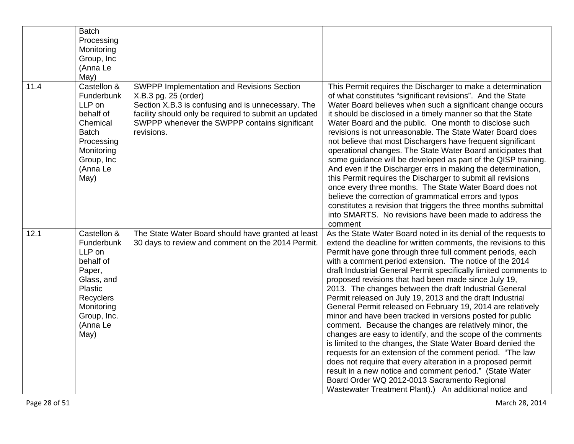|      | <b>Batch</b><br>Processing<br>Monitoring<br>Group, Inc<br>(Anna Le<br>May)                                                                               |                                                                                                                                                                                                                                                  |                                                                                                                                                                                                                                                                                                                                                                                                                                                                                                                                                                                                                                                                                                                                                                                                                                                                                                                                                                                                                                                                                                                                     |
|------|----------------------------------------------------------------------------------------------------------------------------------------------------------|--------------------------------------------------------------------------------------------------------------------------------------------------------------------------------------------------------------------------------------------------|-------------------------------------------------------------------------------------------------------------------------------------------------------------------------------------------------------------------------------------------------------------------------------------------------------------------------------------------------------------------------------------------------------------------------------------------------------------------------------------------------------------------------------------------------------------------------------------------------------------------------------------------------------------------------------------------------------------------------------------------------------------------------------------------------------------------------------------------------------------------------------------------------------------------------------------------------------------------------------------------------------------------------------------------------------------------------------------------------------------------------------------|
| 11.4 | Castellon &<br>Funderbunk<br>LLP on<br>behalf of<br>Chemical<br><b>Batch</b><br>Processing<br>Monitoring<br>Group, Inc<br>(Anna Le<br>May)               | SWPPP Implementation and Revisions Section<br>X.B.3 pg. 25 (order)<br>Section X.B.3 is confusing and is unnecessary. The<br>facility should only be required to submit an updated<br>SWPPP whenever the SWPPP contains significant<br>revisions. | This Permit requires the Discharger to make a determination<br>of what constitutes "significant revisions". And the State<br>Water Board believes when such a significant change occurs<br>it should be disclosed in a timely manner so that the State<br>Water Board and the public. One month to disclose such<br>revisions is not unreasonable. The State Water Board does<br>not believe that most Dischargers have frequent significant<br>operational changes. The State Water Board anticipates that<br>some guidance will be developed as part of the QISP training.<br>And even if the Discharger errs in making the determination,<br>this Permit requires the Discharger to submit all revisions<br>once every three months. The State Water Board does not<br>believe the correction of grammatical errors and typos<br>constitutes a revision that triggers the three months submittal<br>into SMARTS. No revisions have been made to address the<br>comment                                                                                                                                                           |
| 12.1 | Castellon &<br>Funderbunk<br>LLP on<br>behalf of<br>Paper,<br>Glass, and<br><b>Plastic</b><br>Recyclers<br>Monitoring<br>Group, Inc.<br>(Anna Le<br>May) | The State Water Board should have granted at least<br>30 days to review and comment on the 2014 Permit.                                                                                                                                          | As the State Water Board noted in its denial of the requests to<br>extend the deadline for written comments, the revisions to this<br>Permit have gone through three full comment periods, each<br>with a comment period extension. The notice of the 2014<br>draft Industrial General Permit specifically limited comments to<br>proposed revisions that had been made since July 19,<br>2013. The changes between the draft Industrial General<br>Permit released on July 19, 2013 and the draft Industrial<br>General Permit released on February 19, 2014 are relatively<br>minor and have been tracked in versions posted for public<br>comment. Because the changes are relatively minor, the<br>changes are easy to identify, and the scope of the comments<br>is limited to the changes, the State Water Board denied the<br>requests for an extension of the comment period. "The law<br>does not require that every alteration in a proposed permit<br>result in a new notice and comment period." (State Water<br>Board Order WQ 2012-0013 Sacramento Regional<br>Wastewater Treatment Plant).) An additional notice and |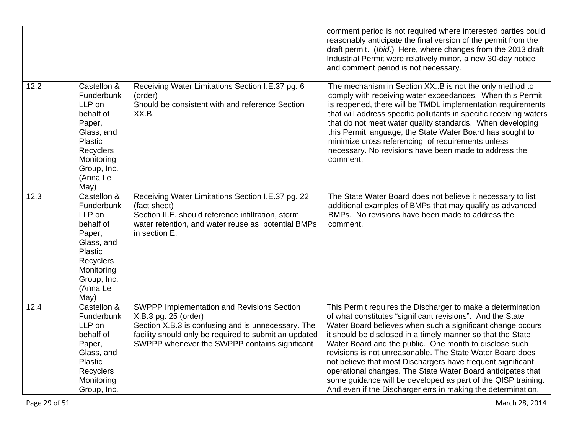|      |                                                                                                                                                          |                                                                                                                                                                                                                                    | comment period is not required where interested parties could<br>reasonably anticipate the final version of the permit from the<br>draft permit. (Ibid.) Here, where changes from the 2013 draft<br>Industrial Permit were relatively minor, a new 30-day notice<br>and comment period is not necessary.                                                                                                                                                                                                                                                                                                                                     |
|------|----------------------------------------------------------------------------------------------------------------------------------------------------------|------------------------------------------------------------------------------------------------------------------------------------------------------------------------------------------------------------------------------------|----------------------------------------------------------------------------------------------------------------------------------------------------------------------------------------------------------------------------------------------------------------------------------------------------------------------------------------------------------------------------------------------------------------------------------------------------------------------------------------------------------------------------------------------------------------------------------------------------------------------------------------------|
| 12.2 | Castellon &<br>Funderbunk<br>LLP on<br>behalf of<br>Paper,<br>Glass, and<br><b>Plastic</b><br>Recyclers<br>Monitoring<br>Group, Inc.<br>(Anna Le<br>May) | Receiving Water Limitations Section I.E.37 pg. 6<br>(order)<br>Should be consistent with and reference Section<br>XX.B.                                                                                                            | The mechanism in Section XXB is not the only method to<br>comply with receiving water exceedances. When this Permit<br>is reopened, there will be TMDL implementation requirements<br>that will address specific pollutants in specific receiving waters<br>that do not meet water quality standards. When developing<br>this Permit language, the State Water Board has sought to<br>minimize cross referencing of requirements unless<br>necessary. No revisions have been made to address the<br>comment.                                                                                                                                 |
| 12.3 | Castellon &<br>Funderbunk<br>LLP on<br>behalf of<br>Paper,<br>Glass, and<br><b>Plastic</b><br>Recyclers<br>Monitoring<br>Group, Inc.<br>(Anna Le<br>May) | Receiving Water Limitations Section I.E.37 pg. 22<br>(fact sheet)<br>Section II.E. should reference infiltration, storm<br>water retention, and water reuse as potential BMPs<br>in section E.                                     | The State Water Board does not believe it necessary to list<br>additional examples of BMPs that may qualify as advanced<br>BMPs. No revisions have been made to address the<br>comment.                                                                                                                                                                                                                                                                                                                                                                                                                                                      |
| 12.4 | Castellon &<br>Funderbunk<br>LLP on<br>behalf of<br>Paper,<br>Glass, and<br>Plastic<br>Recyclers<br>Monitoring<br>Group, Inc.                            | SWPPP Implementation and Revisions Section<br>X.B.3 pg. 25 (order)<br>Section X.B.3 is confusing and is unnecessary. The<br>facility should only be required to submit an updated<br>SWPPP whenever the SWPPP contains significant | This Permit requires the Discharger to make a determination<br>of what constitutes "significant revisions". And the State<br>Water Board believes when such a significant change occurs<br>it should be disclosed in a timely manner so that the State<br>Water Board and the public. One month to disclose such<br>revisions is not unreasonable. The State Water Board does<br>not believe that most Dischargers have frequent significant<br>operational changes. The State Water Board anticipates that<br>some guidance will be developed as part of the QISP training.<br>And even if the Discharger errs in making the determination, |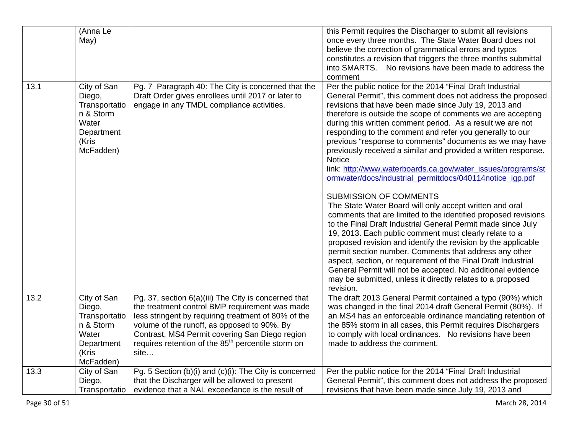|      | $\overline{(A}$ nna Le<br>May)                                                                   |                                                                                                                                                                                                                                                                                                                                          | this Permit requires the Discharger to submit all revisions<br>once every three months. The State Water Board does not<br>believe the correction of grammatical errors and typos<br>constitutes a revision that triggers the three months submittal<br>into SMARTS. No revisions have been made to address the<br>comment                                                                                                                                                                                                                                                                                                                                                                                                                                                                                                                                                                                                                                                                                                                                                                                                                                                                                                                                                            |
|------|--------------------------------------------------------------------------------------------------|------------------------------------------------------------------------------------------------------------------------------------------------------------------------------------------------------------------------------------------------------------------------------------------------------------------------------------------|--------------------------------------------------------------------------------------------------------------------------------------------------------------------------------------------------------------------------------------------------------------------------------------------------------------------------------------------------------------------------------------------------------------------------------------------------------------------------------------------------------------------------------------------------------------------------------------------------------------------------------------------------------------------------------------------------------------------------------------------------------------------------------------------------------------------------------------------------------------------------------------------------------------------------------------------------------------------------------------------------------------------------------------------------------------------------------------------------------------------------------------------------------------------------------------------------------------------------------------------------------------------------------------|
| 13.1 | City of San<br>Diego,<br>Transportatio<br>n & Storm<br>Water<br>Department<br>(Kris<br>McFadden) | Pg. 7 Paragraph 40: The City is concerned that the<br>Draft Order gives enrollees until 2017 or later to<br>engage in any TMDL compliance activities.                                                                                                                                                                                    | Per the public notice for the 2014 "Final Draft Industrial<br>General Permit", this comment does not address the proposed<br>revisions that have been made since July 19, 2013 and<br>therefore is outside the scope of comments we are accepting<br>during this written comment period. As a result we are not<br>responding to the comment and refer you generally to our<br>previous "response to comments" documents as we may have<br>previously received a similar and provided a written response.<br><b>Notice</b><br>link: http://www.waterboards.ca.gov/water_issues/programs/st<br>ormwater/docs/industrial permitdocs/040114notice igp.pdf<br><b>SUBMISSION OF COMMENTS</b><br>The State Water Board will only accept written and oral<br>comments that are limited to the identified proposed revisions<br>to the Final Draft Industrial General Permit made since July<br>19, 2013. Each public comment must clearly relate to a<br>proposed revision and identify the revision by the applicable<br>permit section number. Comments that address any other<br>aspect, section, or requirement of the Final Draft Industrial<br>General Permit will not be accepted. No additional evidence<br>may be submitted, unless it directly relates to a proposed<br>revision. |
| 13.2 | City of San<br>Diego,<br>Transportatio<br>n & Storm<br>Water<br>Department<br>(Kris<br>McFadden) | Pg. 37, section 6(a)(iii) The City is concerned that<br>the treatment control BMP requirement was made<br>less stringent by requiring treatment of 80% of the<br>volume of the runoff, as opposed to 90%. By<br>Contrast, MS4 Permit covering San Diego region<br>requires retention of the 85 <sup>th</sup> percentile storm on<br>site | The draft 2013 General Permit contained a typo (90%) which<br>was changed in the final 2014 draft General Permit (80%). If<br>an MS4 has an enforceable ordinance mandating retention of<br>the 85% storm in all cases, this Permit requires Dischargers<br>to comply with local ordinances. No revisions have been<br>made to address the comment.                                                                                                                                                                                                                                                                                                                                                                                                                                                                                                                                                                                                                                                                                                                                                                                                                                                                                                                                  |
| 13.3 | City of San<br>Diego,<br>Transportatio                                                           | Pg. 5 Section (b)(i) and (c)(i): The City is concerned<br>that the Discharger will be allowed to present<br>evidence that a NAL exceedance is the result of                                                                                                                                                                              | Per the public notice for the 2014 "Final Draft Industrial<br>General Permit", this comment does not address the proposed<br>revisions that have been made since July 19, 2013 and                                                                                                                                                                                                                                                                                                                                                                                                                                                                                                                                                                                                                                                                                                                                                                                                                                                                                                                                                                                                                                                                                                   |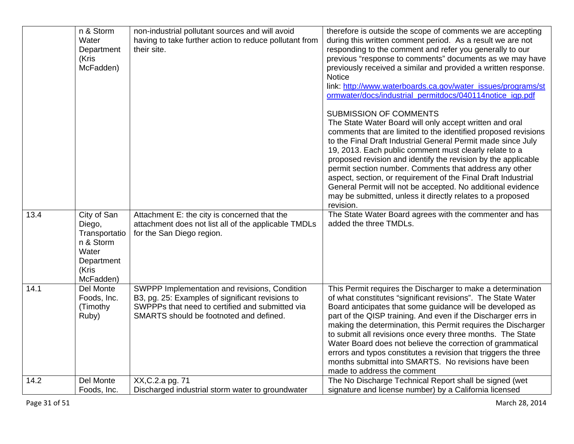| Water<br>having to take further action to reduce pollutant from<br>during this written comment period. As a result we are not<br>responding to the comment and refer you generally to our<br>their site.<br>Department<br>(Kris<br>McFadden)<br><b>Notice</b><br>ormwater/docs/industrial permitdocs/040114notice igp.pdf<br><b>SUBMISSION OF COMMENTS</b><br>The State Water Board will only accept written and oral<br>to the Final Draft Industrial General Permit made since July<br>19, 2013. Each public comment must clearly relate to a<br>proposed revision and identify the revision by the applicable | n & Storm | non-industrial pollutant sources and will avoid | therefore is outside the scope of comments we are accepting    |
|------------------------------------------------------------------------------------------------------------------------------------------------------------------------------------------------------------------------------------------------------------------------------------------------------------------------------------------------------------------------------------------------------------------------------------------------------------------------------------------------------------------------------------------------------------------------------------------------------------------|-----------|-------------------------------------------------|----------------------------------------------------------------|
|                                                                                                                                                                                                                                                                                                                                                                                                                                                                                                                                                                                                                  |           |                                                 |                                                                |
|                                                                                                                                                                                                                                                                                                                                                                                                                                                                                                                                                                                                                  |           |                                                 |                                                                |
|                                                                                                                                                                                                                                                                                                                                                                                                                                                                                                                                                                                                                  |           |                                                 | previous "response to comments" documents as we may have       |
|                                                                                                                                                                                                                                                                                                                                                                                                                                                                                                                                                                                                                  |           |                                                 | previously received a similar and provided a written response. |
|                                                                                                                                                                                                                                                                                                                                                                                                                                                                                                                                                                                                                  |           |                                                 |                                                                |
|                                                                                                                                                                                                                                                                                                                                                                                                                                                                                                                                                                                                                  |           |                                                 | link: http://www.waterboards.ca.gov/water_issues/programs/st   |
|                                                                                                                                                                                                                                                                                                                                                                                                                                                                                                                                                                                                                  |           |                                                 |                                                                |
|                                                                                                                                                                                                                                                                                                                                                                                                                                                                                                                                                                                                                  |           |                                                 |                                                                |
|                                                                                                                                                                                                                                                                                                                                                                                                                                                                                                                                                                                                                  |           |                                                 |                                                                |
|                                                                                                                                                                                                                                                                                                                                                                                                                                                                                                                                                                                                                  |           |                                                 | comments that are limited to the identified proposed revisions |
|                                                                                                                                                                                                                                                                                                                                                                                                                                                                                                                                                                                                                  |           |                                                 |                                                                |
|                                                                                                                                                                                                                                                                                                                                                                                                                                                                                                                                                                                                                  |           |                                                 |                                                                |
|                                                                                                                                                                                                                                                                                                                                                                                                                                                                                                                                                                                                                  |           |                                                 |                                                                |
| permit section number. Comments that address any other                                                                                                                                                                                                                                                                                                                                                                                                                                                                                                                                                           |           |                                                 |                                                                |
| aspect, section, or requirement of the Final Draft Industrial                                                                                                                                                                                                                                                                                                                                                                                                                                                                                                                                                    |           |                                                 |                                                                |
| General Permit will not be accepted. No additional evidence                                                                                                                                                                                                                                                                                                                                                                                                                                                                                                                                                      |           |                                                 |                                                                |
| may be submitted, unless it directly relates to a proposed<br>revision.                                                                                                                                                                                                                                                                                                                                                                                                                                                                                                                                          |           |                                                 |                                                                |
| The State Water Board agrees with the commenter and has<br>13.4<br>City of San<br>Attachment E: the city is concerned that the                                                                                                                                                                                                                                                                                                                                                                                                                                                                                   |           |                                                 |                                                                |
| added the three TMDLs.<br>attachment does not list all of the applicable TMDLs<br>Diego,                                                                                                                                                                                                                                                                                                                                                                                                                                                                                                                         |           |                                                 |                                                                |
| Transportatio<br>for the San Diego region.                                                                                                                                                                                                                                                                                                                                                                                                                                                                                                                                                                       |           |                                                 |                                                                |
| n & Storm                                                                                                                                                                                                                                                                                                                                                                                                                                                                                                                                                                                                        |           |                                                 |                                                                |
| Water                                                                                                                                                                                                                                                                                                                                                                                                                                                                                                                                                                                                            |           |                                                 |                                                                |
| Department                                                                                                                                                                                                                                                                                                                                                                                                                                                                                                                                                                                                       |           |                                                 |                                                                |
| (Kris                                                                                                                                                                                                                                                                                                                                                                                                                                                                                                                                                                                                            |           |                                                 |                                                                |
| McFadden)                                                                                                                                                                                                                                                                                                                                                                                                                                                                                                                                                                                                        |           |                                                 |                                                                |
| 14.1<br>Del Monte<br>SWPPP Implementation and revisions, Condition<br>This Permit requires the Discharger to make a determination                                                                                                                                                                                                                                                                                                                                                                                                                                                                                |           |                                                 |                                                                |
| B3, pg. 25: Examples of significant revisions to<br>of what constitutes "significant revisions". The State Water<br>Foods, Inc.                                                                                                                                                                                                                                                                                                                                                                                                                                                                                  |           |                                                 |                                                                |
| SWPPPs that need to certified and submitted via<br>(Timothy<br>Board anticipates that some guidance will be developed as                                                                                                                                                                                                                                                                                                                                                                                                                                                                                         |           |                                                 |                                                                |
| Ruby)<br>SMARTS should be footnoted and defined.<br>part of the QISP training. And even if the Discharger errs in                                                                                                                                                                                                                                                                                                                                                                                                                                                                                                |           |                                                 |                                                                |
|                                                                                                                                                                                                                                                                                                                                                                                                                                                                                                                                                                                                                  |           |                                                 | making the determination, this Permit requires the Discharger  |
| to submit all revisions once every three months. The State                                                                                                                                                                                                                                                                                                                                                                                                                                                                                                                                                       |           |                                                 |                                                                |
| Water Board does not believe the correction of grammatical                                                                                                                                                                                                                                                                                                                                                                                                                                                                                                                                                       |           |                                                 |                                                                |
| errors and typos constitutes a revision that triggers the three                                                                                                                                                                                                                                                                                                                                                                                                                                                                                                                                                  |           |                                                 |                                                                |
| months submittal into SMARTS. No revisions have been<br>made to address the comment                                                                                                                                                                                                                                                                                                                                                                                                                                                                                                                              |           |                                                 |                                                                |
| XX, C.2.a pg. 71<br>14.2<br>Del Monte<br>The No Discharge Technical Report shall be signed (wet                                                                                                                                                                                                                                                                                                                                                                                                                                                                                                                  |           |                                                 |                                                                |
| signature and license number) by a California licensed<br>Foods, Inc.<br>Discharged industrial storm water to groundwater                                                                                                                                                                                                                                                                                                                                                                                                                                                                                        |           |                                                 |                                                                |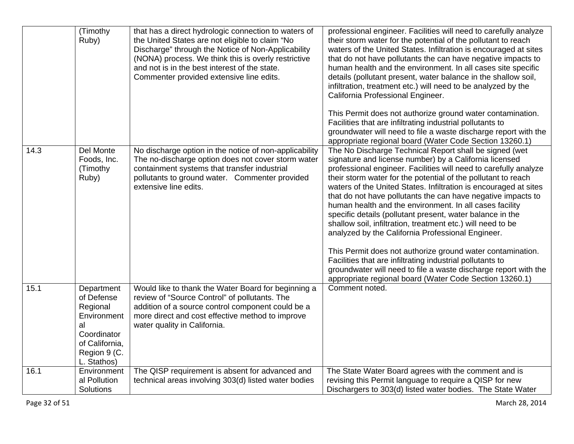|      | (Timothy<br>Ruby)                                                                                                         | that has a direct hydrologic connection to waters of<br>the United States are not eligible to claim "No<br>Discharge" through the Notice of Non-Applicability<br>(NONA) process. We think this is overly restrictive<br>and not is in the best interest of the state.<br>Commenter provided extensive line edits. | professional engineer. Facilities will need to carefully analyze<br>their storm water for the potential of the pollutant to reach<br>waters of the United States. Infiltration is encouraged at sites<br>that do not have pollutants the can have negative impacts to<br>human health and the environment. In all cases site specific<br>details (pollutant present, water balance in the shallow soil,<br>infiltration, treatment etc.) will need to be analyzed by the<br>California Professional Engineer.<br>This Permit does not authorize ground water contamination.<br>Facilities that are infiltrating industrial pollutants to<br>groundwater will need to file a waste discharge report with the<br>appropriate regional board (Water Code Section 13260.1)                                                                                                                         |
|------|---------------------------------------------------------------------------------------------------------------------------|-------------------------------------------------------------------------------------------------------------------------------------------------------------------------------------------------------------------------------------------------------------------------------------------------------------------|------------------------------------------------------------------------------------------------------------------------------------------------------------------------------------------------------------------------------------------------------------------------------------------------------------------------------------------------------------------------------------------------------------------------------------------------------------------------------------------------------------------------------------------------------------------------------------------------------------------------------------------------------------------------------------------------------------------------------------------------------------------------------------------------------------------------------------------------------------------------------------------------|
| 14.3 | Del Monte<br>Foods, Inc.<br>(Timothy<br>Ruby)                                                                             | No discharge option in the notice of non-applicability<br>The no-discharge option does not cover storm water<br>containment systems that transfer industrial<br>pollutants to ground water. Commenter provided<br>extensive line edits.                                                                           | The No Discharge Technical Report shall be signed (wet<br>signature and license number) by a California licensed<br>professional engineer. Facilities will need to carefully analyze<br>their storm water for the potential of the pollutant to reach<br>waters of the United States. Infiltration is encouraged at sites<br>that do not have pollutants the can have negative impacts to<br>human health and the environment. In all cases facility<br>specific details (pollutant present, water balance in the<br>shallow soil, infiltration, treatment etc.) will need to be<br>analyzed by the California Professional Engineer.<br>This Permit does not authorize ground water contamination.<br>Facilities that are infiltrating industrial pollutants to<br>groundwater will need to file a waste discharge report with the<br>appropriate regional board (Water Code Section 13260.1) |
| 15.1 | Department<br>of Defense<br>Regional<br>Environment<br>al<br>Coordinator<br>of California,<br>Region 9 (C.<br>L. Stathos) | Would like to thank the Water Board for beginning a<br>review of "Source Control" of pollutants. The<br>addition of a source control component could be a<br>more direct and cost effective method to improve<br>water quality in California.                                                                     | Comment noted.                                                                                                                                                                                                                                                                                                                                                                                                                                                                                                                                                                                                                                                                                                                                                                                                                                                                                 |
| 16.1 | Environment<br>al Pollution<br>Solutions                                                                                  | The QISP requirement is absent for advanced and<br>technical areas involving 303(d) listed water bodies                                                                                                                                                                                                           | The State Water Board agrees with the comment and is<br>revising this Permit language to require a QISP for new<br>Dischargers to 303(d) listed water bodies. The State Water                                                                                                                                                                                                                                                                                                                                                                                                                                                                                                                                                                                                                                                                                                                  |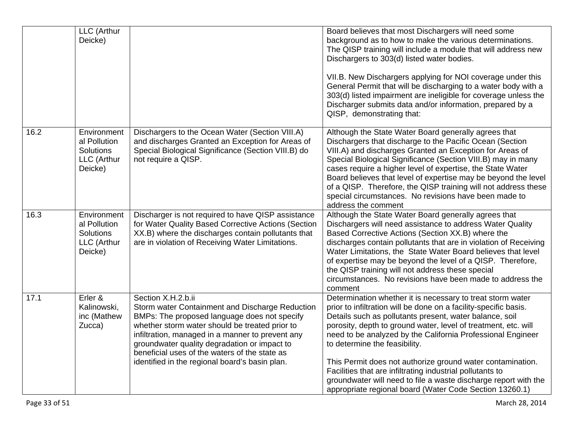|      | LLC (Arthur<br>Deicke)                                             |                                                                                                                                                                                                                                                                                                                                                                                | Board believes that most Dischargers will need some<br>background as to how to make the various determinations.<br>The QISP training will include a module that will address new<br>Dischargers to 303(d) listed water bodies.<br>VII.B. New Dischargers applying for NOI coverage under this<br>General Permit that will be discharging to a water body with a<br>303(d) listed impairment are ineligible for coverage unless the<br>Discharger submits data and/or information, prepared by a<br>QISP, demonstrating that:                                                                                         |
|------|--------------------------------------------------------------------|--------------------------------------------------------------------------------------------------------------------------------------------------------------------------------------------------------------------------------------------------------------------------------------------------------------------------------------------------------------------------------|----------------------------------------------------------------------------------------------------------------------------------------------------------------------------------------------------------------------------------------------------------------------------------------------------------------------------------------------------------------------------------------------------------------------------------------------------------------------------------------------------------------------------------------------------------------------------------------------------------------------|
| 16.2 | Environment<br>al Pollution<br>Solutions<br>LLC (Arthur<br>Deicke) | Dischargers to the Ocean Water (Section VIII.A)<br>and discharges Granted an Exception for Areas of<br>Special Biological Significance (Section VIII.B) do<br>not require a QISP.                                                                                                                                                                                              | Although the State Water Board generally agrees that<br>Dischargers that discharge to the Pacific Ocean (Section<br>VIII.A) and discharges Granted an Exception for Areas of<br>Special Biological Significance (Section VIII.B) may in many<br>cases require a higher level of expertise, the State Water<br>Board believes that level of expertise may be beyond the level<br>of a QISP. Therefore, the QISP training will not address these<br>special circumstances. No revisions have been made to<br>address the comment                                                                                       |
| 16.3 | Environment<br>al Pollution<br>Solutions<br>LLC (Arthur<br>Deicke) | Discharger is not required to have QISP assistance<br>for Water Quality Based Corrective Actions (Section<br>XX.B) where the discharges contain pollutants that<br>are in violation of Receiving Water Limitations.                                                                                                                                                            | Although the State Water Board generally agrees that<br>Dischargers will need assistance to address Water Quality<br>Based Corrective Actions (Section XX.B) where the<br>discharges contain pollutants that are in violation of Receiving<br>Water Limitations, the State Water Board believes that level<br>of expertise may be beyond the level of a QISP. Therefore,<br>the QISP training will not address these special<br>circumstances. No revisions have been made to address the<br>comment                                                                                                                 |
| 17.1 | Erler &<br>Kalinowski,<br>inc (Mathew<br>Zucca)                    | Section X.H.2.b.ii<br>Storm water Containment and Discharge Reduction<br>BMPs: The proposed language does not specify<br>whether storm water should be treated prior to<br>infiltration, managed in a manner to prevent any<br>groundwater quality degradation or impact to<br>beneficial uses of the waters of the state as<br>identified in the regional board's basin plan. | Determination whether it is necessary to treat storm water<br>prior to infiltration will be done on a facility-specific basis.<br>Details such as pollutants present, water balance, soil<br>porosity, depth to ground water, level of treatment, etc. will<br>need to be analyzed by the California Professional Engineer<br>to determine the feasibility.<br>This Permit does not authorize ground water contamination.<br>Facilities that are infiltrating industrial pollutants to<br>groundwater will need to file a waste discharge report with the<br>appropriate regional board (Water Code Section 13260.1) |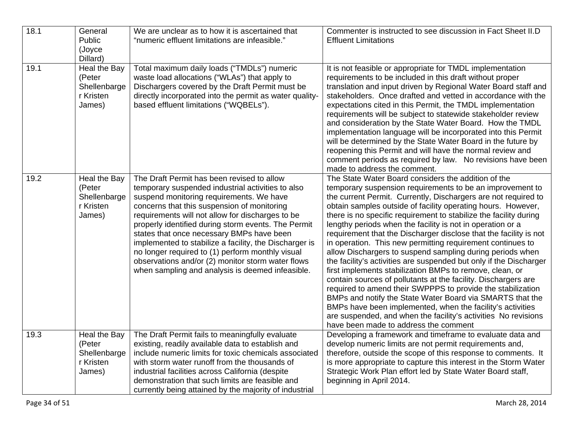| 18.1 | General      | We are unclear as to how it is ascertained that         | Commenter is instructed to see discussion in Fact Sheet II.D                                                                  |
|------|--------------|---------------------------------------------------------|-------------------------------------------------------------------------------------------------------------------------------|
|      | Public       | "numeric effluent limitations are infeasible."          | <b>Effluent Limitations</b>                                                                                                   |
|      | (Joyce       |                                                         |                                                                                                                               |
|      | Dillard)     |                                                         |                                                                                                                               |
| 19.1 | Heal the Bay | Total maximum daily loads ("TMDLs") numeric             | It is not feasible or appropriate for TMDL implementation                                                                     |
|      | (Peter       | waste load allocations ("WLAs") that apply to           | requirements to be included in this draft without proper                                                                      |
|      | Shellenbarge | Dischargers covered by the Draft Permit must be         | translation and input driven by Regional Water Board staff and                                                                |
|      | r Kristen    | directly incorporated into the permit as water quality- | stakeholders. Once drafted and vetted in accordance with the                                                                  |
|      | James)       | based effluent limitations ("WQBELs").                  | expectations cited in this Permit, the TMDL implementation                                                                    |
|      |              |                                                         | requirements will be subject to statewide stakeholder review                                                                  |
|      |              |                                                         | and consideration by the State Water Board. How the TMDL                                                                      |
|      |              |                                                         | implementation language will be incorporated into this Permit<br>will be determined by the State Water Board in the future by |
|      |              |                                                         | reopening this Permit and will have the normal review and                                                                     |
|      |              |                                                         | comment periods as required by law. No revisions have been                                                                    |
|      |              |                                                         | made to address the comment.                                                                                                  |
| 19.2 | Heal the Bay | The Draft Permit has been revised to allow              | The State Water Board considers the addition of the                                                                           |
|      | (Peter       | temporary suspended industrial activities to also       | temporary suspension requirements to be an improvement to                                                                     |
|      | Shellenbarge | suspend monitoring requirements. We have                | the current Permit. Currently, Dischargers are not required to                                                                |
|      | r Kristen    | concerns that this suspension of monitoring             | obtain samples outside of facility operating hours. However,                                                                  |
|      | James)       | requirements will not allow for discharges to be        | there is no specific requirement to stabilize the facility during                                                             |
|      |              | properly identified during storm events. The Permit     | lengthy periods when the facility is not in operation or a                                                                    |
|      |              | states that once necessary BMPs have been               | requirement that the Discharger disclose that the facility is not                                                             |
|      |              | implemented to stabilize a facility, the Discharger is  | in operation. This new permitting requirement continues to                                                                    |
|      |              | no longer required to (1) perform monthly visual        | allow Dischargers to suspend sampling during periods when                                                                     |
|      |              | observations and/or (2) monitor storm water flows       | the facility's activities are suspended but only if the Discharger                                                            |
|      |              | when sampling and analysis is deemed infeasible.        | first implements stabilization BMPs to remove, clean, or                                                                      |
|      |              |                                                         | contain sources of pollutants at the facility. Dischargers are                                                                |
|      |              |                                                         | required to amend their SWPPPS to provide the stabilization                                                                   |
|      |              |                                                         | BMPs and notify the State Water Board via SMARTS that the                                                                     |
|      |              |                                                         | BMPs have been implemented, when the facility's activities                                                                    |
|      |              |                                                         | are suspended, and when the facility's activities No revisions<br>have been made to address the comment                       |
| 19.3 | Heal the Bay | The Draft Permit fails to meaningfully evaluate         | Developing a framework and timeframe to evaluate data and                                                                     |
|      | (Peter       | existing, readily available data to establish and       | develop numeric limits are not permit requirements and,                                                                       |
|      | Shellenbarge | include numeric limits for toxic chemicals associated   | therefore, outside the scope of this response to comments. It                                                                 |
|      | r Kristen    | with storm water runoff from the thousands of           | is more appropriate to capture this interest in the Storm Water                                                               |
|      | James)       | industrial facilities across California (despite        | Strategic Work Plan effort led by State Water Board staff,                                                                    |
|      |              | demonstration that such limits are feasible and         | beginning in April 2014.                                                                                                      |
|      |              | currently being attained by the majority of industrial  |                                                                                                                               |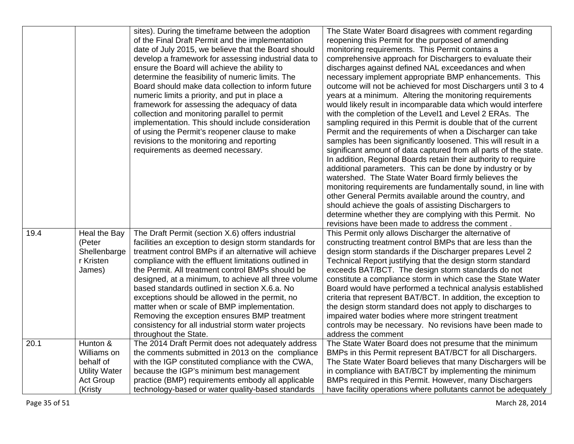|      |                      | sites). During the timeframe between the adoption                                                     | The State Water Board disagrees with comment regarding                                                                |
|------|----------------------|-------------------------------------------------------------------------------------------------------|-----------------------------------------------------------------------------------------------------------------------|
|      |                      | of the Final Draft Permit and the implementation                                                      | reopening this Permit for the purposed of amending                                                                    |
|      |                      | date of July 2015, we believe that the Board should                                                   | monitoring requirements. This Permit contains a                                                                       |
|      |                      | develop a framework for assessing industrial data to                                                  | comprehensive approach for Dischargers to evaluate their                                                              |
|      |                      | ensure the Board will achieve the ability to                                                          | discharges against defined NAL exceedances and when                                                                   |
|      |                      | determine the feasibility of numeric limits. The                                                      | necessary implement appropriate BMP enhancements. This                                                                |
|      |                      | Board should make data collection to inform future                                                    | outcome will not be achieved for most Dischargers until 3 to 4                                                        |
|      |                      | numeric limits a priority, and put in place a                                                         | years at a minimum. Altering the monitoring requirements                                                              |
|      |                      | framework for assessing the adequacy of data                                                          | would likely result in incomparable data which would interfere                                                        |
|      |                      | collection and monitoring parallel to permit                                                          | with the completion of the Level1 and Level 2 ERAs. The                                                               |
|      |                      | implementation. This should include consideration                                                     | sampling required in this Permit is double that of the current                                                        |
|      |                      | of using the Permit's reopener clause to make                                                         | Permit and the requirements of when a Discharger can take                                                             |
|      |                      | revisions to the monitoring and reporting                                                             | samples has been significantly loosened. This will result in a                                                        |
|      |                      | requirements as deemed necessary.                                                                     | significant amount of data captured from all parts of the state.                                                      |
|      |                      |                                                                                                       | In addition, Regional Boards retain their authority to require                                                        |
|      |                      |                                                                                                       | additional parameters. This can be done by industry or by                                                             |
|      |                      |                                                                                                       | watershed. The State Water Board firmly believes the                                                                  |
|      |                      |                                                                                                       | monitoring requirements are fundamentally sound, in line with                                                         |
|      |                      |                                                                                                       | other General Permits available around the country, and                                                               |
|      |                      |                                                                                                       | should achieve the goals of assisting Dischargers to                                                                  |
|      |                      |                                                                                                       | determine whether they are complying with this Permit. No                                                             |
|      |                      |                                                                                                       | revisions have been made to address the comment.                                                                      |
| 19.4 | Heal the Bay         | The Draft Permit (section X.6) offers industrial                                                      | This Permit only allows Discharger the alternative of                                                                 |
|      | (Peter               | facilities an exception to design storm standards for                                                 | constructing treatment control BMPs that are less than the                                                            |
|      | Shellenbarge         | treatment control BMPs if an alternative will achieve                                                 | design storm standards if the Discharger prepares Level 2                                                             |
|      | r Kristen            | compliance with the effluent limitations outlined in                                                  | Technical Report justifying that the design storm standard                                                            |
|      | James)               | the Permit. All treatment control BMPs should be                                                      | exceeds BAT/BCT. The design storm standards do not                                                                    |
|      |                      | designed, at a minimum, to achieve all three volume                                                   | constitute a compliance storm in which case the State Water                                                           |
|      |                      | based standards outlined in section X.6.a. No                                                         | Board would have performed a technical analysis established                                                           |
|      |                      | exceptions should be allowed in the permit, no                                                        | criteria that represent BAT/BCT. In addition, the exception to                                                        |
|      |                      | matter when or scale of BMP implementation.                                                           | the design storm standard does not apply to discharges to                                                             |
|      |                      | Removing the exception ensures BMP treatment                                                          | impaired water bodies where more stringent treatment                                                                  |
|      |                      | consistency for all industrial storm water projects                                                   | controls may be necessary. No revisions have been made to                                                             |
| 20.1 | Hunton &             | throughout the State.                                                                                 | address the comment                                                                                                   |
|      | Williams on          | The 2014 Draft Permit does not adequately address<br>the comments submitted in 2013 on the compliance | The State Water Board does not presume that the minimum<br>BMPs in this Permit represent BAT/BCT for all Dischargers. |
|      | behalf of            | with the IGP constituted compliance with the CWA,                                                     | The State Water Board believes that many Dischargers will be                                                          |
|      | <b>Utility Water</b> | because the IGP's minimum best management                                                             | in compliance with BAT/BCT by implementing the minimum                                                                |
|      | <b>Act Group</b>     | practice (BMP) requirements embody all applicable                                                     | BMPs required in this Permit. However, many Dischargers                                                               |
|      | (Kristy              | technology-based or water quality-based standards                                                     | have facility operations where pollutants cannot be adequately                                                        |
|      |                      |                                                                                                       |                                                                                                                       |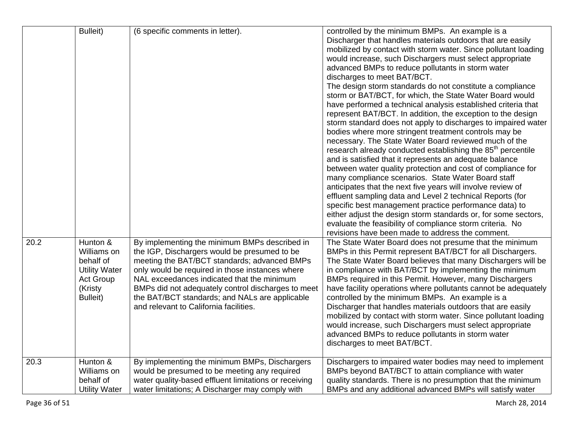|      | Bulleit)                                                                                                | (6 specific comments in letter).                                                                                                                                                                                                                                                                                                                                                                 | controlled by the minimum BMPs. An example is a<br>Discharger that handles materials outdoors that are easily<br>mobilized by contact with storm water. Since pollutant loading<br>would increase, such Dischargers must select appropriate<br>advanced BMPs to reduce pollutants in storm water<br>discharges to meet BAT/BCT.<br>The design storm standards do not constitute a compliance<br>storm or BAT/BCT, for which, the State Water Board would<br>have performed a technical analysis established criteria that<br>represent BAT/BCT. In addition, the exception to the design<br>storm standard does not apply to discharges to impaired water<br>bodies where more stringent treatment controls may be<br>necessary. The State Water Board reviewed much of the<br>research already conducted establishing the 85 <sup>th</sup> percentile<br>and is satisfied that it represents an adequate balance<br>between water quality protection and cost of compliance for<br>many compliance scenarios. State Water Board staff<br>anticipates that the next five years will involve review of<br>effluent sampling data and Level 2 technical Reports (for<br>specific best management practice performance data) to<br>either adjust the design storm standards or, for some sectors,<br>evaluate the feasibility of compliance storm criteria. No<br>revisions have been made to address the comment. |
|------|---------------------------------------------------------------------------------------------------------|--------------------------------------------------------------------------------------------------------------------------------------------------------------------------------------------------------------------------------------------------------------------------------------------------------------------------------------------------------------------------------------------------|-----------------------------------------------------------------------------------------------------------------------------------------------------------------------------------------------------------------------------------------------------------------------------------------------------------------------------------------------------------------------------------------------------------------------------------------------------------------------------------------------------------------------------------------------------------------------------------------------------------------------------------------------------------------------------------------------------------------------------------------------------------------------------------------------------------------------------------------------------------------------------------------------------------------------------------------------------------------------------------------------------------------------------------------------------------------------------------------------------------------------------------------------------------------------------------------------------------------------------------------------------------------------------------------------------------------------------------------------------------------------------------------------------------------|
| 20.2 | Hunton &<br>Williams on<br>behalf of<br><b>Utility Water</b><br><b>Act Group</b><br>(Kristy<br>Bulleit) | By implementing the minimum BMPs described in<br>the IGP, Dischargers would be presumed to be<br>meeting the BAT/BCT standards; advanced BMPs<br>only would be required in those instances where<br>NAL exceedances indicated that the minimum<br>BMPs did not adequately control discharges to meet<br>the BAT/BCT standards; and NALs are applicable<br>and relevant to California facilities. | The State Water Board does not presume that the minimum<br>BMPs in this Permit represent BAT/BCT for all Dischargers.<br>The State Water Board believes that many Dischargers will be<br>in compliance with BAT/BCT by implementing the minimum<br>BMPs required in this Permit. However, many Dischargers<br>have facility operations where pollutants cannot be adequately<br>controlled by the minimum BMPs. An example is a<br>Discharger that handles materials outdoors that are easily<br>mobilized by contact with storm water. Since pollutant loading<br>would increase, such Dischargers must select appropriate<br>advanced BMPs to reduce pollutants in storm water<br>discharges to meet BAT/BCT.                                                                                                                                                                                                                                                                                                                                                                                                                                                                                                                                                                                                                                                                                                 |
| 20.3 | Hunton &<br>Williams on<br>behalf of<br><b>Utility Water</b>                                            | By implementing the minimum BMPs, Dischargers<br>would be presumed to be meeting any required<br>water quality-based effluent limitations or receiving<br>water limitations; A Discharger may comply with                                                                                                                                                                                        | Dischargers to impaired water bodies may need to implement<br>BMPs beyond BAT/BCT to attain compliance with water<br>quality standards. There is no presumption that the minimum<br>BMPs and any additional advanced BMPs will satisfy water                                                                                                                                                                                                                                                                                                                                                                                                                                                                                                                                                                                                                                                                                                                                                                                                                                                                                                                                                                                                                                                                                                                                                                    |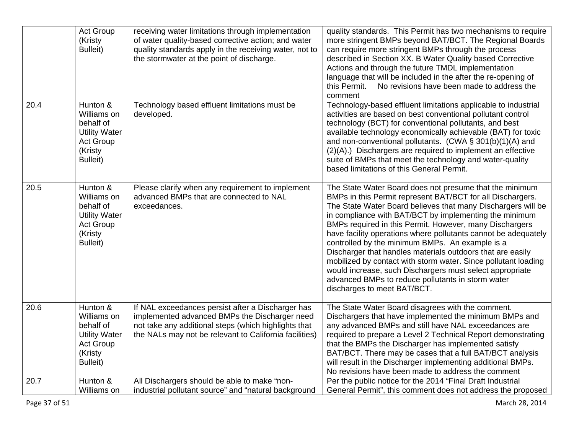|      | <b>Act Group</b><br>(Kristy<br>Bulleit)                                                                 | receiving water limitations through implementation<br>of water quality-based corrective action; and water<br>quality standards apply in the receiving water, not to<br>the stormwater at the point of discharge.     | quality standards. This Permit has two mechanisms to require<br>more stringent BMPs beyond BAT/BCT. The Regional Boards<br>can require more stringent BMPs through the process<br>described in Section XX. B Water Quality based Corrective<br>Actions and through the future TMDL implementation<br>language that will be included in the after the re-opening of<br>this Permit.<br>No revisions have been made to address the<br>comment                                                                                                                                                                                                                                                                     |
|------|---------------------------------------------------------------------------------------------------------|----------------------------------------------------------------------------------------------------------------------------------------------------------------------------------------------------------------------|-----------------------------------------------------------------------------------------------------------------------------------------------------------------------------------------------------------------------------------------------------------------------------------------------------------------------------------------------------------------------------------------------------------------------------------------------------------------------------------------------------------------------------------------------------------------------------------------------------------------------------------------------------------------------------------------------------------------|
| 20.4 | Hunton &<br>Williams on<br>behalf of<br><b>Utility Water</b><br><b>Act Group</b><br>(Kristy<br>Bulleit) | Technology based effluent limitations must be<br>developed.                                                                                                                                                          | Technology-based effluent limitations applicable to industrial<br>activities are based on best conventional pollutant control<br>technology (BCT) for conventional pollutants, and best<br>available technology economically achievable (BAT) for toxic<br>and non-conventional pollutants. (CWA § 301(b)(1)(A) and<br>$(2)(A)$ .) Dischargers are required to implement an effective<br>suite of BMPs that meet the technology and water-quality<br>based limitations of this General Permit.                                                                                                                                                                                                                  |
| 20.5 | Hunton &<br>Williams on<br>behalf of<br><b>Utility Water</b><br><b>Act Group</b><br>(Kristy<br>Bulleit) | Please clarify when any requirement to implement<br>advanced BMPs that are connected to NAL<br>exceedances.                                                                                                          | The State Water Board does not presume that the minimum<br>BMPs in this Permit represent BAT/BCT for all Dischargers.<br>The State Water Board believes that many Dischargers will be<br>in compliance with BAT/BCT by implementing the minimum<br>BMPs required in this Permit. However, many Dischargers<br>have facility operations where pollutants cannot be adequately<br>controlled by the minimum BMPs. An example is a<br>Discharger that handles materials outdoors that are easily<br>mobilized by contact with storm water. Since pollutant loading<br>would increase, such Dischargers must select appropriate<br>advanced BMPs to reduce pollutants in storm water<br>discharges to meet BAT/BCT. |
| 20.6 | Hunton &<br>Williams on<br>behalf of<br><b>Utility Water</b><br><b>Act Group</b><br>(Kristy<br>Bulleit) | If NAL exceedances persist after a Discharger has<br>implemented advanced BMPs the Discharger need<br>not take any additional steps (which highlights that<br>the NALs may not be relevant to California facilities) | The State Water Board disagrees with the comment.<br>Dischargers that have implemented the minimum BMPs and<br>any advanced BMPs and still have NAL exceedances are<br>required to prepare a Level 2 Technical Report demonstrating<br>that the BMPs the Discharger has implemented satisfy<br>BAT/BCT. There may be cases that a full BAT/BCT analysis<br>will result in the Discharger implementing additional BMPs.<br>No revisions have been made to address the comment                                                                                                                                                                                                                                    |
| 20.7 | Hunton &<br>Williams on                                                                                 | All Dischargers should be able to make "non-<br>industrial pollutant source" and "natural background                                                                                                                 | Per the public notice for the 2014 "Final Draft Industrial<br>General Permit", this comment does not address the proposed                                                                                                                                                                                                                                                                                                                                                                                                                                                                                                                                                                                       |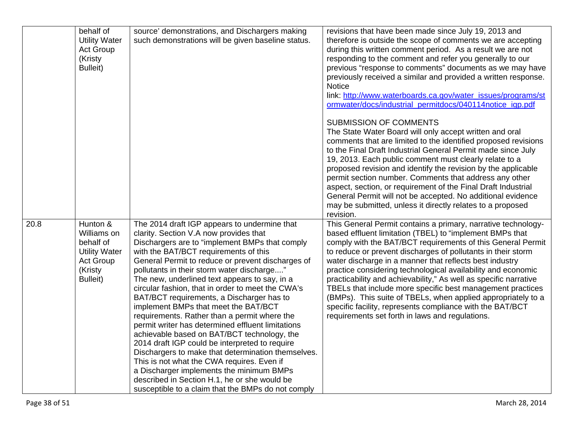|      | behalf of            | source' demonstrations, and Dischargers making     | revisions that have been made since July 19, 2013 and            |
|------|----------------------|----------------------------------------------------|------------------------------------------------------------------|
|      | <b>Utility Water</b> | such demonstrations will be given baseline status. | therefore is outside the scope of comments we are accepting      |
|      | <b>Act Group</b>     |                                                    | during this written comment period. As a result we are not       |
|      | (Kristy              |                                                    | responding to the comment and refer you generally to our         |
|      | Bulleit)             |                                                    | previous "response to comments" documents as we may have         |
|      |                      |                                                    | previously received a similar and provided a written response.   |
|      |                      |                                                    | <b>Notice</b>                                                    |
|      |                      |                                                    | link: http://www.waterboards.ca.gov/water_issues/programs/st     |
|      |                      |                                                    | ormwater/docs/industrial permitdocs/040114notice igp.pdf         |
|      |                      |                                                    |                                                                  |
|      |                      |                                                    | <b>SUBMISSION OF COMMENTS</b>                                    |
|      |                      |                                                    | The State Water Board will only accept written and oral          |
|      |                      |                                                    | comments that are limited to the identified proposed revisions   |
|      |                      |                                                    | to the Final Draft Industrial General Permit made since July     |
|      |                      |                                                    | 19, 2013. Each public comment must clearly relate to a           |
|      |                      |                                                    | proposed revision and identify the revision by the applicable    |
|      |                      |                                                    | permit section number. Comments that address any other           |
|      |                      |                                                    | aspect, section, or requirement of the Final Draft Industrial    |
|      |                      |                                                    | General Permit will not be accepted. No additional evidence      |
|      |                      |                                                    | may be submitted, unless it directly relates to a proposed       |
|      |                      |                                                    | revision.                                                        |
| 20.8 | Hunton &             | The 2014 draft IGP appears to undermine that       | This General Permit contains a primary, narrative technology-    |
|      | Williams on          | clarity. Section V.A now provides that             | based effluent limitation (TBEL) to "implement BMPs that         |
|      | behalf of            | Dischargers are to "implement BMPs that comply     | comply with the BAT/BCT requirements of this General Permit      |
|      | <b>Utility Water</b> | with the BAT/BCT requirements of this              | to reduce or prevent discharges of pollutants in their storm     |
|      | Act Group            | General Permit to reduce or prevent discharges of  | water discharge in a manner that reflects best industry          |
|      | (Kristy              | pollutants in their storm water discharge"         | practice considering technological availability and economic     |
|      | Bulleit)             | The new, underlined text appears to say, in a      | practicability and achievability," As well as specific narrative |
|      |                      | circular fashion, that in order to meet the CWA's  | TBELs that include more specific best management practices       |
|      |                      | BAT/BCT requirements, a Discharger has to          | (BMPs). This suite of TBELs, when applied appropriately to a     |
|      |                      | implement BMPs that meet the BAT/BCT               | specific facility, represents compliance with the BAT/BCT        |
|      |                      | requirements. Rather than a permit where the       | requirements set forth in laws and regulations.                  |
|      |                      | permit writer has determined effluent limitations  |                                                                  |
|      |                      | achievable based on BAT/BCT technology, the        |                                                                  |
|      |                      | 2014 draft IGP could be interpreted to require     |                                                                  |
|      |                      | Dischargers to make that determination themselves. |                                                                  |
|      |                      | This is not what the CWA requires. Even if         |                                                                  |
|      |                      | a Discharger implements the minimum BMPs           |                                                                  |
|      |                      | described in Section H.1, he or she would be       |                                                                  |
|      |                      | susceptible to a claim that the BMPs do not comply |                                                                  |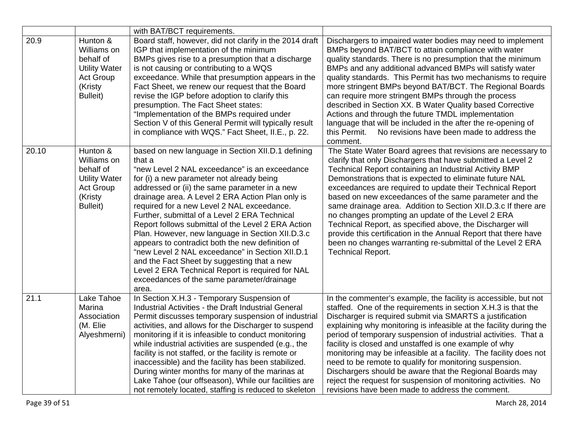|       |                                                                                                         | with BAT/BCT requirements.                                                                                                                                                                                                                                                                                                                                                                                                                                                                                                                                                                                                                                                                                                               |                                                                                                                                                                                                                                                                                                                                                                                                                                                                                                                                                                                                                                                                                                                          |
|-------|---------------------------------------------------------------------------------------------------------|------------------------------------------------------------------------------------------------------------------------------------------------------------------------------------------------------------------------------------------------------------------------------------------------------------------------------------------------------------------------------------------------------------------------------------------------------------------------------------------------------------------------------------------------------------------------------------------------------------------------------------------------------------------------------------------------------------------------------------------|--------------------------------------------------------------------------------------------------------------------------------------------------------------------------------------------------------------------------------------------------------------------------------------------------------------------------------------------------------------------------------------------------------------------------------------------------------------------------------------------------------------------------------------------------------------------------------------------------------------------------------------------------------------------------------------------------------------------------|
| 20.9  | Hunton &<br>Williams on<br>behalf of<br><b>Utility Water</b><br><b>Act Group</b><br>(Kristy<br>Bulleit) | Board staff, however, did not clarify in the 2014 draft<br>IGP that implementation of the minimum<br>BMPs gives rise to a presumption that a discharge<br>is not causing or contributing to a WQS<br>exceedance. While that presumption appears in the<br>Fact Sheet, we renew our request that the Board<br>revise the IGP before adoption to clarify this<br>presumption. The Fact Sheet states:<br>"Implementation of the BMPs required under<br>Section V of this General Permit will typically result<br>in compliance with WQS." Fact Sheet, II.E., p. 22.                                                                                                                                                                         | Dischargers to impaired water bodies may need to implement<br>BMPs beyond BAT/BCT to attain compliance with water<br>quality standards. There is no presumption that the minimum<br>BMPs and any additional advanced BMPs will satisfy water<br>quality standards. This Permit has two mechanisms to require<br>more stringent BMPs beyond BAT/BCT. The Regional Boards<br>can require more stringent BMPs through the process<br>described in Section XX. B Water Quality based Corrective<br>Actions and through the future TMDL implementation<br>language that will be included in the after the re-opening of<br>this Permit.<br>No revisions have been made to address the<br>comment.                             |
| 20.10 | Hunton &<br>Williams on<br>behalf of<br><b>Utility Water</b><br>Act Group<br>(Kristy<br>Bulleit)        | based on new language in Section XII.D.1 defining<br>that a<br>"new Level 2 NAL exceedance" is an exceedance<br>for (i) a new parameter not already being<br>addressed or (ii) the same parameter in a new<br>drainage area. A Level 2 ERA Action Plan only is<br>required for a new Level 2 NAL exceedance.<br>Further, submittal of a Level 2 ERA Technical<br>Report follows submittal of the Level 2 ERA Action<br>Plan. However, new language in Section XII.D.3.c<br>appears to contradict both the new definition of<br>"new Level 2 NAL exceedance" in Section XII.D.1<br>and the Fact Sheet by suggesting that a new<br>Level 2 ERA Technical Report is required for NAL<br>exceedances of the same parameter/drainage<br>area. | The State Water Board agrees that revisions are necessary to<br>clarify that only Dischargers that have submitted a Level 2<br>Technical Report containing an Industrial Activity BMP<br>Demonstrations that is expected to eliminate future NAL<br>exceedances are required to update their Technical Report<br>based on new exceedances of the same parameter and the<br>same drainage area. Addition to Section XII.D.3.c If there are<br>no changes prompting an update of the Level 2 ERA<br>Technical Report, as specified above, the Discharger will<br>provide this certification in the Annual Report that there have<br>been no changes warranting re-submittal of the Level 2 ERA<br><b>Technical Report.</b> |
| 21.1  | Lake Tahoe<br>Marina<br>Association<br>(M. Elie<br>Alyeshmerni)                                         | In Section X.H.3 - Temporary Suspension of<br>Industrial Activities - the Draft Industrial General<br>Permit discusses temporary suspension of industrial<br>activities, and allows for the Discharger to suspend<br>monitoring if it is infeasible to conduct monitoring<br>while industrial activities are suspended (e.g., the<br>facility is not staffed, or the facility is remote or<br>inaccessible) and the facility has been stabilized.<br>During winter months for many of the marinas at<br>Lake Tahoe (our offseason), While our facilities are<br>not remotely located, staffing is reduced to skeleton                                                                                                                    | In the commenter's example, the facility is accessible, but not<br>staffed. One of the requirements in section X.H.3 is that the<br>Discharger is required submit via SMARTS a justification<br>explaining why monitoring is infeasible at the facility during the<br>period of temporary suspension of industrial activities. That a<br>facility is closed and unstaffed is one example of why<br>monitoring may be infeasible at a facility. The facility does not<br>need to be remote to qualify for monitoring suspension.<br>Dischargers should be aware that the Regional Boards may<br>reject the request for suspension of monitoring activities. No<br>revisions have been made to address the comment.        |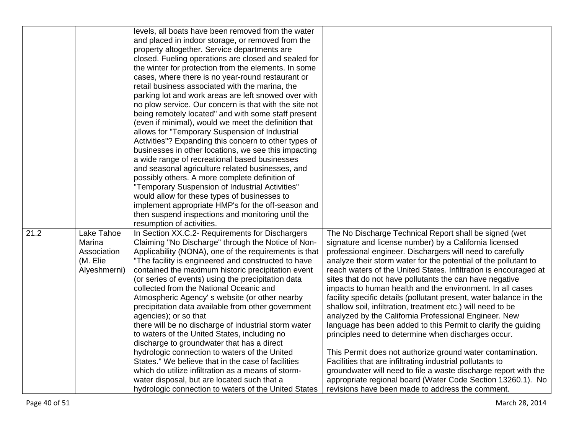|      |              | levels, all boats have been removed from the water     |                                                                    |
|------|--------------|--------------------------------------------------------|--------------------------------------------------------------------|
|      |              | and placed in indoor storage, or removed from the      |                                                                    |
|      |              | property altogether. Service departments are           |                                                                    |
|      |              | closed. Fueling operations are closed and sealed for   |                                                                    |
|      |              | the winter for protection from the elements. In some   |                                                                    |
|      |              | cases, where there is no year-round restaurant or      |                                                                    |
|      |              | retail business associated with the marina, the        |                                                                    |
|      |              | parking lot and work areas are left snowed over with   |                                                                    |
|      |              | no plow service. Our concern is that with the site not |                                                                    |
|      |              | being remotely located" and with some staff present    |                                                                    |
|      |              | (even if minimal), would we meet the definition that   |                                                                    |
|      |              | allows for "Temporary Suspension of Industrial         |                                                                    |
|      |              | Activities"? Expanding this concern to other types of  |                                                                    |
|      |              | businesses in other locations, we see this impacting   |                                                                    |
|      |              | a wide range of recreational based businesses          |                                                                    |
|      |              | and seasonal agriculture related businesses, and       |                                                                    |
|      |              | possibly others. A more complete definition of         |                                                                    |
|      |              | "Temporary Suspension of Industrial Activities"        |                                                                    |
|      |              | would allow for these types of businesses to           |                                                                    |
|      |              | implement appropriate HMP's for the off-season and     |                                                                    |
|      |              | then suspend inspections and monitoring until the      |                                                                    |
|      |              | resumption of activities.                              |                                                                    |
| 21.2 | Lake Tahoe   | In Section XX.C.2- Requirements for Dischargers        | The No Discharge Technical Report shall be signed (wet             |
|      | Marina       | Claiming "No Discharge" through the Notice of Non-     | signature and license number) by a California licensed             |
|      | Association  | Applicability (NONA), one of the requirements is that  | professional engineer. Dischargers will need to carefully          |
|      | (M. Elie     | "The facility is engineered and constructed to have    | analyze their storm water for the potential of the pollutant to    |
|      | Alyeshmerni) | contained the maximum historic precipitation event     | reach waters of the United States. Infiltration is encouraged at   |
|      |              | (or series of events) using the precipitation data     | sites that do not have pollutants the can have negative            |
|      |              | collected from the National Oceanic and                | impacts to human health and the environment. In all cases          |
|      |              | Atmospheric Agency's website (or other nearby          | facility specific details (pollutant present, water balance in the |
|      |              | precipitation data available from other government     | shallow soil, infiltration, treatment etc.) will need to be        |
|      |              | agencies); or so that                                  | analyzed by the California Professional Engineer. New              |
|      |              | there will be no discharge of industrial storm water   | language has been added to this Permit to clarify the guiding      |
|      |              | to waters of the United States, including no           | principles need to determine when discharges occur.                |
|      |              | discharge to groundwater that has a direct             |                                                                    |
|      |              | hydrologic connection to waters of the United          | This Permit does not authorize ground water contamination.         |
|      |              | States." We believe that in the case of facilities     | Facilities that are infiltrating industrial pollutants to          |
|      |              | which do utilize infiltration as a means of storm-     | groundwater will need to file a waste discharge report with the    |
|      |              | water disposal, but are located such that a            | appropriate regional board (Water Code Section 13260.1). No        |
|      |              | hydrologic connection to waters of the United States   | revisions have been made to address the comment.                   |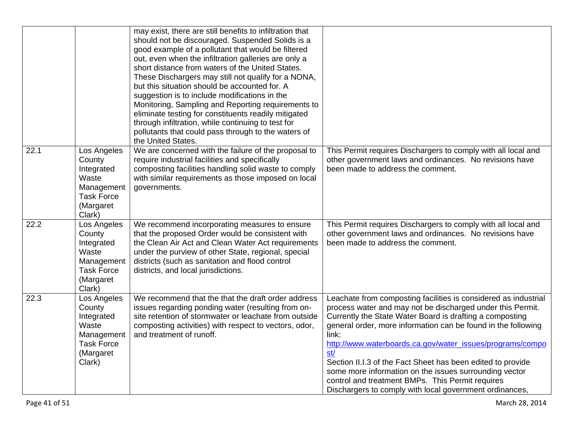|      |                                                                                                        | may exist, there are still benefits to infiltration that<br>should not be discouraged. Suspended Solids is a<br>good example of a pollutant that would be filtered<br>out, even when the infiltration galleries are only a<br>short distance from waters of the United States.<br>These Dischargers may still not qualify for a NONA,<br>but this situation should be accounted for. A<br>suggestion is to include modifications in the<br>Monitoring, Sampling and Reporting requirements to<br>eliminate testing for constituents readily mitigated<br>through infiltration, while continuing to test for<br>pollutants that could pass through to the waters of<br>the United States. |                                                                                                                                                                                                                                                                                                                                                                                                                                                                                                                                                                                 |
|------|--------------------------------------------------------------------------------------------------------|------------------------------------------------------------------------------------------------------------------------------------------------------------------------------------------------------------------------------------------------------------------------------------------------------------------------------------------------------------------------------------------------------------------------------------------------------------------------------------------------------------------------------------------------------------------------------------------------------------------------------------------------------------------------------------------|---------------------------------------------------------------------------------------------------------------------------------------------------------------------------------------------------------------------------------------------------------------------------------------------------------------------------------------------------------------------------------------------------------------------------------------------------------------------------------------------------------------------------------------------------------------------------------|
| 22.1 | Los Angeles<br>County<br>Integrated<br>Waste<br>Management<br><b>Task Force</b><br>(Margaret<br>Clark) | We are concerned with the failure of the proposal to<br>require industrial facilities and specifically<br>composting facilities handling solid waste to comply<br>with similar requirements as those imposed on local<br>governments.                                                                                                                                                                                                                                                                                                                                                                                                                                                    | This Permit requires Dischargers to comply with all local and<br>other government laws and ordinances. No revisions have<br>been made to address the comment.                                                                                                                                                                                                                                                                                                                                                                                                                   |
| 22.2 | Los Angeles<br>County<br>Integrated<br>Waste<br>Management<br><b>Task Force</b><br>(Margaret<br>Clark) | We recommend incorporating measures to ensure<br>that the proposed Order would be consistent with<br>the Clean Air Act and Clean Water Act requirements<br>under the purview of other State, regional, special<br>districts (such as sanitation and flood control<br>districts, and local jurisdictions.                                                                                                                                                                                                                                                                                                                                                                                 | This Permit requires Dischargers to comply with all local and<br>other government laws and ordinances. No revisions have<br>been made to address the comment.                                                                                                                                                                                                                                                                                                                                                                                                                   |
| 22.3 | Los Angeles<br>County<br>Integrated<br>Waste<br>Management<br><b>Task Force</b><br>(Margaret<br>Clark) | We recommend that the that the draft order address<br>issues regarding ponding water (resulting from on-<br>site retention of stormwater or leachate from outside<br>composting activities) with respect to vectors, odor,<br>and treatment of runoff.                                                                                                                                                                                                                                                                                                                                                                                                                                   | Leachate from composting facilities is considered as industrial<br>process water and may not be discharged under this Permit.<br>Currently the State Water Board is drafting a composting<br>general order, more information can be found in the following<br>link:<br>http://www.waterboards.ca.gov/water_issues/programs/compo<br>st/<br>Section II.I.3 of the Fact Sheet has been edited to provide<br>some more information on the issues surrounding vector<br>control and treatment BMPs. This Permit requires<br>Dischargers to comply with local government ordinances, |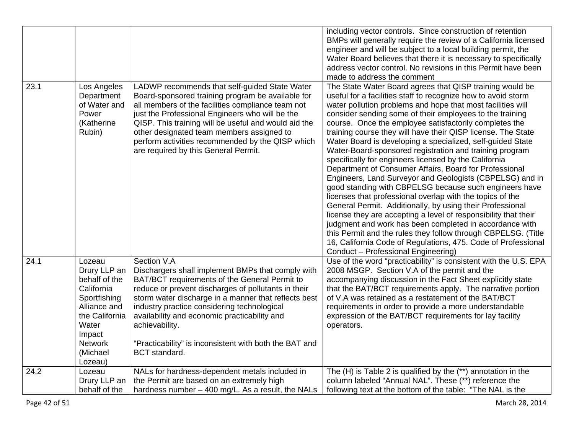|      |                                                                                                                                                                     |                                                                                                                                                                                                                                                                                                                                                                                                                                     | including vector controls. Since construction of retention<br>BMPs will generally require the review of a California licensed<br>engineer and will be subject to a local building permit, the<br>Water Board believes that there it is necessary to specifically<br>address vector control. No revisions in this Permit have been<br>made to address the comment                                                                                                                                                                                                                                                                                                                                                                                                                                                                                                                                                                                                                                                                                                                                                                                                                  |
|------|---------------------------------------------------------------------------------------------------------------------------------------------------------------------|-------------------------------------------------------------------------------------------------------------------------------------------------------------------------------------------------------------------------------------------------------------------------------------------------------------------------------------------------------------------------------------------------------------------------------------|-----------------------------------------------------------------------------------------------------------------------------------------------------------------------------------------------------------------------------------------------------------------------------------------------------------------------------------------------------------------------------------------------------------------------------------------------------------------------------------------------------------------------------------------------------------------------------------------------------------------------------------------------------------------------------------------------------------------------------------------------------------------------------------------------------------------------------------------------------------------------------------------------------------------------------------------------------------------------------------------------------------------------------------------------------------------------------------------------------------------------------------------------------------------------------------|
| 23.1 | Los Angeles<br>Department<br>of Water and<br>Power<br>(Katherine<br>Rubin)                                                                                          | LADWP recommends that self-guided State Water<br>Board-sponsored training program be available for<br>all members of the facilities compliance team not<br>just the Professional Engineers who will be the<br>QISP. This training will be useful and would aid the<br>other designated team members assigned to<br>perform activities recommended by the QISP which<br>are required by this General Permit.                         | The State Water Board agrees that QISP training would be<br>useful for a facilities staff to recognize how to avoid storm<br>water pollution problems and hope that most facilities will<br>consider sending some of their employees to the training<br>course. Once the employee satisfactorily completes the<br>training course they will have their QISP license. The State<br>Water Board is developing a specialized, self-guided State<br>Water-Board-sponsored registration and training program<br>specifically for engineers licensed by the California<br>Department of Consumer Affairs, Board for Professional<br>Engineers, Land Surveyor and Geologists (CBPELSG) and in<br>good standing with CBPELSG because such engineers have<br>licenses that professional overlap with the topics of the<br>General Permit. Additionally, by using their Professional<br>license they are accepting a level of responsibility that their<br>judgment and work has been completed in accordance with<br>this Permit and the rules they follow through CBPELSG. (Title<br>16, California Code of Regulations, 475. Code of Professional<br>Conduct - Professional Engineering) |
| 24.1 | Lozeau<br>Drury LLP an<br>behalf of the<br>California<br>Sportfishing<br>Alliance and<br>the California<br>Water<br>Impact<br><b>Network</b><br>(Michael<br>Lozeau) | Section V.A<br>Dischargers shall implement BMPs that comply with<br>BAT/BCT requirements of the General Permit to<br>reduce or prevent discharges of pollutants in their<br>storm water discharge in a manner that reflects best<br>industry practice considering technological<br>availability and economic practicability and<br>achievability.<br>"Practicability" is inconsistent with both the BAT and<br><b>BCT</b> standard. | Use of the word "practicability" is consistent with the U.S. EPA<br>2008 MSGP. Section V.A of the permit and the<br>accompanying discussion in the Fact Sheet explicitly state<br>that the BAT/BCT requirements apply. The narrative portion<br>of V.A was retained as a restatement of the BAT/BCT<br>requirements in order to provide a more understandable<br>expression of the BAT/BCT requirements for lay facility<br>operators.                                                                                                                                                                                                                                                                                                                                                                                                                                                                                                                                                                                                                                                                                                                                            |
| 24.2 | Lozeau<br>Drury LLP an<br>behalf of the                                                                                                                             | NALs for hardness-dependent metals included in<br>the Permit are based on an extremely high<br>hardness number - 400 mg/L. As a result, the NALs                                                                                                                                                                                                                                                                                    | The $(H)$ is Table 2 is qualified by the $(**)$ annotation in the<br>column labeled "Annual NAL". These (**) reference the<br>following text at the bottom of the table: "The NAL is the                                                                                                                                                                                                                                                                                                                                                                                                                                                                                                                                                                                                                                                                                                                                                                                                                                                                                                                                                                                          |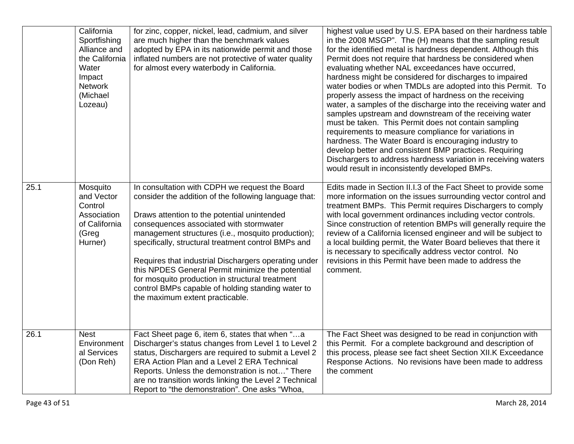|      | California<br>Sportfishing<br>Alliance and<br>the California<br>Water<br>Impact<br><b>Network</b><br>(Michael<br>Lozeau) | for zinc, copper, nickel, lead, cadmium, and silver<br>are much higher than the benchmark values<br>adopted by EPA in its nationwide permit and those<br>inflated numbers are not protective of water quality<br>for almost every waterbody in California.                                                                                                                                                                                                                                                                                                            | highest value used by U.S. EPA based on their hardness table<br>in the 2008 MSGP". The (H) means that the sampling result<br>for the identified metal is hardness dependent. Although this<br>Permit does not require that hardness be considered when<br>evaluating whether NAL exceedances have occurred,<br>hardness might be considered for discharges to impaired<br>water bodies or when TMDLs are adopted into this Permit. To<br>properly assess the impact of hardness on the receiving<br>water, a samples of the discharge into the receiving water and<br>samples upstream and downstream of the receiving water<br>must be taken. This Permit does not contain sampling<br>requirements to measure compliance for variations in<br>hardness. The Water Board is encouraging industry to<br>develop better and consistent BMP practices. Requiring<br>Dischargers to address hardness variation in receiving waters<br>would result in inconsistently developed BMPs. |
|------|--------------------------------------------------------------------------------------------------------------------------|-----------------------------------------------------------------------------------------------------------------------------------------------------------------------------------------------------------------------------------------------------------------------------------------------------------------------------------------------------------------------------------------------------------------------------------------------------------------------------------------------------------------------------------------------------------------------|-----------------------------------------------------------------------------------------------------------------------------------------------------------------------------------------------------------------------------------------------------------------------------------------------------------------------------------------------------------------------------------------------------------------------------------------------------------------------------------------------------------------------------------------------------------------------------------------------------------------------------------------------------------------------------------------------------------------------------------------------------------------------------------------------------------------------------------------------------------------------------------------------------------------------------------------------------------------------------------|
| 25.1 | Mosquito<br>and Vector<br>Control<br>Association<br>of California<br>(Greg<br>Hurner)                                    | In consultation with CDPH we request the Board<br>consider the addition of the following language that:<br>Draws attention to the potential unintended<br>consequences associated with stormwater<br>management structures (i.e., mosquito production);<br>specifically, structural treatment control BMPs and<br>Requires that industrial Dischargers operating under<br>this NPDES General Permit minimize the potential<br>for mosquito production in structural treatment<br>control BMPs capable of holding standing water to<br>the maximum extent practicable. | Edits made in Section II.I.3 of the Fact Sheet to provide some<br>more information on the issues surrounding vector control and<br>treatment BMPs. This Permit requires Dischargers to comply<br>with local government ordinances including vector controls.<br>Since construction of retention BMPs will generally require the<br>review of a California licensed engineer and will be subject to<br>a local building permit, the Water Board believes that there it<br>is necessary to specifically address vector control. No<br>revisions in this Permit have been made to address the<br>comment.                                                                                                                                                                                                                                                                                                                                                                            |
| 26.1 | <b>Nest</b><br>Environment<br>al Services<br>(Don Reh)                                                                   | Fact Sheet page 6, item 6, states that when "a<br>Discharger's status changes from Level 1 to Level 2<br>status, Dischargers are required to submit a Level 2<br>ERA Action Plan and a Level 2 ERA Technical<br>Reports. Unless the demonstration is not" There<br>are no transition words linking the Level 2 Technical<br>Report to "the demonstration". One asks "Whoa,                                                                                                                                                                                            | The Fact Sheet was designed to be read in conjunction with<br>this Permit. For a complete background and description of<br>this process, please see fact sheet Section XII.K Exceedance<br>Response Actions. No revisions have been made to address<br>the comment                                                                                                                                                                                                                                                                                                                                                                                                                                                                                                                                                                                                                                                                                                                |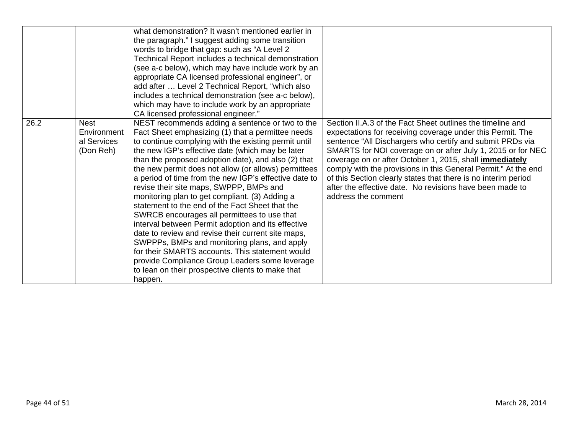|      |                                                        | what demonstration? It wasn't mentioned earlier in<br>the paragraph." I suggest adding some transition<br>words to bridge that gap: such as "A Level 2<br>Technical Report includes a technical demonstration<br>(see a-c below), which may have include work by an<br>appropriate CA licensed professional engineer", or<br>add after  Level 2 Technical Report, "which also<br>includes a technical demonstration (see a-c below),<br>which may have to include work by an appropriate<br>CA licensed professional engineer."                                                                                                                                                                                                                                                                                                                                                                                          |                                                                                                                                                                                                                                                                                                                                                                                                                                                                                                                                               |
|------|--------------------------------------------------------|--------------------------------------------------------------------------------------------------------------------------------------------------------------------------------------------------------------------------------------------------------------------------------------------------------------------------------------------------------------------------------------------------------------------------------------------------------------------------------------------------------------------------------------------------------------------------------------------------------------------------------------------------------------------------------------------------------------------------------------------------------------------------------------------------------------------------------------------------------------------------------------------------------------------------|-----------------------------------------------------------------------------------------------------------------------------------------------------------------------------------------------------------------------------------------------------------------------------------------------------------------------------------------------------------------------------------------------------------------------------------------------------------------------------------------------------------------------------------------------|
| 26.2 | <b>Nest</b><br>Environment<br>al Services<br>(Don Reh) | NEST recommends adding a sentence or two to the<br>Fact Sheet emphasizing (1) that a permittee needs<br>to continue complying with the existing permit until<br>the new IGP's effective date (which may be later<br>than the proposed adoption date), and also (2) that<br>the new permit does not allow (or allows) permittees<br>a period of time from the new IGP's effective date to<br>revise their site maps, SWPPP, BMPs and<br>monitoring plan to get compliant. (3) Adding a<br>statement to the end of the Fact Sheet that the<br>SWRCB encourages all permittees to use that<br>interval between Permit adoption and its effective<br>date to review and revise their current site maps,<br>SWPPPs, BMPs and monitoring plans, and apply<br>for their SMARTS accounts. This statement would<br>provide Compliance Group Leaders some leverage<br>to lean on their prospective clients to make that<br>happen. | Section II.A.3 of the Fact Sheet outlines the timeline and<br>expectations for receiving coverage under this Permit. The<br>sentence "All Dischargers who certify and submit PRDs via<br>SMARTS for NOI coverage on or after July 1, 2015 or for NEC<br>coverage on or after October 1, 2015, shall <i>immediately</i><br>comply with the provisions in this General Permit." At the end<br>of this Section clearly states that there is no interim period<br>after the effective date. No revisions have been made to<br>address the comment |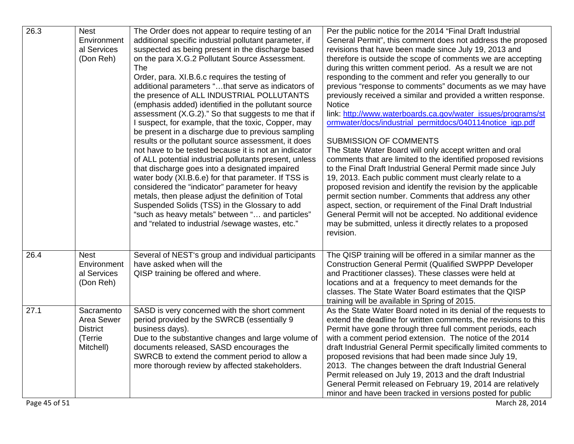| 26.3          | <b>Nest</b><br>Environment<br>al Services<br>(Don Reh)              | The Order does not appear to require testing of an<br>additional specific industrial pollutant parameter, if<br>suspected as being present in the discharge based<br>on the para X.G.2 Pollutant Source Assessment.<br>The<br>Order, para. XI.B.6.c requires the testing of<br>additional parameters "that serve as indicators of<br>the presence of ALL INDUSTRIAL POLLUTANTS<br>(emphasis added) identified in the pollutant source<br>assessment (X.G.2)." So that suggests to me that if<br>I suspect, for example, that the toxic, Copper, may<br>be present in a discharge due to previous sampling<br>results or the pollutant source assessment, it does<br>not have to be tested because it is not an indicator<br>of ALL potential industrial pollutants present, unless<br>that discharge goes into a designated impaired<br>water body (XI.B.6.e) for that parameter. If TSS is<br>considered the "indicator" parameter for heavy | Per the public notice for the 2014 "Final Draft Industrial<br>General Permit", this comment does not address the proposed<br>revisions that have been made since July 19, 2013 and<br>therefore is outside the scope of comments we are accepting<br>during this written comment period. As a result we are not<br>responding to the comment and refer you generally to our<br>previous "response to comments" documents as we may have<br>previously received a similar and provided a written response.<br><b>Notice</b><br>link: http://www.waterboards.ca.gov/water_issues/programs/st<br>ormwater/docs/industrial permitdocs/040114notice igp.pdf<br><b>SUBMISSION OF COMMENTS</b><br>The State Water Board will only accept written and oral<br>comments that are limited to the identified proposed revisions<br>to the Final Draft Industrial General Permit made since July<br>19, 2013. Each public comment must clearly relate to a<br>proposed revision and identify the revision by the applicable |
|---------------|---------------------------------------------------------------------|-----------------------------------------------------------------------------------------------------------------------------------------------------------------------------------------------------------------------------------------------------------------------------------------------------------------------------------------------------------------------------------------------------------------------------------------------------------------------------------------------------------------------------------------------------------------------------------------------------------------------------------------------------------------------------------------------------------------------------------------------------------------------------------------------------------------------------------------------------------------------------------------------------------------------------------------------|-----------------------------------------------------------------------------------------------------------------------------------------------------------------------------------------------------------------------------------------------------------------------------------------------------------------------------------------------------------------------------------------------------------------------------------------------------------------------------------------------------------------------------------------------------------------------------------------------------------------------------------------------------------------------------------------------------------------------------------------------------------------------------------------------------------------------------------------------------------------------------------------------------------------------------------------------------------------------------------------------------------------|
|               |                                                                     | metals, then please adjust the definition of Total<br>Suspended Solids (TSS) in the Glossary to add<br>"such as heavy metals" between " and particles"<br>and "related to industrial /sewage wastes, etc."                                                                                                                                                                                                                                                                                                                                                                                                                                                                                                                                                                                                                                                                                                                                    | permit section number. Comments that address any other<br>aspect, section, or requirement of the Final Draft Industrial<br>General Permit will not be accepted. No additional evidence<br>may be submitted, unless it directly relates to a proposed<br>revision.                                                                                                                                                                                                                                                                                                                                                                                                                                                                                                                                                                                                                                                                                                                                               |
| 26.4          | <b>Nest</b><br>Environment<br>al Services<br>(Don Reh)              | Several of NEST's group and individual participants<br>have asked when will the<br>QISP training be offered and where.                                                                                                                                                                                                                                                                                                                                                                                                                                                                                                                                                                                                                                                                                                                                                                                                                        | The QISP training will be offered in a similar manner as the<br><b>Construction General Permit (Qualified SWPPP Developer</b><br>and Practitioner classes). These classes were held at<br>locations and at a frequency to meet demands for the<br>classes. The State Water Board estimates that the QISP<br>training will be available in Spring of 2015.                                                                                                                                                                                                                                                                                                                                                                                                                                                                                                                                                                                                                                                       |
| 27.1          | Sacramento<br>Area Sewer<br><b>District</b><br>(Terrie<br>Mitchell) | SASD is very concerned with the short comment<br>period provided by the SWRCB (essentially 9<br>business days).<br>Due to the substantive changes and large volume of<br>documents released, SASD encourages the<br>SWRCB to extend the comment period to allow a<br>more thorough review by affected stakeholders.                                                                                                                                                                                                                                                                                                                                                                                                                                                                                                                                                                                                                           | As the State Water Board noted in its denial of the requests to<br>extend the deadline for written comments, the revisions to this<br>Permit have gone through three full comment periods, each<br>with a comment period extension. The notice of the 2014<br>draft Industrial General Permit specifically limited comments to<br>proposed revisions that had been made since July 19,<br>2013. The changes between the draft Industrial General<br>Permit released on July 19, 2013 and the draft Industrial<br>General Permit released on February 19, 2014 are relatively<br>minor and have been tracked in versions posted for public                                                                                                                                                                                                                                                                                                                                                                       |
| Page 45 of 51 |                                                                     |                                                                                                                                                                                                                                                                                                                                                                                                                                                                                                                                                                                                                                                                                                                                                                                                                                                                                                                                               | March 28, 2014                                                                                                                                                                                                                                                                                                                                                                                                                                                                                                                                                                                                                                                                                                                                                                                                                                                                                                                                                                                                  |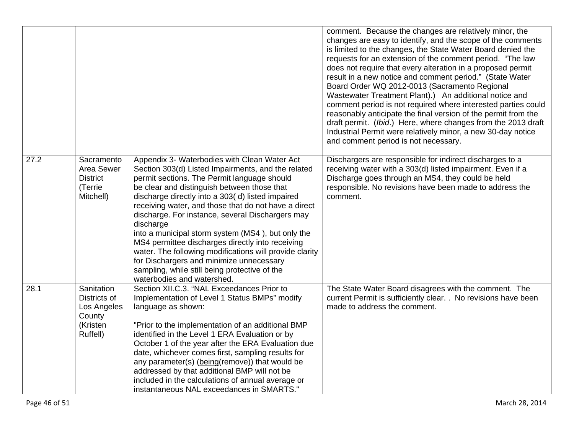|      |                                                                             |                                                                                                                                                                                                                                                                                                                                                                                                                                                                                                                                                                                                                                                                              | comment. Because the changes are relatively minor, the<br>changes are easy to identify, and the scope of the comments<br>is limited to the changes, the State Water Board denied the<br>requests for an extension of the comment period. "The law<br>does not require that every alteration in a proposed permit<br>result in a new notice and comment period." (State Water<br>Board Order WQ 2012-0013 (Sacramento Regional<br>Wastewater Treatment Plant).) An additional notice and<br>comment period is not required where interested parties could<br>reasonably anticipate the final version of the permit from the<br>draft permit. (Ibid.) Here, where changes from the 2013 draft<br>Industrial Permit were relatively minor, a new 30-day notice<br>and comment period is not necessary. |
|------|-----------------------------------------------------------------------------|------------------------------------------------------------------------------------------------------------------------------------------------------------------------------------------------------------------------------------------------------------------------------------------------------------------------------------------------------------------------------------------------------------------------------------------------------------------------------------------------------------------------------------------------------------------------------------------------------------------------------------------------------------------------------|-----------------------------------------------------------------------------------------------------------------------------------------------------------------------------------------------------------------------------------------------------------------------------------------------------------------------------------------------------------------------------------------------------------------------------------------------------------------------------------------------------------------------------------------------------------------------------------------------------------------------------------------------------------------------------------------------------------------------------------------------------------------------------------------------------|
| 27.2 | Sacramento<br>Area Sewer<br><b>District</b><br>(Terrie<br>Mitchell)         | Appendix 3- Waterbodies with Clean Water Act<br>Section 303(d) Listed Impairments, and the related<br>permit sections. The Permit language should<br>be clear and distinguish between those that<br>discharge directly into a 303(d) listed impaired<br>receiving water, and those that do not have a direct<br>discharge. For instance, several Dischargers may<br>discharge<br>into a municipal storm system (MS4), but only the<br>MS4 permittee discharges directly into receiving<br>water. The following modifications will provide clarity<br>for Dischargers and minimize unnecessary<br>sampling, while still being protective of the<br>waterbodies and watershed. | Dischargers are responsible for indirect discharges to a<br>receiving water with a 303(d) listed impairment. Even if a<br>Discharge goes through an MS4, they could be held<br>responsible. No revisions have been made to address the<br>comment.                                                                                                                                                                                                                                                                                                                                                                                                                                                                                                                                                  |
| 28.1 | Sanitation<br>Districts of<br>Los Angeles<br>County<br>(Kristen<br>Ruffell) | Section XII.C.3. "NAL Exceedances Prior to<br>Implementation of Level 1 Status BMPs" modify<br>language as shown:<br>"Prior to the implementation of an additional BMP<br>identified in the Level 1 ERA Evaluation or by<br>October 1 of the year after the ERA Evaluation due<br>date, whichever comes first, sampling results for<br>any parameter(s) (being(remove)) that would be<br>addressed by that additional BMP will not be<br>included in the calculations of annual average or<br>instantaneous NAL exceedances in SMARTS."                                                                                                                                      | The State Water Board disagrees with the comment. The<br>current Permit is sufficiently clear. . No revisions have been<br>made to address the comment.                                                                                                                                                                                                                                                                                                                                                                                                                                                                                                                                                                                                                                             |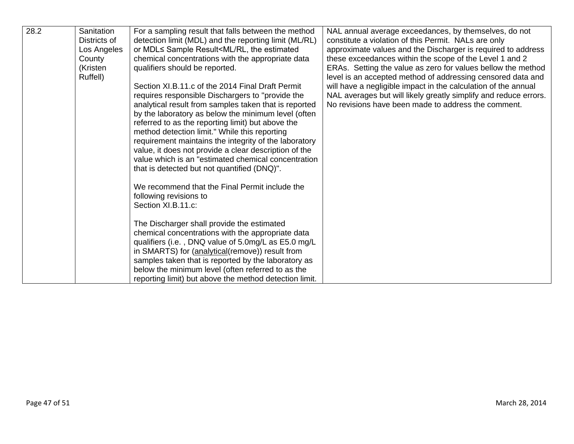| 28.2 | Sanitation   | For a sampling result that falls between the method                                                                                    | NAL annual average exceedances, by themselves, do not            |
|------|--------------|----------------------------------------------------------------------------------------------------------------------------------------|------------------------------------------------------------------|
|      | Districts of | detection limit (MDL) and the reporting limit (ML/RL)                                                                                  | constitute a violation of this Permit. NALs are only             |
|      | Los Angeles  | or MDL≤ Sample Result <ml estimated<="" rl,="" td="" the=""><td>approximate values and the Discharger is required to address</td></ml> | approximate values and the Discharger is required to address     |
|      | County       | chemical concentrations with the appropriate data                                                                                      | these exceedances within the scope of the Level 1 and 2          |
|      | (Kristen     | qualifiers should be reported.                                                                                                         | ERAs. Setting the value as zero for values bellow the method     |
|      | Ruffell)     |                                                                                                                                        | level is an accepted method of addressing censored data and      |
|      |              | Section XI.B.11.c of the 2014 Final Draft Permit                                                                                       | will have a negligible impact in the calculation of the annual   |
|      |              | requires responsible Dischargers to "provide the                                                                                       | NAL averages but will likely greatly simplify and reduce errors. |
|      |              | analytical result from samples taken that is reported                                                                                  | No revisions have been made to address the comment.              |
|      |              | by the laboratory as below the minimum level (often                                                                                    |                                                                  |
|      |              | referred to as the reporting limit) but above the                                                                                      |                                                                  |
|      |              | method detection limit." While this reporting                                                                                          |                                                                  |
|      |              | requirement maintains the integrity of the laboratory                                                                                  |                                                                  |
|      |              | value, it does not provide a clear description of the                                                                                  |                                                                  |
|      |              | value which is an "estimated chemical concentration                                                                                    |                                                                  |
|      |              | that is detected but not quantified (DNQ)".                                                                                            |                                                                  |
|      |              |                                                                                                                                        |                                                                  |
|      |              | We recommend that the Final Permit include the                                                                                         |                                                                  |
|      |              | following revisions to                                                                                                                 |                                                                  |
|      |              | Section XI.B.11.c:                                                                                                                     |                                                                  |
|      |              |                                                                                                                                        |                                                                  |
|      |              | The Discharger shall provide the estimated                                                                                             |                                                                  |
|      |              | chemical concentrations with the appropriate data                                                                                      |                                                                  |
|      |              | qualifiers (i.e., DNQ value of 5.0mg/L as E5.0 mg/L                                                                                    |                                                                  |
|      |              | in SMARTS) for (analytical(remove)) result from                                                                                        |                                                                  |
|      |              | samples taken that is reported by the laboratory as                                                                                    |                                                                  |
|      |              | below the minimum level (often referred to as the                                                                                      |                                                                  |
|      |              | reporting limit) but above the method detection limit.                                                                                 |                                                                  |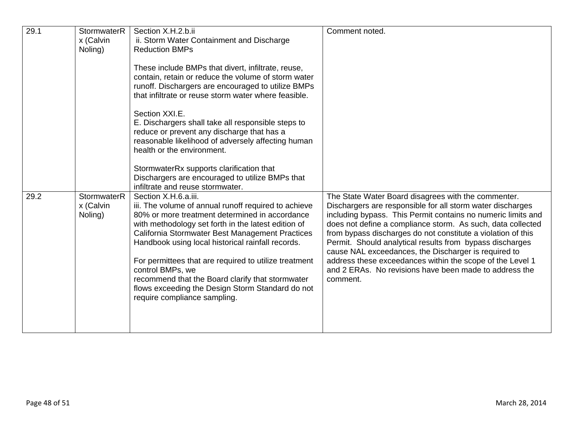| 29.1 | StormwaterR | Section X.H.2.b.ii                                                                               | Comment noted.                                               |
|------|-------------|--------------------------------------------------------------------------------------------------|--------------------------------------------------------------|
|      | x (Calvin   | ii. Storm Water Containment and Discharge                                                        |                                                              |
|      | Noling)     | <b>Reduction BMPs</b>                                                                            |                                                              |
|      |             |                                                                                                  |                                                              |
|      |             | These include BMPs that divert, infiltrate, reuse,                                               |                                                              |
|      |             | contain, retain or reduce the volume of storm water                                              |                                                              |
|      |             | runoff. Dischargers are encouraged to utilize BMPs                                               |                                                              |
|      |             | that infiltrate or reuse storm water where feasible.                                             |                                                              |
|      |             |                                                                                                  |                                                              |
|      |             | Section XXI.E.                                                                                   |                                                              |
|      |             | E. Dischargers shall take all responsible steps to                                               |                                                              |
|      |             | reduce or prevent any discharge that has a<br>reasonable likelihood of adversely affecting human |                                                              |
|      |             | health or the environment.                                                                       |                                                              |
|      |             |                                                                                                  |                                                              |
|      |             | StormwaterRx supports clarification that                                                         |                                                              |
|      |             | Dischargers are encouraged to utilize BMPs that                                                  |                                                              |
|      |             | infiltrate and reuse stormwater.                                                                 |                                                              |
| 29.2 | StormwaterR | Section X.H.6.a.iii.                                                                             | The State Water Board disagrees with the commenter.          |
|      | x (Calvin   | iii. The volume of annual runoff required to achieve                                             | Dischargers are responsible for all storm water discharges   |
|      | Noling)     | 80% or more treatment determined in accordance                                                   | including bypass. This Permit contains no numeric limits and |
|      |             | with methodology set forth in the latest edition of                                              | does not define a compliance storm. As such, data collected  |
|      |             | California Stormwater Best Management Practices                                                  | from bypass discharges do not constitute a violation of this |
|      |             | Handbook using local historical rainfall records.                                                | Permit. Should analytical results from bypass discharges     |
|      |             |                                                                                                  | cause NAL exceedances, the Discharger is required to         |
|      |             | For permittees that are required to utilize treatment                                            | address these exceedances within the scope of the Level 1    |
|      |             | control BMPs, we                                                                                 | and 2 ERAs. No revisions have been made to address the       |
|      |             | recommend that the Board clarify that stormwater                                                 | comment.                                                     |
|      |             | flows exceeding the Design Storm Standard do not                                                 |                                                              |
|      |             | require compliance sampling.                                                                     |                                                              |
|      |             |                                                                                                  |                                                              |
|      |             |                                                                                                  |                                                              |
|      |             |                                                                                                  |                                                              |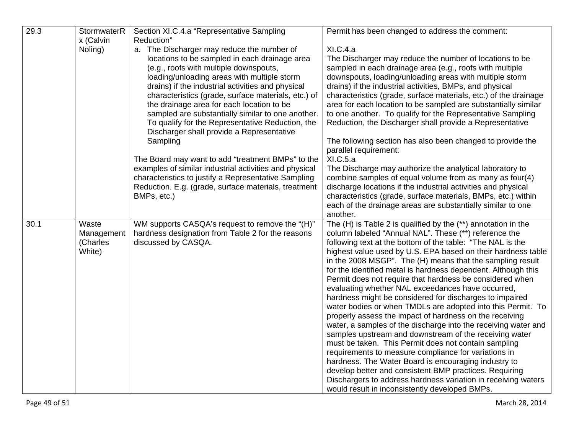| 29.3 | StormwaterR | Section XI.C.4.a "Representative Sampling                                                     | Permit has been changed to address the comment:                               |
|------|-------------|-----------------------------------------------------------------------------------------------|-------------------------------------------------------------------------------|
|      | x (Calvin   | Reduction"                                                                                    |                                                                               |
|      | Noling)     | a. The Discharger may reduce the number of                                                    | XI.C.4.a                                                                      |
|      |             | locations to be sampled in each drainage area                                                 | The Discharger may reduce the number of locations to be                       |
|      |             | (e.g., roofs with multiple downspouts,                                                        | sampled in each drainage area (e.g., roofs with multiple                      |
|      |             | loading/unloading areas with multiple storm                                                   | downspouts, loading/unloading areas with multiple storm                       |
|      |             | drains) if the industrial activities and physical                                             | drains) if the industrial activities, BMPs, and physical                      |
|      |             | characteristics (grade, surface materials, etc.) of                                           | characteristics (grade, surface materials, etc.) of the drainage              |
|      |             | the drainage area for each location to be                                                     | area for each location to be sampled are substantially similar                |
|      |             | sampled are substantially similar to one another.                                             | to one another. To qualify for the Representative Sampling                    |
|      |             | To qualify for the Representative Reduction, the<br>Discharger shall provide a Representative | Reduction, the Discharger shall provide a Representative                      |
|      |             | Sampling                                                                                      | The following section has also been changed to provide the                    |
|      |             |                                                                                               | parallel requirement:                                                         |
|      |             | The Board may want to add "treatment BMPs" to the                                             | XI.C.5.a                                                                      |
|      |             | examples of similar industrial activities and physical                                        | The Discharge may authorize the analytical laboratory to                      |
|      |             | characteristics to justify a Representative Sampling                                          | combine samples of equal volume from as many as four(4)                       |
|      |             | Reduction. E.g. (grade, surface materials, treatment                                          | discharge locations if the industrial activities and physical                 |
|      |             | BMPs, etc.)                                                                                   | characteristics (grade, surface materials, BMPs, etc.) within                 |
|      |             |                                                                                               | each of the drainage areas are substantially similar to one                   |
| 30.1 | Waste       | WM supports CASQA's request to remove the "(H)"                                               | another.<br>The $(H)$ is Table 2 is qualified by the $(**)$ annotation in the |
|      | Management  | hardness designation from Table 2 for the reasons                                             | column labeled "Annual NAL". These (**) reference the                         |
|      | (Charles    | discussed by CASQA.                                                                           | following text at the bottom of the table: "The NAL is the                    |
|      | White)      |                                                                                               | highest value used by U.S. EPA based on their hardness table                  |
|      |             |                                                                                               | in the 2008 MSGP". The (H) means that the sampling result                     |
|      |             |                                                                                               | for the identified metal is hardness dependent. Although this                 |
|      |             |                                                                                               | Permit does not require that hardness be considered when                      |
|      |             |                                                                                               | evaluating whether NAL exceedances have occurred,                             |
|      |             |                                                                                               | hardness might be considered for discharges to impaired                       |
|      |             |                                                                                               | water bodies or when TMDLs are adopted into this Permit. To                   |
|      |             |                                                                                               | properly assess the impact of hardness on the receiving                       |
|      |             |                                                                                               | water, a samples of the discharge into the receiving water and                |
|      |             |                                                                                               | samples upstream and downstream of the receiving water                        |
|      |             |                                                                                               | must be taken. This Permit does not contain sampling                          |
|      |             |                                                                                               | requirements to measure compliance for variations in                          |
|      |             |                                                                                               | hardness. The Water Board is encouraging industry to                          |
|      |             |                                                                                               | develop better and consistent BMP practices. Requiring                        |
|      |             |                                                                                               | Dischargers to address hardness variation in receiving waters                 |
|      |             |                                                                                               | would result in inconsistently developed BMPs.                                |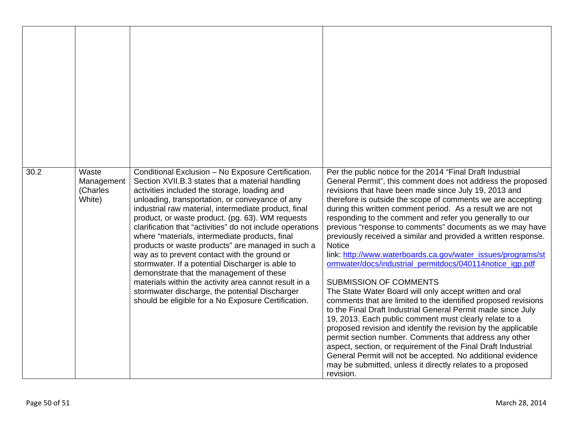| 30.2 | Waste<br>Management<br>(Charles<br>White) | Conditional Exclusion - No Exposure Certification.<br>Section XVII.B.3 states that a material handling<br>activities included the storage, loading and<br>unloading, transportation, or conveyance of any<br>industrial raw material, intermediate product, final<br>product, or waste product. (pg. 63). WM requests<br>clarification that "activities" do not include operations<br>where "materials, intermediate products, final<br>products or waste products" are managed in such a<br>way as to prevent contact with the ground or<br>stormwater. If a potential Discharger is able to<br>demonstrate that the management of these<br>materials within the activity area cannot result in a<br>stormwater discharge, the potential Discharger<br>should be eligible for a No Exposure Certification. | Per the public notice for the 2014 "Final Draft Industrial<br>General Permit", this comment does not address the proposed<br>revisions that have been made since July 19, 2013 and<br>therefore is outside the scope of comments we are accepting<br>during this written comment period. As a result we are not<br>responding to the comment and refer you generally to our<br>previous "response to comments" documents as we may have<br>previously received a similar and provided a written response.<br><b>Notice</b><br>link: http://www.waterboards.ca.gov/water_issues/programs/st<br>ormwater/docs/industrial permitdocs/040114notice igp.pdf<br><b>SUBMISSION OF COMMENTS</b><br>The State Water Board will only accept written and oral<br>comments that are limited to the identified proposed revisions<br>to the Final Draft Industrial General Permit made since July<br>19, 2013. Each public comment must clearly relate to a<br>proposed revision and identify the revision by the applicable<br>permit section number. Comments that address any other<br>aspect, section, or requirement of the Final Draft Industrial<br>General Permit will not be accepted. No additional evidence<br>may be submitted, unless it directly relates to a proposed<br>revision. |
|------|-------------------------------------------|-------------------------------------------------------------------------------------------------------------------------------------------------------------------------------------------------------------------------------------------------------------------------------------------------------------------------------------------------------------------------------------------------------------------------------------------------------------------------------------------------------------------------------------------------------------------------------------------------------------------------------------------------------------------------------------------------------------------------------------------------------------------------------------------------------------|--------------------------------------------------------------------------------------------------------------------------------------------------------------------------------------------------------------------------------------------------------------------------------------------------------------------------------------------------------------------------------------------------------------------------------------------------------------------------------------------------------------------------------------------------------------------------------------------------------------------------------------------------------------------------------------------------------------------------------------------------------------------------------------------------------------------------------------------------------------------------------------------------------------------------------------------------------------------------------------------------------------------------------------------------------------------------------------------------------------------------------------------------------------------------------------------------------------------------------------------------------------------------------------|